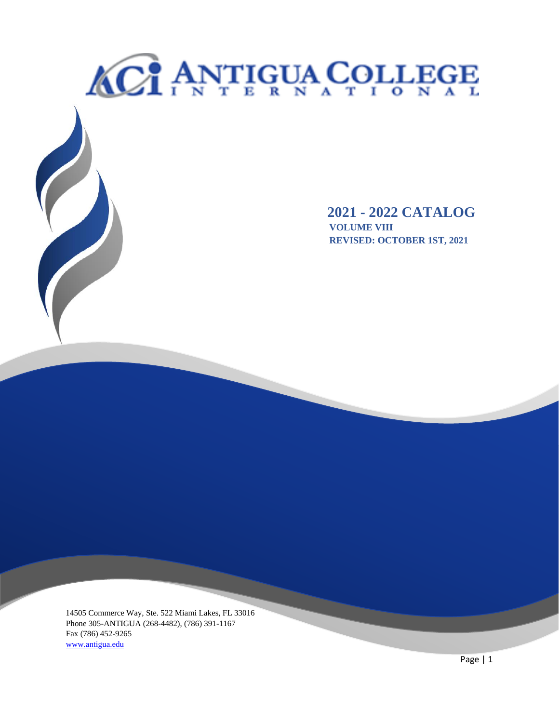# <span id="page-0-0"></span>**ACT ANTIGUA COLLEGE 2021 - 2022 CATALOG**<br>VOLUME VIII<br>REVISED: OCTOBER 1ST, 2021  **VOLUME VIII REVISED: OCTOBER 1ST, 2021**

14505 Commerce Way, Ste. 522 Miami Lakes, FL 33016 Phone 305-ANTIGUA (268-4482), (786) 391-1167 Fax (786) 452-9265 www.antigua.edu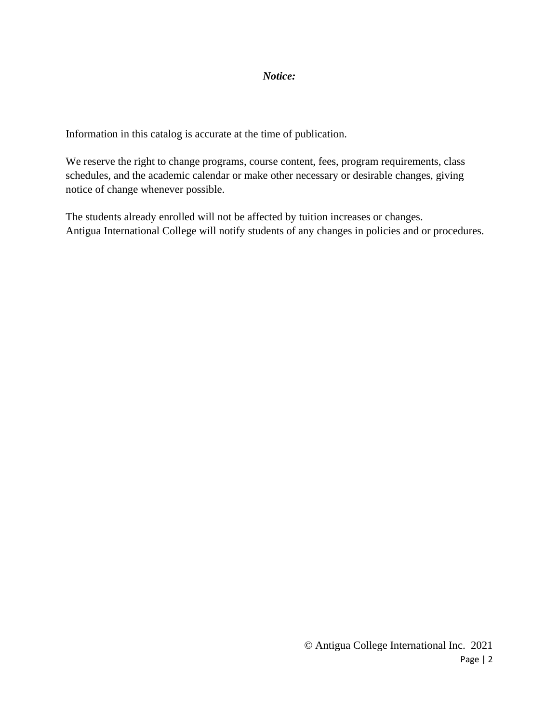#### *Notice:*

Information in this catalog is accurate at the time of publication.

We reserve the right to change programs, course content, fees, program requirements, class schedules, and the academic calendar or make other necessary or desirable changes, giving notice of change whenever possible.

The students already enrolled will not be affected by tuition increases or changes. Antigua International College will notify students of any changes in policies and or procedures.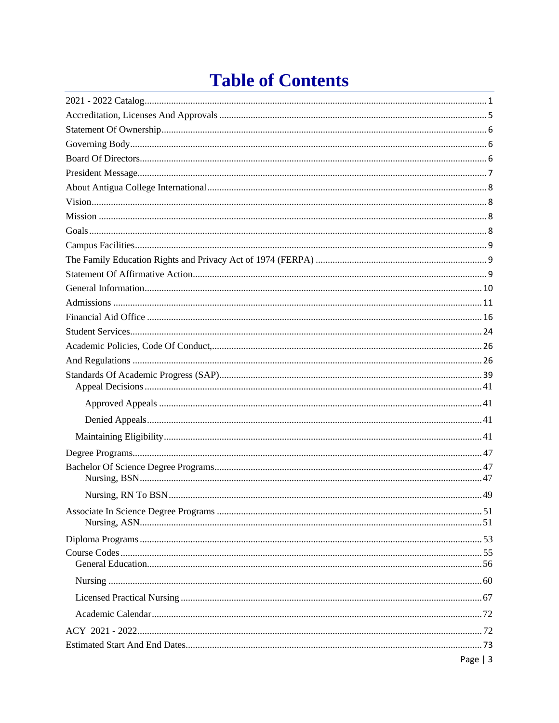# **Table of Contents**

| Page $ 3$ |
|-----------|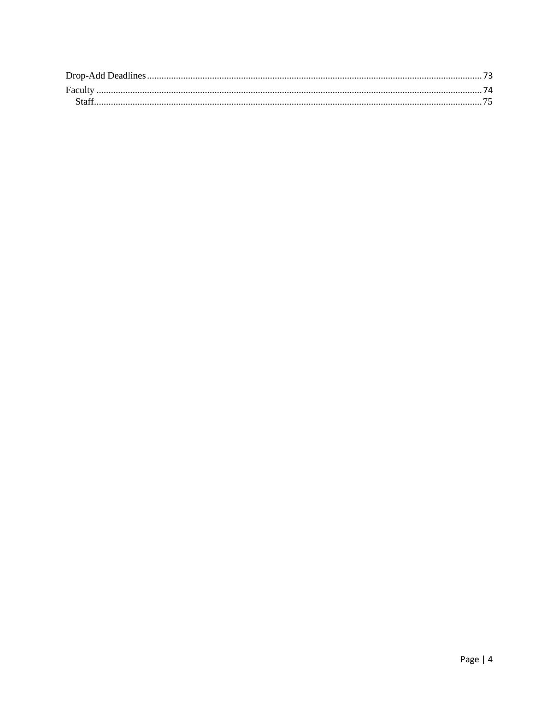| Faculty |  |
|---------|--|
|         |  |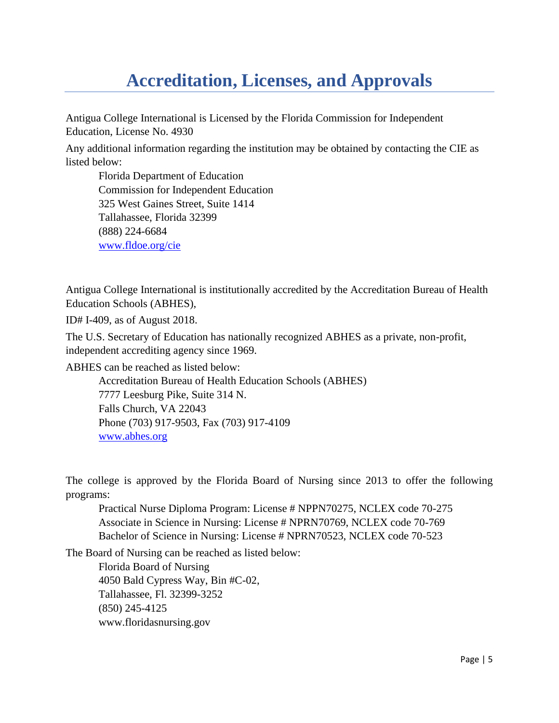# **Accreditation, Licenses, and Approvals**

<span id="page-4-0"></span>Antigua College International is Licensed by the Florida Commission for Independent Education, License No. 4930

Any additional information regarding the institution may be obtained by contacting the CIE as listed below:

Florida Department of Education Commission for Independent Education 325 West Gaines Street, Suite 1414 Tallahassee, Florida 32399 (888) 224-6684 [www.fldoe.org/cie](http://www.fldoe.org/cie)

Antigua College International is institutionally accredited by the Accreditation Bureau of Health Education Schools (ABHES),

ID# I-409, as of August 2018.

The U.S. Secretary of Education has nationally recognized ABHES as a private, non-profit, independent accrediting agency since 1969.

ABHES can be reached as listed below:

Accreditation Bureau of Health Education Schools (ABHES) 7777 Leesburg Pike, Suite 314 N. Falls Church, VA 22043 Phone (703) 917-9503, Fax (703) 917-4109 [www.abhes.org](http://www.abhes.org/)

The college is approved by the Florida Board of Nursing since 2013 to offer the following programs:

Practical Nurse Diploma Program: License # NPPN70275, NCLEX code 70-275 Associate in Science in Nursing: License # NPRN70769, NCLEX code 70-769 Bachelor of Science in Nursing: License # NPRN70523, NCLEX code 70-523

The Board of Nursing can be reached as listed below:

Florida Board of Nursing 4050 Bald Cypress Way, Bin #C-02, Tallahassee, Fl. 32399-3252 (850) 245-4125 www.floridasnursing.gov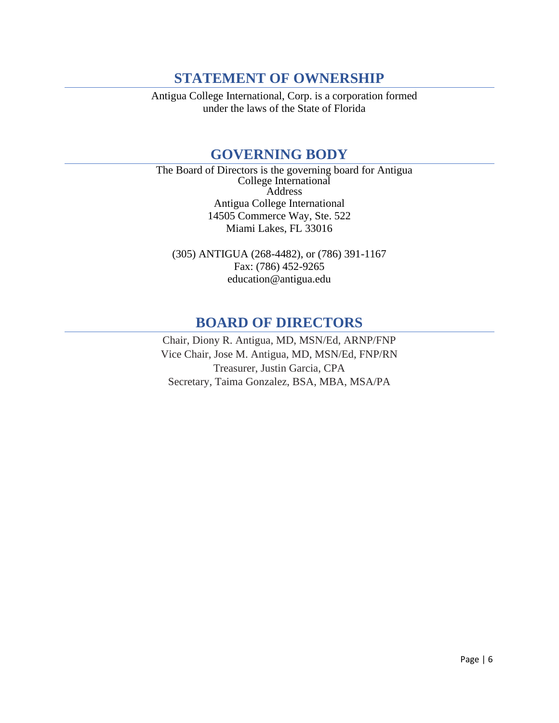# **STATEMENT OF OWNERSHIP**

<span id="page-5-1"></span><span id="page-5-0"></span>Antigua College International, Corp. is a corporation formed under the laws of the State of Florida

# **GOVERNING BODY**

The Board of Directors is the governing board for Antigua College International Address Antigua College International 14505 Commerce Way, Ste. 522 Miami Lakes, FL 33016

(305) ANTIGUA (268-4482), or (786) 391-1167 Fax: (786) 452-9265 education@antigua.edu

# **BOARD OF DIRECTORS**

<span id="page-5-2"></span>Chair, Diony R. Antigua, MD, MSN/Ed, ARNP/FNP Vice Chair, Jose M. Antigua, MD, MSN/Ed, FNP/RN Treasurer, Justin Garcia, CPA Secretary, Taima Gonzalez, BSA, MBA, MSA/PA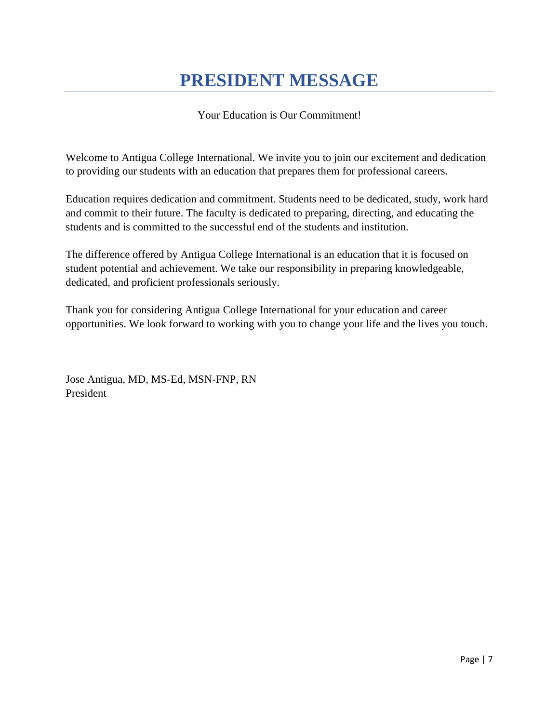# **PRESIDENT MESSAGE**

# Your Education is Our Commitment!

<span id="page-6-0"></span>Welcome to Antigua College International. We invite you to join our excitement and dedication to providing our students with an education that prepares them for professional careers.

Education requires dedication and commitment. Students need to be dedicated, study, work hard and commit to their future. The faculty is dedicated to preparing, directing, and educating the students and is committed to the successful end of the students and institution.

The difference offered by Antigua College International is an education that it is focused on student potential and achievement. We take our responsibility in preparing knowledgeable, dedicated, and proficient professionals seriously.

Thank you for considering Antigua College International for your education and career opportunities. We look forward to working with you to change your life and the lives you touch.

Jose Antigua, MD, MS-Ed, MSN-FNP, RN President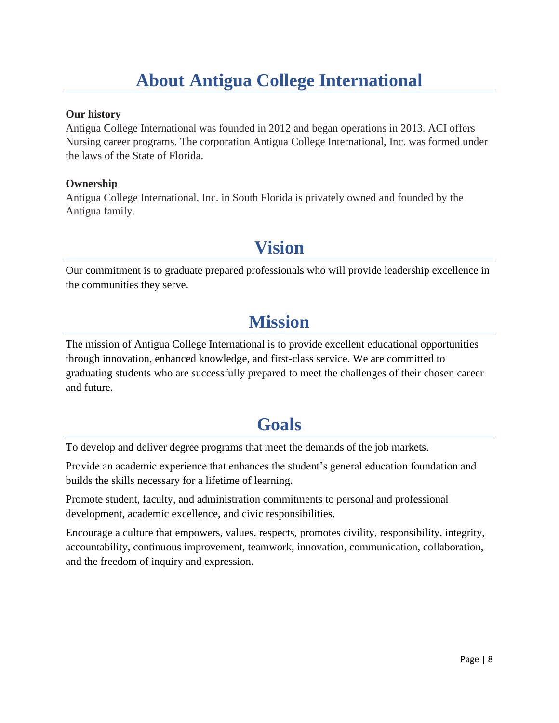# **About Antigua College International**

#### <span id="page-7-0"></span>**Our history**

Antigua College International was founded in 2012 and began operations in 2013. ACI offers Nursing career programs. The corporation Antigua College International, Inc. was formed under the laws of the State of Florida.

#### **Ownership**

<span id="page-7-1"></span>Antigua College International, Inc. in South Florida is privately owned and founded by the Antigua family.

# **Vision**

<span id="page-7-2"></span>Our commitment is to graduate prepared professionals who will provide leadership excellence in the communities they serve.

# **Mission**

The mission of Antigua College International is to provide excellent educational opportunities through innovation, enhanced knowledge, and first-class service. We are committed to graduating students who are successfully prepared to meet the challenges of their chosen career and future.

# **Goals**

<span id="page-7-3"></span>To develop and deliver degree programs that meet the demands of the job markets.

Provide an academic experience that enhances the student's general education foundation and builds the skills necessary for a lifetime of learning.

Promote student, faculty, and administration commitments to personal and professional development, academic excellence, and civic responsibilities.

Encourage a culture that empowers, values, respects, promotes civility, responsibility, integrity, accountability, continuous improvement, teamwork, innovation, communication, collaboration, and the freedom of inquiry and expression.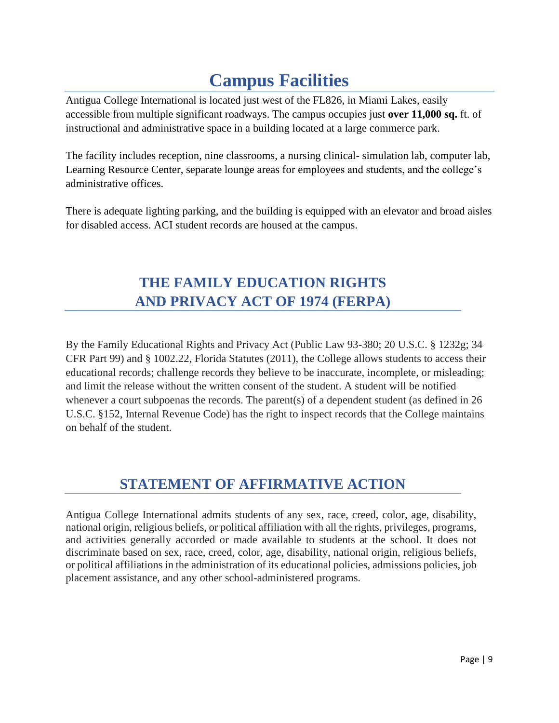# **Campus Facilities**

<span id="page-8-0"></span>Antigua College International is located just west of the FL826, in Miami Lakes, easily accessible from multiple significant roadways. The campus occupies just **over 11,000 sq.** ft. of instructional and administrative space in a building located at a large commerce park.

The facility includes reception, nine classrooms, a nursing clinical- simulation lab, computer lab, Learning Resource Center, separate lounge areas for employees and students, and the college's administrative offices.

There is adequate lighting parking, and the building is equipped with an elevator and broad aisles for disabled access. ACI student records are housed at the campus.

# **THE FAMILY EDUCATION RIGHTS AND PRIVACY ACT OF 1974 (FERPA)**

<span id="page-8-1"></span>By the Family Educational Rights and Privacy Act (Public Law 93-380; 20 U.S.C. § 1232g; 34 CFR Part 99) and § 1002.22, Florida Statutes (2011), the College allows students to access their educational records; challenge records they believe to be inaccurate, incomplete, or misleading; and limit the release without the written consent of the student. A student will be notified whenever a court subpoenas the records. The parent(s) of a dependent student (as defined in 26 U.S.C. §152, Internal Revenue Code) has the right to inspect records that the College maintains on behalf of the student.

# **STATEMENT OF AFFIRMATIVE ACTION**

<span id="page-8-2"></span>Antigua College International admits students of any sex, race, creed, color, age, disability, national origin, religious beliefs, or political affiliation with all the rights, privileges, programs, and activities generally accorded or made available to students at the school. It does not discriminate based on sex, race, creed, color, age, disability, national origin, religious beliefs, or political affiliations in the administration of its educational policies, admissions policies, job placement assistance, and any other school-administered programs.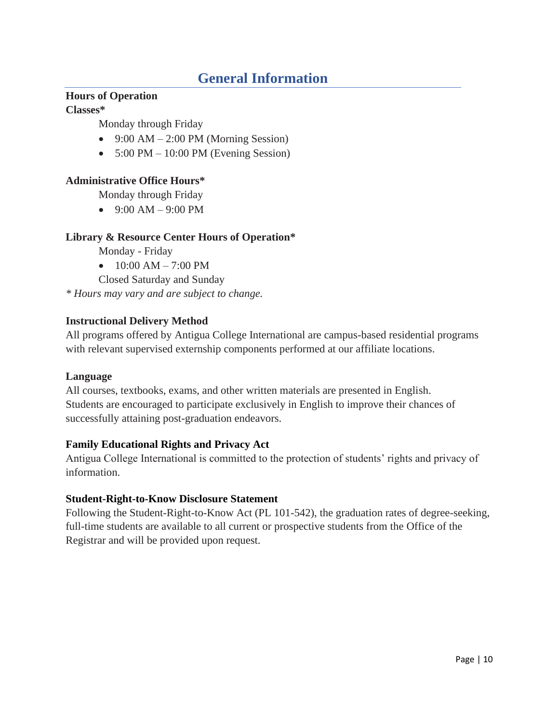# **General Information**

# <span id="page-9-0"></span>**Hours of Operation**

**Classes\***

Monday through Friday

- 9:00 AM  $2:00$  PM (Morning Session)
- $5:00 \text{ PM} 10:00 \text{ PM}$  (Evening Session)

# **Administrative Office Hours\***

Monday through Friday

•  $9:00 \text{ AM} - 9:00 \text{ PM}$ 

# **Library & Resource Center Hours of Operation\***

Monday - Friday

•  $10:00$  AM  $- 7:00$  PM

Closed Saturday and Sunday

*\* Hours may vary and are subject to change.*

# **Instructional Delivery Method**

All programs offered by Antigua College International are campus-based residential programs with relevant supervised externship components performed at our affiliate locations.

#### **Language**

All courses, textbooks, exams, and other written materials are presented in English. Students are encouraged to participate exclusively in English to improve their chances of successfully attaining post-graduation endeavors.

# **Family Educational Rights and Privacy Act**

Antigua College International is committed to the protection of students' rights and privacy of information.

# **Student-Right-to-Know Disclosure Statement**

Following the Student-Right-to-Know Act (PL 101-542), the graduation rates of degree-seeking, full-time students are available to all current or prospective students from the Office of the Registrar and will be provided upon request.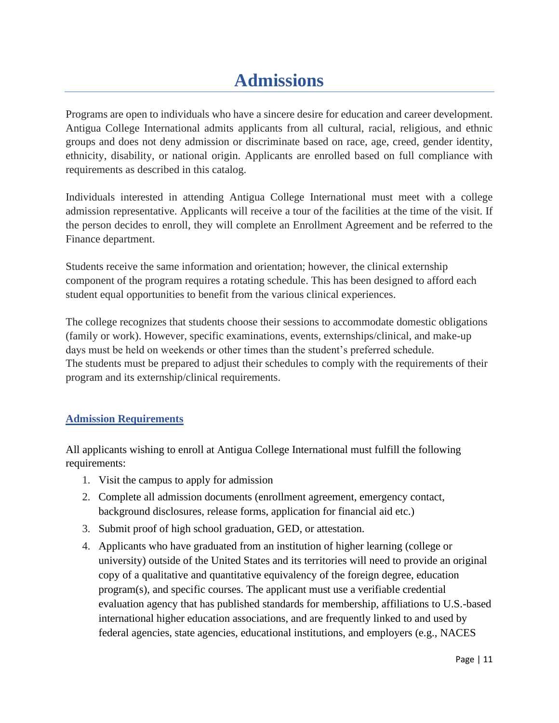# **Admissions**

<span id="page-10-0"></span>Programs are open to individuals who have a sincere desire for education and career development. Antigua College International admits applicants from all cultural, racial, religious, and ethnic groups and does not deny admission or discriminate based on race, age, creed, gender identity, ethnicity, disability, or national origin. Applicants are enrolled based on full compliance with requirements as described in this catalog.

Individuals interested in attending Antigua College International must meet with a college admission representative. Applicants will receive a tour of the facilities at the time of the visit. If the person decides to enroll, they will complete an Enrollment Agreement and be referred to the Finance department.

Students receive the same information and orientation; however, the clinical externship component of the program requires a rotating schedule. This has been designed to afford each student equal opportunities to benefit from the various clinical experiences.

The college recognizes that students choose their sessions to accommodate domestic obligations (family or work). However, specific examinations, events, externships/clinical, and make-up days must be held on weekends or other times than the student's preferred schedule. The students must be prepared to adjust their schedules to comply with the requirements of their program and its externship/clinical requirements.

# **Admission Requirements**

All applicants wishing to enroll at Antigua College International must fulfill the following requirements:

- 1. Visit the campus to apply for admission
- 2. Complete all admission documents (enrollment agreement, emergency contact, background disclosures, release forms, application for financial aid etc.)
- 3. Submit proof of high school graduation, GED, or attestation.
- 4. Applicants who have graduated from an institution of higher learning (college or university) outside of the United States and its territories will need to provide an original copy of a qualitative and quantitative equivalency of the foreign degree, education program(s), and specific courses. The applicant must use a verifiable credential evaluation agency that has published standards for membership, affiliations to U.S.-based international higher education associations, and are frequently linked to and used by federal agencies, state agencies, educational institutions, and employers (e.g., NACES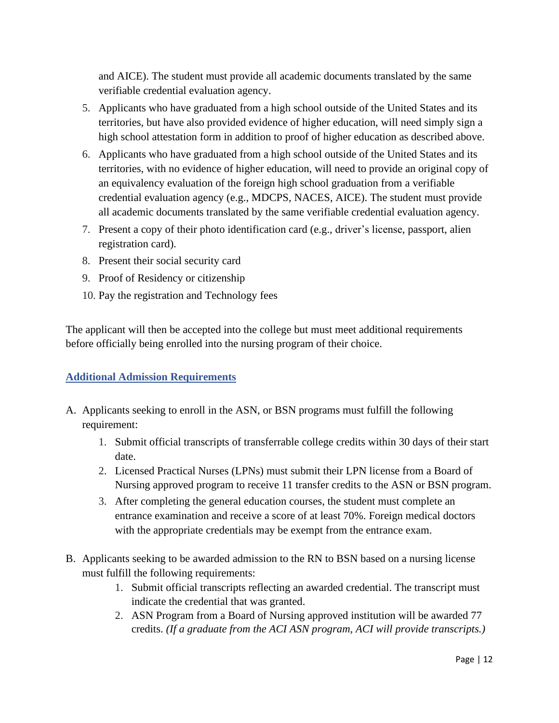and AICE). The student must provide all academic documents translated by the same verifiable credential evaluation agency.

- 5. Applicants who have graduated from a high school outside of the United States and its territories, but have also provided evidence of higher education, will need simply sign a high school attestation form in addition to proof of higher education as described above.
- 6. Applicants who have graduated from a high school outside of the United States and its territories, with no evidence of higher education, will need to provide an original copy of an equivalency evaluation of the foreign high school graduation from a verifiable credential evaluation agency (e.g., MDCPS, NACES, AICE). The student must provide all academic documents translated by the same verifiable credential evaluation agency.
- 7. Present a copy of their photo identification card (e.g., driver's license, passport, alien registration card).
- 8. Present their social security card
- 9. Proof of Residency or citizenship
- 10. Pay the registration and Technology fees

The applicant will then be accepted into the college but must meet additional requirements before officially being enrolled into the nursing program of their choice.

# **Additional Admission Requirements**

- A. Applicants seeking to enroll in the ASN, or BSN programs must fulfill the following requirement:
	- 1. Submit official transcripts of transferrable college credits within 30 days of their start date.
	- 2. Licensed Practical Nurses (LPNs) must submit their LPN license from a Board of Nursing approved program to receive 11 transfer credits to the ASN or BSN program.
	- 3. After completing the general education courses, the student must complete an entrance examination and receive a score of at least 70%. Foreign medical doctors with the appropriate credentials may be exempt from the entrance exam.
- B. Applicants seeking to be awarded admission to the RN to BSN based on a nursing license must fulfill the following requirements:
	- 1. Submit official transcripts reflecting an awarded credential. The transcript must indicate the credential that was granted.
	- 2. ASN Program from a Board of Nursing approved institution will be awarded 77 credits. *(If a graduate from the ACI ASN program, ACI will provide transcripts.)*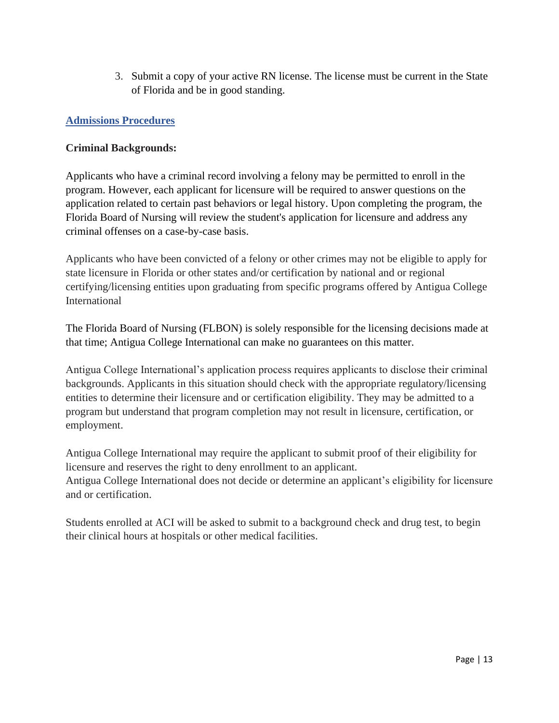3. Submit a copy of your active RN license. The license must be current in the State of Florida and be in good standing.

# **Admissions Procedures**

#### **Criminal Backgrounds:**

Applicants who have a criminal record involving a felony may be permitted to enroll in the program. However, each applicant for licensure will be required to answer questions on the application related to certain past behaviors or legal history. Upon completing the program, the Florida Board of Nursing will review the student's application for licensure and address any criminal offenses on a case-by-case basis.

Applicants who have been convicted of a felony or other crimes may not be eligible to apply for state licensure in Florida or other states and/or certification by national and or regional certifying/licensing entities upon graduating from specific programs offered by Antigua College International

The Florida Board of Nursing (FLBON) is solely responsible for the licensing decisions made at that time; Antigua College International can make no guarantees on this matter.

Antigua College International's application process requires applicants to disclose their criminal backgrounds. Applicants in this situation should check with the appropriate regulatory/licensing entities to determine their licensure and or certification eligibility. They may be admitted to a program but understand that program completion may not result in licensure, certification, or employment.

Antigua College International may require the applicant to submit proof of their eligibility for licensure and reserves the right to deny enrollment to an applicant. Antigua College International does not decide or determine an applicant's eligibility for licensure and or certification.

Students enrolled at ACI will be asked to submit to a background check and drug test, to begin their clinical hours at hospitals or other medical facilities.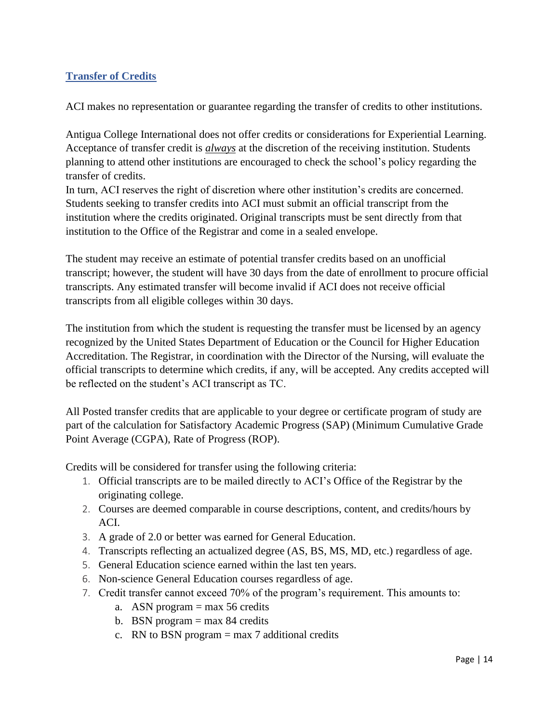# **Transfer of Credits**

ACI makes no representation or guarantee regarding the transfer of credits to other institutions.

Antigua College International does not offer credits or considerations for Experiential Learning. Acceptance of transfer credit is *always* at the discretion of the receiving institution. Students planning to attend other institutions are encouraged to check the school's policy regarding the transfer of credits.

In turn, ACI reserves the right of discretion where other institution's credits are concerned. Students seeking to transfer credits into ACI must submit an official transcript from the institution where the credits originated. Original transcripts must be sent directly from that institution to the Office of the Registrar and come in a sealed envelope.

The student may receive an estimate of potential transfer credits based on an unofficial transcript; however, the student will have 30 days from the date of enrollment to procure official transcripts. Any estimated transfer will become invalid if ACI does not receive official transcripts from all eligible colleges within 30 days.

The institution from which the student is requesting the transfer must be licensed by an agency recognized by the United States Department of Education or the Council for Higher Education Accreditation. The Registrar, in coordination with the Director of the Nursing, will evaluate the official transcripts to determine which credits, if any, will be accepted. Any credits accepted will be reflected on the student's ACI transcript as TC.

All Posted transfer credits that are applicable to your degree or certificate program of study are part of the calculation for Satisfactory Academic Progress (SAP) (Minimum Cumulative Grade Point Average (CGPA), Rate of Progress (ROP).

Credits will be considered for transfer using the following criteria:

- 1. Official transcripts are to be mailed directly to ACI's Office of the Registrar by the originating college.
- 2. Courses are deemed comparable in course descriptions, content, and credits/hours by ACI.
- 3. A grade of 2.0 or better was earned for General Education.
- 4. Transcripts reflecting an actualized degree (AS, BS, MS, MD, etc.) regardless of age.
- 5. General Education science earned within the last ten years.
- 6. Non-science General Education courses regardless of age.
- 7. Credit transfer cannot exceed 70% of the program's requirement. This amounts to:
	- a. ASN program  $=$  max 56 credits
	- b. BSN program  $=$  max 84 credits
	- c. RN to BSN program  $=$  max 7 additional credits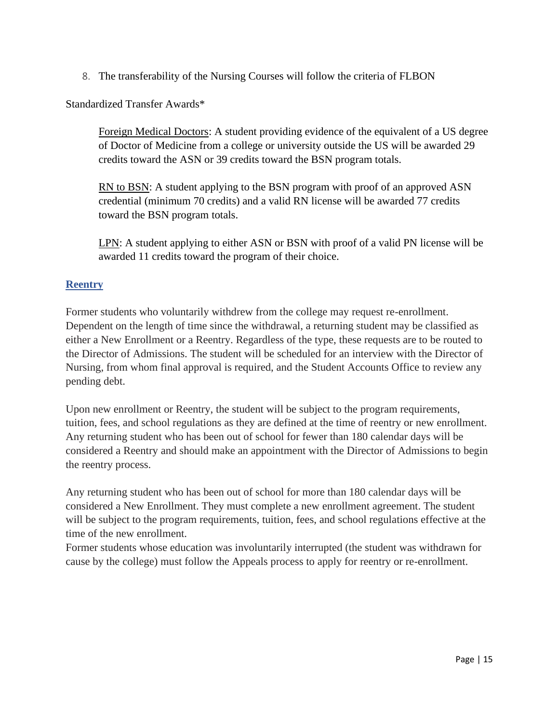8. The transferability of the Nursing Courses will follow the criteria of FLBON

Standardized Transfer Awards\*

Foreign Medical Doctors: A student providing evidence of the equivalent of a US degree of Doctor of Medicine from a college or university outside the US will be awarded 29 credits toward the ASN or 39 credits toward the BSN program totals.

RN to BSN: A student applying to the BSN program with proof of an approved ASN credential (minimum 70 credits) and a valid RN license will be awarded 77 credits toward the BSN program totals.

LPN: A student applying to either ASN or BSN with proof of a valid PN license will be awarded 11 credits toward the program of their choice.

# **Reentry**

Former students who voluntarily withdrew from the college may request re-enrollment. Dependent on the length of time since the withdrawal, a returning student may be classified as either a New Enrollment or a Reentry. Regardless of the type, these requests are to be routed to the Director of Admissions. The student will be scheduled for an interview with the Director of Nursing, from whom final approval is required, and the Student Accounts Office to review any pending debt.

Upon new enrollment or Reentry, the student will be subject to the program requirements, tuition, fees, and school regulations as they are defined at the time of reentry or new enrollment. Any returning student who has been out of school for fewer than 180 calendar days will be considered a Reentry and should make an appointment with the Director of Admissions to begin the reentry process.

Any returning student who has been out of school for more than 180 calendar days will be considered a New Enrollment. They must complete a new enrollment agreement. The student will be subject to the program requirements, tuition, fees, and school regulations effective at the time of the new enrollment.

Former students whose education was involuntarily interrupted (the student was withdrawn for cause by the college) must follow the Appeals process to apply for reentry or re-enrollment.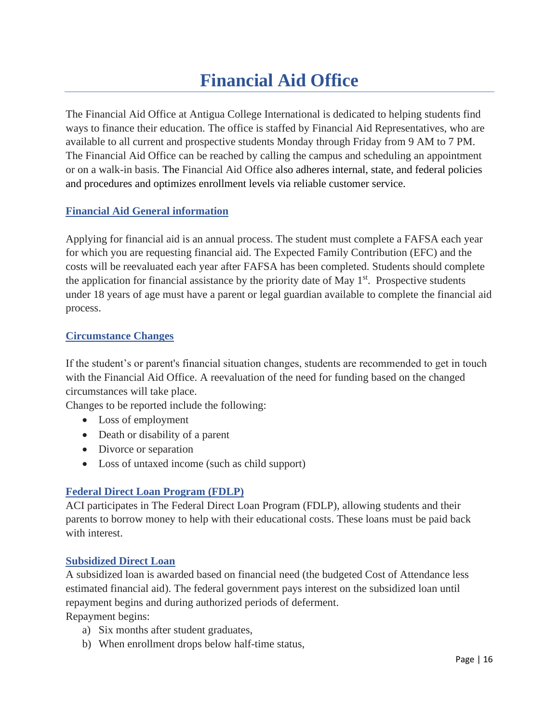# **Financial Aid Office**

<span id="page-15-0"></span>The Financial Aid Office at Antigua College International is dedicated to helping students find ways to finance their education. The office is staffed by Financial Aid Representatives, who are available to all current and prospective students Monday through Friday from 9 AM to 7 PM. The Financial Aid Office can be reached by calling the campus and scheduling an appointment or on a walk-in basis. The Financial Aid Office also adheres internal, state, and federal policies and procedures and optimizes enrollment levels via reliable customer service.

#### **Financial Aid General information**

Applying for financial aid is an annual process. The student must complete a FAFSA each year for which you are requesting financial aid. The Expected Family Contribution (EFC) and the costs will be reevaluated each year after FAFSA has been completed. Students should complete the application for financial assistance by the priority date of May  $1<sup>st</sup>$ . Prospective students under 18 years of age must have a parent or legal guardian available to complete the financial aid process.

#### **Circumstance Changes**

If the student's or parent's financial situation changes, students are recommended to get in touch with the Financial Aid Office. A reevaluation of the need for funding based on the changed circumstances will take place.

Changes to be reported include the following:

- Loss of employment
- Death or disability of a parent
- Divorce or separation
- Loss of untaxed income (such as child support)

#### **Federal Direct Loan Program (FDLP)**

ACI participates in The Federal Direct Loan Program (FDLP), allowing students and their parents to borrow money to help with their educational costs. These loans must be paid back with interest.

#### **Subsidized Direct Loan**

A subsidized loan is awarded based on financial need (the budgeted Cost of Attendance less estimated financial aid). The federal government pays interest on the subsidized loan until repayment begins and during authorized periods of deferment. Repayment begins:

- a) Six months after student graduates,
- b) When enrollment drops below half-time status,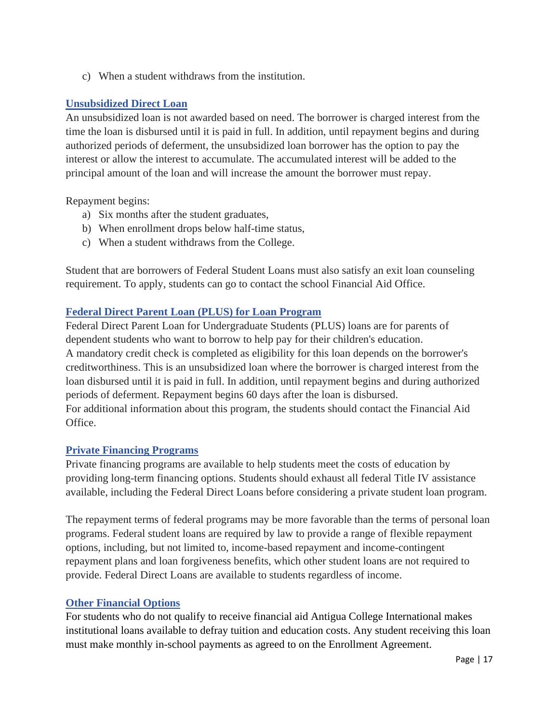c) When a student withdraws from the institution.

#### **Unsubsidized Direct Loan**

An unsubsidized loan is not awarded based on need. The borrower is charged interest from the time the loan is disbursed until it is paid in full. In addition, until repayment begins and during authorized periods of deferment, the unsubsidized loan borrower has the option to pay the interest or allow the interest to accumulate. The accumulated interest will be added to the principal amount of the loan and will increase the amount the borrower must repay.

Repayment begins:

- a) Six months after the student graduates,
- b) When enrollment drops below half-time status,
- c) When a student withdraws from the College.

Student that are borrowers of Federal Student Loans must also satisfy an exit loan counseling requirement. To apply, students can go to contact the school Financial Aid Office.

#### **Federal Direct Parent Loan (PLUS) for Loan Program**

Federal Direct Parent Loan for Undergraduate Students (PLUS) loans are for parents of dependent students who want to borrow to help pay for their children's education. A mandatory credit check is completed as eligibility for this loan depends on the borrower's creditworthiness. This is an unsubsidized loan where the borrower is charged interest from the loan disbursed until it is paid in full. In addition, until repayment begins and during authorized periods of deferment. Repayment begins 60 days after the loan is disbursed. For additional information about this program, the students should contact the Financial Aid Office.

#### **Private Financing Programs**

Private financing programs are available to help students meet the costs of education by providing long-term financing options. Students should exhaust all federal Title IV assistance available, including the Federal Direct Loans before considering a private student loan program.

The repayment terms of federal programs may be more favorable than the terms of personal loan programs. Federal student loans are required by law to provide a range of flexible repayment options, including, but not limited to, income-based repayment and income-contingent repayment plans and loan forgiveness benefits, which other student loans are not required to provide. Federal Direct Loans are available to students regardless of income.

#### **Other Financial Options**

For students who do not qualify to receive financial aid Antigua College International makes institutional loans available to defray tuition and education costs. Any student receiving this loan must make monthly in-school payments as agreed to on the Enrollment Agreement.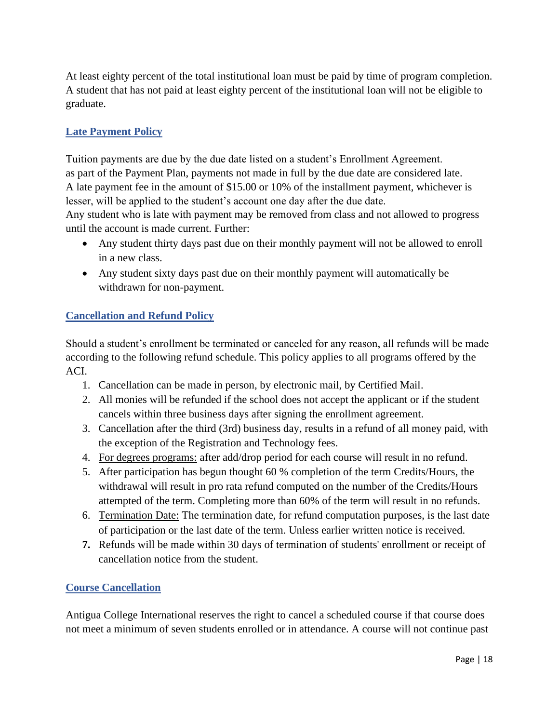At least eighty percent of the total institutional loan must be paid by time of program completion. A student that has not paid at least eighty percent of the institutional loan will not be eligible to graduate.

# **Late Payment Policy**

Tuition payments are due by the due date listed on a student's Enrollment Agreement. as part of the Payment Plan, payments not made in full by the due date are considered late. A late payment fee in the amount of \$15.00 or 10% of the installment payment, whichever is lesser, will be applied to the student's account one day after the due date.

Any student who is late with payment may be removed from class and not allowed to progress until the account is made current. Further:

- Any student thirty days past due on their monthly payment will not be allowed to enroll in a new class.
- Any student sixty days past due on their monthly payment will automatically be withdrawn for non-payment.

# **Cancellation and Refund Policy**

Should a student's enrollment be terminated or canceled for any reason, all refunds will be made according to the following refund schedule. This policy applies to all programs offered by the ACI.

- 1. Cancellation can be made in person, by electronic mail, by Certified Mail.
- 2. All monies will be refunded if the school does not accept the applicant or if the student cancels within three business days after signing the enrollment agreement.
- 3. Cancellation after the third (3rd) business day, results in a refund of all money paid, with the exception of the Registration and Technology fees.
- 4. For degrees programs: after add/drop period for each course will result in no refund.
- 5. After participation has begun thought 60 % completion of the term Credits/Hours, the withdrawal will result in pro rata refund computed on the number of the Credits/Hours attempted of the term. Completing more than 60% of the term will result in no refunds.
- 6. Termination Date: The termination date, for refund computation purposes, is the last date of participation or the last date of the term. Unless earlier written notice is received.
- **7.** Refunds will be made within 30 days of termination of students' enrollment or receipt of cancellation notice from the student.

# **Course Cancellation**

Antigua College International reserves the right to cancel a scheduled course if that course does not meet a minimum of seven students enrolled or in attendance. A course will not continue past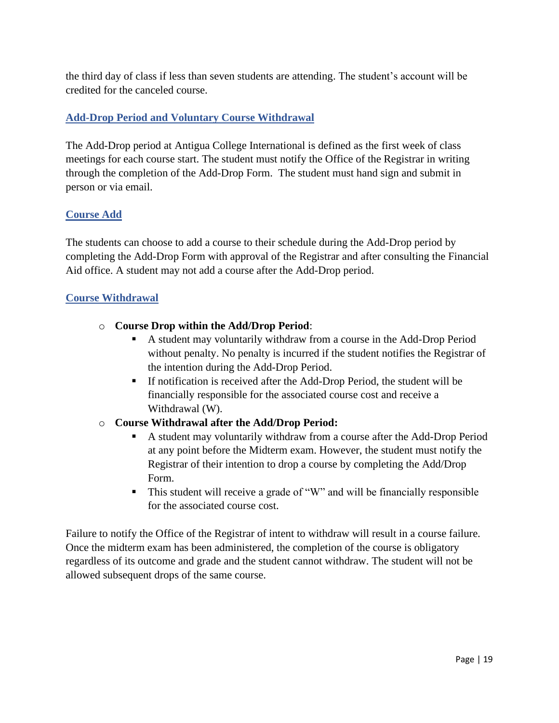the third day of class if less than seven students are attending. The student's account will be credited for the canceled course.

# **Add-Drop Period and Voluntary Course Withdrawal**

The Add-Drop period at Antigua College International is defined as the first week of class meetings for each course start. The student must notify the Office of the Registrar in writing through the completion of the Add-Drop Form. The student must hand sign and submit in person or via email.

# **Course Add**

The students can choose to add a course to their schedule during the Add-Drop period by completing the Add-Drop Form with approval of the Registrar and after consulting the Financial Aid office. A student may not add a course after the Add-Drop period.

# **Course Withdrawal**

- o **Course Drop within the Add/Drop Period**:
	- A student may voluntarily withdraw from a course in the Add-Drop Period without penalty. No penalty is incurred if the student notifies the Registrar of the intention during the Add-Drop Period.
	- If notification is received after the Add-Drop Period, the student will be financially responsible for the associated course cost and receive a Withdrawal (W).
- o **Course Withdrawal after the Add/Drop Period:** 
	- A student may voluntarily withdraw from a course after the Add-Drop Period at any point before the Midterm exam. However, the student must notify the Registrar of their intention to drop a course by completing the Add/Drop Form.
	- This student will receive a grade of "W" and will be financially responsible for the associated course cost.

Failure to notify the Office of the Registrar of intent to withdraw will result in a course failure. Once the midterm exam has been administered, the completion of the course is obligatory regardless of its outcome and grade and the student cannot withdraw. The student will not be allowed subsequent drops of the same course.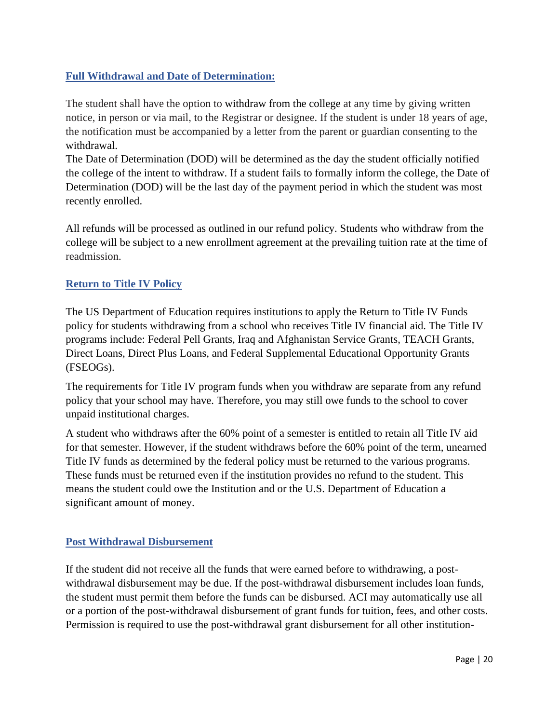# **Full Withdrawal and Date of Determination:**

The student shall have the option to withdraw from the college at any time by giving written notice, in person or via mail, to the Registrar or designee. If the student is under 18 years of age, the notification must be accompanied by a letter from the parent or guardian consenting to the withdrawal.

The Date of Determination (DOD) will be determined as the day the student officially notified the college of the intent to withdraw. If a student fails to formally inform the college, the Date of Determination (DOD) will be the last day of the payment period in which the student was most recently enrolled.

All refunds will be processed as outlined in our refund policy. Students who withdraw from the college will be subject to a new enrollment agreement at the prevailing tuition rate at the time of readmission.

# **Return to Title IV Policy**

The US Department of Education requires institutions to apply the Return to Title IV Funds policy for students withdrawing from a school who receives Title IV financial aid. The Title IV programs include: Federal Pell Grants, Iraq and Afghanistan Service Grants, TEACH Grants, Direct Loans, Direct Plus Loans, and Federal Supplemental Educational Opportunity Grants (FSEOGs).

The requirements for Title IV program funds when you withdraw are separate from any refund policy that your school may have. Therefore, you may still owe funds to the school to cover unpaid institutional charges.

A student who withdraws after the 60% point of a semester is entitled to retain all Title IV aid for that semester. However, if the student withdraws before the 60% point of the term, unearned Title IV funds as determined by the federal policy must be returned to the various programs. These funds must be returned even if the institution provides no refund to the student. This means the student could owe the Institution and or the U.S. Department of Education a significant amount of money.

#### **Post Withdrawal Disbursement**

If the student did not receive all the funds that were earned before to withdrawing, a postwithdrawal disbursement may be due. If the post-withdrawal disbursement includes loan funds, the student must permit them before the funds can be disbursed. ACI may automatically use all or a portion of the post-withdrawal disbursement of grant funds for tuition, fees, and other costs. Permission is required to use the post-withdrawal grant disbursement for all other institution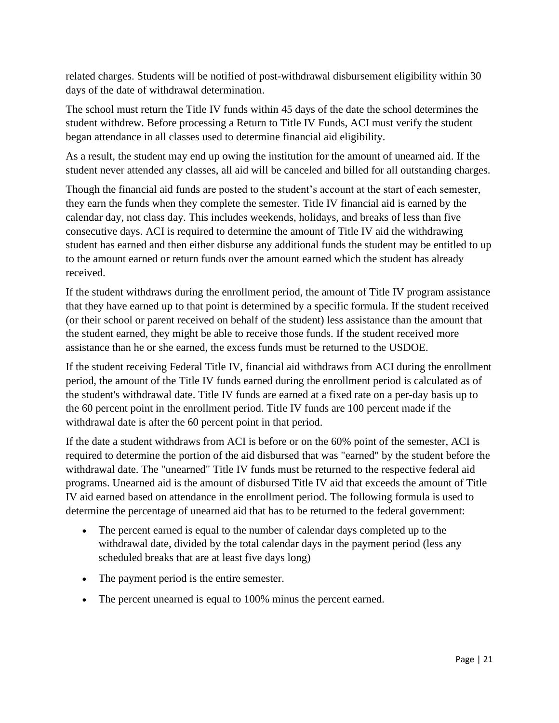related charges. Students will be notified of post-withdrawal disbursement eligibility within 30 days of the date of withdrawal determination.

The school must return the Title IV funds within 45 days of the date the school determines the student withdrew. Before processing a Return to Title IV Funds, ACI must verify the student began attendance in all classes used to determine financial aid eligibility.

As a result, the student may end up owing the institution for the amount of unearned aid. If the student never attended any classes, all aid will be canceled and billed for all outstanding charges.

Though the financial aid funds are posted to the student's account at the start of each semester, they earn the funds when they complete the semester. Title IV financial aid is earned by the calendar day, not class day. This includes weekends, holidays, and breaks of less than five consecutive days. ACI is required to determine the amount of Title IV aid the withdrawing student has earned and then either disburse any additional funds the student may be entitled to up to the amount earned or return funds over the amount earned which the student has already received.

If the student withdraws during the enrollment period, the amount of Title IV program assistance that they have earned up to that point is determined by a specific formula. If the student received (or their school or parent received on behalf of the student) less assistance than the amount that the student earned, they might be able to receive those funds. If the student received more assistance than he or she earned, the excess funds must be returned to the USDOE.

If the student receiving Federal Title IV, financial aid withdraws from ACI during the enrollment period, the amount of the Title IV funds earned during the enrollment period is calculated as of the student's withdrawal date. Title IV funds are earned at a fixed rate on a per-day basis up to the 60 percent point in the enrollment period. Title IV funds are 100 percent made if the withdrawal date is after the 60 percent point in that period.

If the date a student withdraws from ACI is before or on the 60% point of the semester, ACI is required to determine the portion of the aid disbursed that was "earned" by the student before the withdrawal date. The "unearned" Title IV funds must be returned to the respective federal aid programs. Unearned aid is the amount of disbursed Title IV aid that exceeds the amount of Title IV aid earned based on attendance in the enrollment period. The following formula is used to determine the percentage of unearned aid that has to be returned to the federal government:

- The percent earned is equal to the number of calendar days completed up to the withdrawal date, divided by the total calendar days in the payment period (less any scheduled breaks that are at least five days long)
- The payment period is the entire semester.
- The percent unearned is equal to 100% minus the percent earned.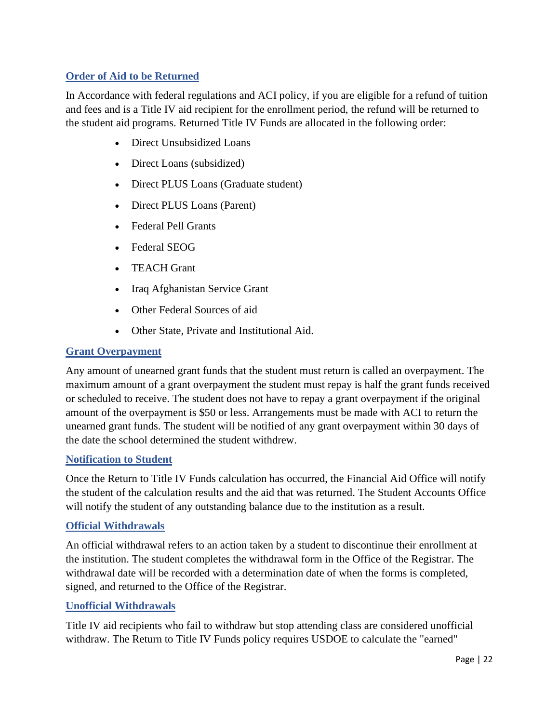# **Order of Aid to be Returned**

In Accordance with federal regulations and ACI policy, if you are eligible for a refund of tuition and fees and is a Title IV aid recipient for the enrollment period, the refund will be returned to the student aid programs. Returned Title IV Funds are allocated in the following order:

- Direct Unsubsidized Loans
- Direct Loans (subsidized)
- Direct PLUS Loans (Graduate student)
- Direct PLUS Loans (Parent)
- Federal Pell Grants
- Federal SEOG
- TEACH Grant
- Iraq Afghanistan Service Grant
- Other Federal Sources of aid
- Other State, Private and Institutional Aid.

#### **Grant Overpayment**

Any amount of unearned grant funds that the student must return is called an overpayment. The maximum amount of a grant overpayment the student must repay is half the grant funds received or scheduled to receive. The student does not have to repay a grant overpayment if the original amount of the overpayment is \$50 or less. Arrangements must be made with ACI to return the unearned grant funds. The student will be notified of any grant overpayment within 30 days of the date the school determined the student withdrew.

#### **Notification to Student**

Once the Return to Title IV Funds calculation has occurred, the Financial Aid Office will notify the student of the calculation results and the aid that was returned. The Student Accounts Office will notify the student of any outstanding balance due to the institution as a result.

#### **Official Withdrawals**

An official withdrawal refers to an action taken by a student to discontinue their enrollment at the institution. The student completes the withdrawal form in the Office of the Registrar. The withdrawal date will be recorded with a determination date of when the forms is completed, signed, and returned to the Office of the Registrar.

#### **Unofficial Withdrawals**

Title IV aid recipients who fail to withdraw but stop attending class are considered unofficial withdraw. The Return to Title IV Funds policy requires USDOE to calculate the "earned"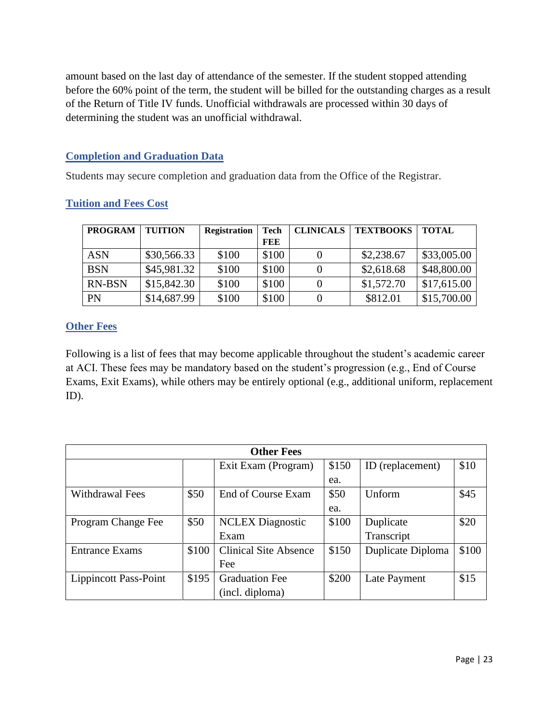amount based on the last day of attendance of the semester. If the student stopped attending before the 60% point of the term, the student will be billed for the outstanding charges as a result of the Return of Title IV funds. Unofficial withdrawals are processed within 30 days of determining the student was an unofficial withdrawal.

#### **Completion and Graduation Data**

Students may secure completion and graduation data from the Office of the Registrar.

| <b>PROGRAM</b> | <b>TUITION</b> | <b>Registration</b> | Tech  | <b>CLINICALS</b> | <b>TEXTBOOKS</b> | <b>TOTAL</b> |
|----------------|----------------|---------------------|-------|------------------|------------------|--------------|
|                |                |                     | FEE   |                  |                  |              |
| <b>ASN</b>     | \$30,566.33    | \$100               | \$100 |                  | \$2,238.67       | \$33,005.00  |
| <b>BSN</b>     | \$45,981.32    | \$100               | \$100 |                  | \$2,618.68       | \$48,800.00  |
| <b>RN-BSN</b>  | \$15,842.30    | \$100               | \$100 |                  | \$1,572.70       | \$17,615.00  |
| <b>PN</b>      | \$14,687.99    | \$100               | \$100 |                  | \$812.01         | \$15,700.00  |

# **Tuition and Fees Cost**

# **Other Fees**

Following is a list of fees that may become applicable throughout the student's academic career at ACI. These fees may be mandatory based on the student's progression (e.g., End of Course Exams, Exit Exams), while others may be entirely optional (e.g., additional uniform, replacement ID).

| <b>Other Fees</b>     |       |                              |       |                   |       |
|-----------------------|-------|------------------------------|-------|-------------------|-------|
|                       |       | Exit Exam (Program)          | \$150 | ID (replacement)  | \$10  |
|                       |       |                              | ea.   |                   |       |
| Withdrawal Fees       | \$50  | End of Course Exam           | \$50  | Unform            | \$45  |
|                       |       |                              | ea.   |                   |       |
| Program Change Fee    | \$50  | <b>NCLEX</b> Diagnostic      | \$100 | Duplicate         | \$20  |
|                       |       | Exam                         |       | Transcript        |       |
| <b>Entrance Exams</b> | \$100 | <b>Clinical Site Absence</b> | \$150 | Duplicate Diploma | \$100 |
|                       |       | Fee                          |       |                   |       |
| Lippincott Pass-Point | \$195 | <b>Graduation Fee</b>        | \$200 | Late Payment      | \$15  |
|                       |       | (incl. diploma)              |       |                   |       |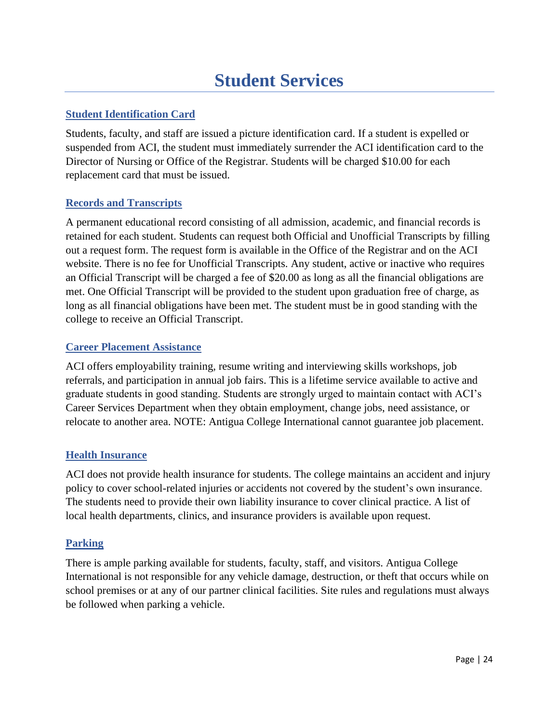# **Student Services**

# <span id="page-23-0"></span>**Student Identification Card**

Students, faculty, and staff are issued a picture identification card. If a student is expelled or suspended from ACI, the student must immediately surrender the ACI identification card to the Director of Nursing or Office of the Registrar. Students will be charged \$10.00 for each replacement card that must be issued.

#### **Records and Transcripts**

A permanent educational record consisting of all admission, academic, and financial records is retained for each student. Students can request both Official and Unofficial Transcripts by filling out a request form. The request form is available in the Office of the Registrar and on the ACI website. There is no fee for Unofficial Transcripts. Any student, active or inactive who requires an Official Transcript will be charged a fee of \$20.00 as long as all the financial obligations are met. One Official Transcript will be provided to the student upon graduation free of charge, as long as all financial obligations have been met. The student must be in good standing with the college to receive an Official Transcript.

#### **Career Placement Assistance**

ACI offers employability training, resume writing and interviewing skills workshops, job referrals, and participation in annual job fairs. This is a lifetime service available to active and graduate students in good standing. Students are strongly urged to maintain contact with ACI's Career Services Department when they obtain employment, change jobs, need assistance, or relocate to another area. NOTE: Antigua College International cannot guarantee job placement.

# **Health Insurance**

ACI does not provide health insurance for students. The college maintains an accident and injury policy to cover school-related injuries or accidents not covered by the student's own insurance. The students need to provide their own liability insurance to cover clinical practice. A list of local health departments, clinics, and insurance providers is available upon request.

#### **Parking**

There is ample parking available for students, faculty, staff, and visitors. Antigua College International is not responsible for any vehicle damage, destruction, or theft that occurs while on school premises or at any of our partner clinical facilities. Site rules and regulations must always be followed when parking a vehicle.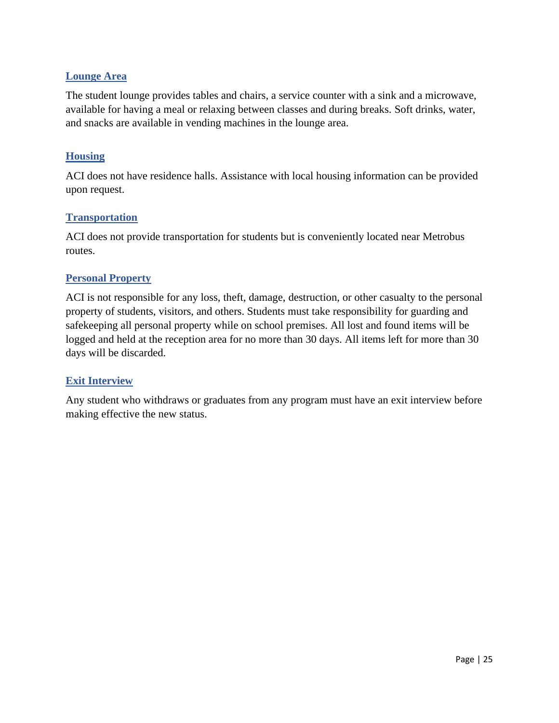#### **Lounge Area**

The student lounge provides tables and chairs, a service counter with a sink and a microwave, available for having a meal or relaxing between classes and during breaks. Soft drinks, water, and snacks are available in vending machines in the lounge area.

#### **Housing**

ACI does not have residence halls. Assistance with local housing information can be provided upon request.

#### **Transportation**

ACI does not provide transportation for students but is conveniently located near Metrobus routes.

#### **Personal Property**

ACI is not responsible for any loss, theft, damage, destruction, or other casualty to the personal property of students, visitors, and others. Students must take responsibility for guarding and safekeeping all personal property while on school premises. All lost and found items will be logged and held at the reception area for no more than 30 days. All items left for more than 30 days will be discarded.

#### **Exit Interview**

Any student who withdraws or graduates from any program must have an exit interview before making effective the new status.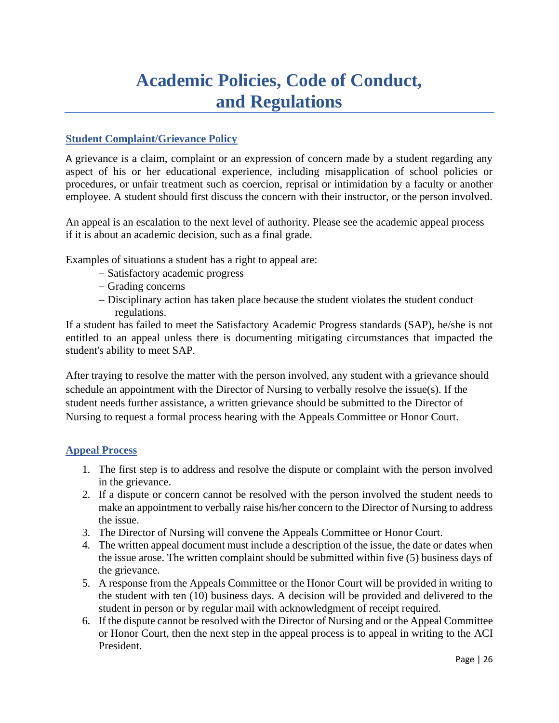# **Academic Policies, Code of Conduct, and Regulations**

# <span id="page-25-1"></span><span id="page-25-0"></span>**Student Complaint/Grievance Policy**

A grievance is a claim, complaint or an expression of concern made by a student regarding any aspect of his or her educational experience, including misapplication of school policies or procedures, or unfair treatment such as coercion, reprisal or intimidation by a faculty or another employee. A student should first discuss the concern with their instructor, or the person involved.

An appeal is an escalation to the next level of authority. Please see the academic appeal process if it is about an academic decision, such as a final grade.

Examples of situations a student has a right to appeal are:

- − Satisfactory academic progress
- − Grading concerns
- − Disciplinary action has taken place because the student violates the student conduct regulations.

If a student has failed to meet the Satisfactory Academic Progress standards (SAP), he/she is not entitled to an appeal unless there is documenting mitigating circumstances that impacted the student's ability to meet SAP.

After traying to resolve the matter with the person involved, any student with a grievance should schedule an appointment with the Director of Nursing to verbally resolve the issue(s). If the student needs further assistance, a written grievance should be submitted to the Director of Nursing to request a formal process hearing with the Appeals Committee or Honor Court.

#### **Appeal Process**

- 1. The first step is to address and resolve the dispute or complaint with the person involved in the grievance.
- 2. If a dispute or concern cannot be resolved with the person involved the student needs to make an appointment to verbally raise his/her concern to the Director of Nursing to address the issue.
- 3. The Director of Nursing will convene the Appeals Committee or Honor Court.
- 4. The written appeal document must include a description of the issue, the date or dates when the issue arose. The written complaint should be submitted within five (5) business days of the grievance.
- 5. A response from the Appeals Committee or the Honor Court will be provided in writing to the student with ten (10) business days. A decision will be provided and delivered to the student in person or by regular mail with acknowledgment of receipt required.
- 6. If the dispute cannot be resolved with the Director of Nursing and or the Appeal Committee or Honor Court, then the next step in the appeal process is to appeal in writing to the ACI President.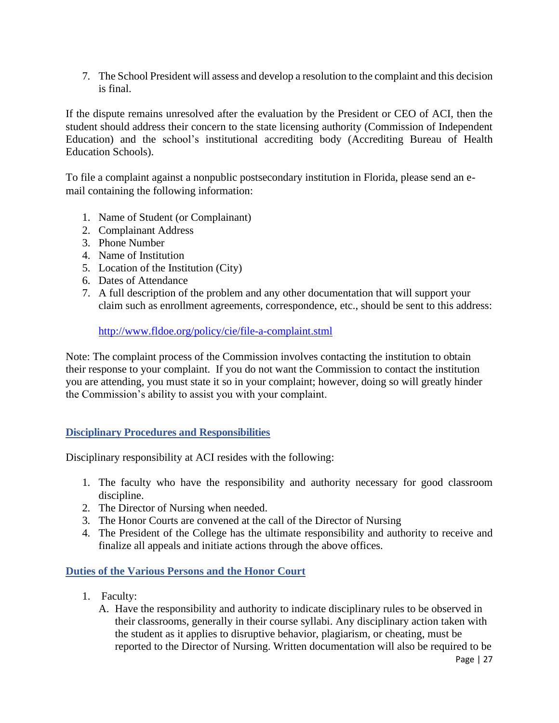7. The School President will assess and develop a resolution to the complaint and this decision is final.

If the dispute remains unresolved after the evaluation by the President or CEO of ACI, then the student should address their concern to the state licensing authority (Commission of Independent Education) and the school's institutional accrediting body (Accrediting Bureau of Health Education Schools).

To file a complaint against a nonpublic postsecondary institution in Florida, please send an email containing the following information:

- 1. Name of Student (or Complainant)
- 2. Complainant Address
- 3. Phone Number
- 4. Name of Institution
- 5. Location of the Institution (City)
- 6. Dates of Attendance
- 7. A full description of the problem and any other documentation that will support your claim such as enrollment agreements, correspondence, etc., should be sent to this address:

<http://www.fldoe.org/policy/cie/file-a-complaint.stml>

Note: The complaint process of the Commission involves contacting the institution to obtain their response to your complaint. If you do not want the Commission to contact the institution you are attending, you must state it so in your complaint; however, doing so will greatly hinder the Commission's ability to assist you with your complaint.

# **Disciplinary Procedures and Responsibilities**

Disciplinary responsibility at ACI resides with the following:

- 1. The faculty who have the responsibility and authority necessary for good classroom discipline.
- 2. The Director of Nursing when needed.
- 3. The Honor Courts are convened at the call of the Director of Nursing
- 4. The President of the College has the ultimate responsibility and authority to receive and finalize all appeals and initiate actions through the above offices.

# **Duties of the Various Persons and the Honor Court**

- 1. Faculty:
	- A. Have the responsibility and authority to indicate disciplinary rules to be observed in their classrooms, generally in their course syllabi. Any disciplinary action taken with the student as it applies to disruptive behavior, plagiarism, or cheating, must be reported to the Director of Nursing. Written documentation will also be required to be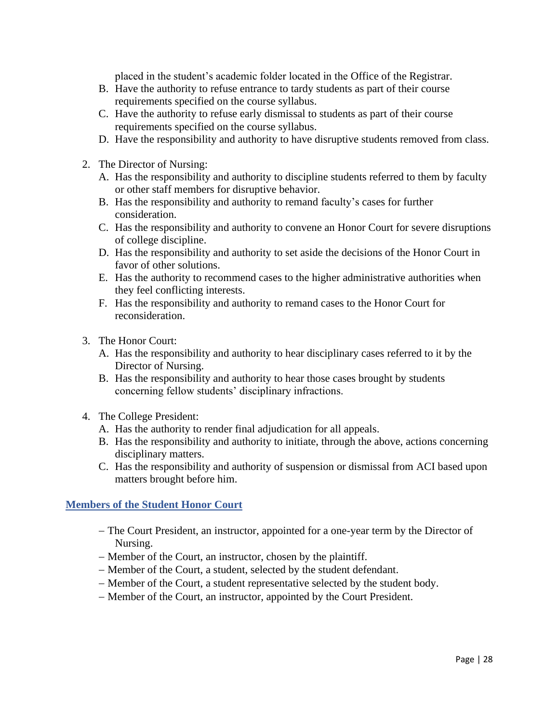placed in the student's academic folder located in the Office of the Registrar.

- B. Have the authority to refuse entrance to tardy students as part of their course requirements specified on the course syllabus.
- C. Have the authority to refuse early dismissal to students as part of their course requirements specified on the course syllabus.
- D. Have the responsibility and authority to have disruptive students removed from class.
- 2. The Director of Nursing:
	- A. Has the responsibility and authority to discipline students referred to them by faculty or other staff members for disruptive behavior.
	- B. Has the responsibility and authority to remand faculty's cases for further consideration.
	- C. Has the responsibility and authority to convene an Honor Court for severe disruptions of college discipline.
	- D. Has the responsibility and authority to set aside the decisions of the Honor Court in favor of other solutions.
	- E. Has the authority to recommend cases to the higher administrative authorities when they feel conflicting interests.
	- F. Has the responsibility and authority to remand cases to the Honor Court for reconsideration.
- 3. The Honor Court:
	- A. Has the responsibility and authority to hear disciplinary cases referred to it by the Director of Nursing.
	- B. Has the responsibility and authority to hear those cases brought by students concerning fellow students' disciplinary infractions.
- 4. The College President:
	- A. Has the authority to render final adjudication for all appeals.
	- B. Has the responsibility and authority to initiate, through the above, actions concerning disciplinary matters.
	- C. Has the responsibility and authority of suspension or dismissal from ACI based upon matters brought before him.

#### **Members of the Student Honor Court**

- − The Court President, an instructor, appointed for a one-year term by the Director of Nursing.
- − Member of the Court, an instructor, chosen by the plaintiff.
- − Member of the Court, a student, selected by the student defendant.
- − Member of the Court, a student representative selected by the student body.
- − Member of the Court, an instructor, appointed by the Court President.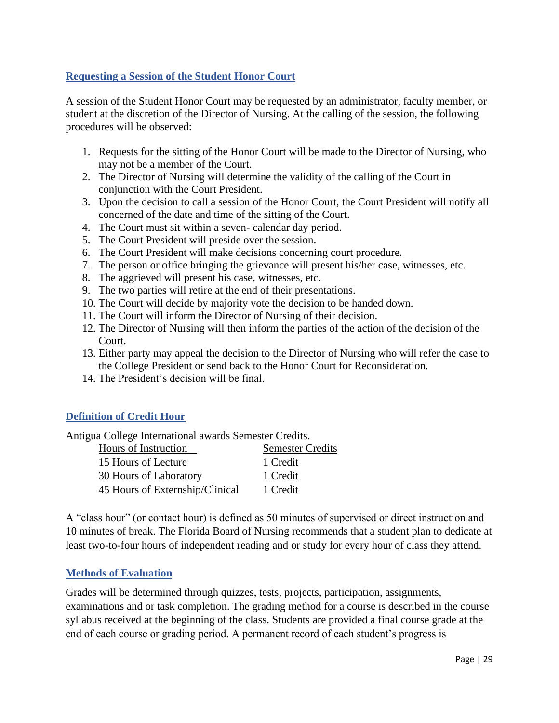# **Requesting a Session of the Student Honor Court**

A session of the Student Honor Court may be requested by an administrator, faculty member, or student at the discretion of the Director of Nursing. At the calling of the session, the following procedures will be observed:

- 1. Requests for the sitting of the Honor Court will be made to the Director of Nursing, who may not be a member of the Court.
- 2. The Director of Nursing will determine the validity of the calling of the Court in conjunction with the Court President.
- 3. Upon the decision to call a session of the Honor Court, the Court President will notify all concerned of the date and time of the sitting of the Court.
- 4. The Court must sit within a seven- calendar day period.
- 5. The Court President will preside over the session.
- 6. The Court President will make decisions concerning court procedure.
- 7. The person or office bringing the grievance will present his/her case, witnesses, etc.
- 8. The aggrieved will present his case, witnesses, etc.
- 9. The two parties will retire at the end of their presentations.
- 10. The Court will decide by majority vote the decision to be handed down.
- 11. The Court will inform the Director of Nursing of their decision.
- 12. The Director of Nursing will then inform the parties of the action of the decision of the Court.
- 13. Either party may appeal the decision to the Director of Nursing who will refer the case to the College President or send back to the Honor Court for Reconsideration.
- 14. The President's decision will be final.

#### **Definition of Credit Hour**

Antigua College International awards Semester Credits.

| Hours of Instruction            | <b>Semester Credits</b> |
|---------------------------------|-------------------------|
| 15 Hours of Lecture             | 1 Credit                |
| 30 Hours of Laboratory          | 1 Credit                |
| 45 Hours of Externship/Clinical | 1 Credit                |

A "class hour" (or contact hour) is defined as 50 minutes of supervised or direct instruction and 10 minutes of break. The Florida Board of Nursing recommends that a student plan to dedicate at least two-to-four hours of independent reading and or study for every hour of class they attend.

#### **Methods of Evaluation**

Grades will be determined through quizzes, tests, projects, participation, assignments, examinations and or task completion. The grading method for a course is described in the course syllabus received at the beginning of the class. Students are provided a final course grade at the end of each course or grading period. A permanent record of each student's progress is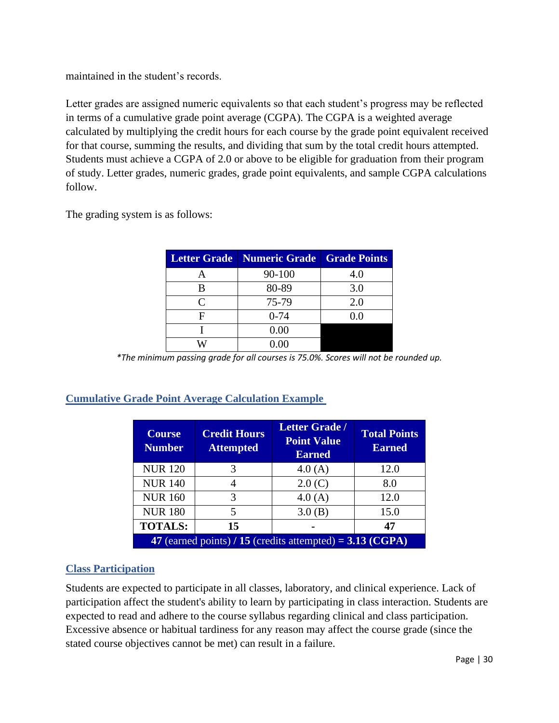maintained in the student's records.

Letter grades are assigned numeric equivalents so that each student's progress may be reflected in terms of a cumulative grade point average (CGPA). The CGPA is a weighted average calculated by multiplying the credit hours for each course by the grade point equivalent received for that course, summing the results, and dividing that sum by the total credit hours attempted. Students must achieve a CGPA of 2.0 or above to be eligible for graduation from their program of study. Letter grades, numeric grades, grade point equivalents, and sample CGPA calculations follow.

The grading system is as follows:

|           | Letter Grade   Numeric Grade   Grade Points |     |
|-----------|---------------------------------------------|-----|
| А         | 90-100                                      | 4.0 |
| В         | 80-89                                       | 3.0 |
| $\subset$ | 75-79                                       | 2.0 |
| F         | $0 - 74$                                    | 0 0 |
|           | 0.00                                        |     |
|           | $0.00\,$                                    |     |

*\*The minimum passing grade for all courses is 75.0%. Scores will not be rounded up.*

# **Cumulative Grade Point Average Calculation Example**

| <b>Course</b><br><b>Number</b>                              | <b>Credit Hours</b><br><b>Attempted</b> | <b>Letter Grade /</b><br><b>Point Value</b><br><b>Earned</b> | <b>Total Points</b><br><b>Earned</b> |
|-------------------------------------------------------------|-----------------------------------------|--------------------------------------------------------------|--------------------------------------|
| <b>NUR120</b>                                               | 3                                       | 4.0(A)                                                       | 12.0                                 |
| <b>NUR 140</b>                                              |                                         | 2.0(C)                                                       | 8.0                                  |
| <b>NUR 160</b>                                              | 3                                       | 4.0(A)                                                       | 12.0                                 |
| <b>NUR 180</b>                                              | 5                                       | 3.0(B)                                                       | 15.0                                 |
| <b>TOTALS:</b>                                              | 15                                      |                                                              | 47                                   |
| 47 (earned points) $/$ 15 (credits attempted) = 3.13 (CGPA) |                                         |                                                              |                                      |

# **Class Participation**

Students are expected to participate in all classes, laboratory, and clinical experience. Lack of participation affect the student's ability to learn by participating in class interaction. Students are expected to read and adhere to the course syllabus regarding clinical and class participation. Excessive absence or habitual tardiness for any reason may affect the course grade (since the stated course objectives cannot be met) can result in a failure.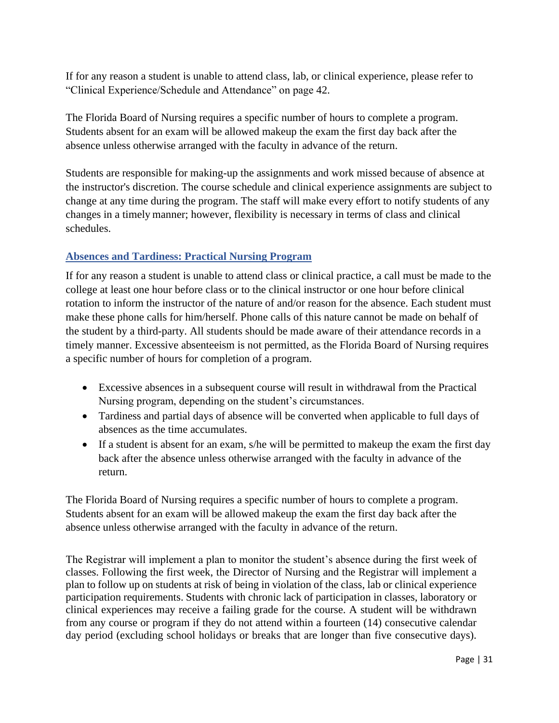If for any reason a student is unable to attend class, lab, or clinical experience, please refer to "Clinical Experience/Schedule and Attendance" on page 42.

The Florida Board of Nursing requires a specific number of hours to complete a program. Students absent for an exam will be allowed makeup the exam the first day back after the absence unless otherwise arranged with the faculty in advance of the return.

Students are responsible for making-up the assignments and work missed because of absence at the instructor's discretion. The course schedule and clinical experience assignments are subject to change at any time during the program. The staff will make every effort to notify students of any changes in a timely manner; however, flexibility is necessary in terms of class and clinical schedules.

# **Absences and Tardiness: Practical Nursing Program**

If for any reason a student is unable to attend class or clinical practice, a call must be made to the college at least one hour before class or to the clinical instructor or one hour before clinical rotation to inform the instructor of the nature of and/or reason for the absence. Each student must make these phone calls for him/herself. Phone calls of this nature cannot be made on behalf of the student by a third-party. All students should be made aware of their attendance records in a timely manner. Excessive absenteeism is not permitted, as the Florida Board of Nursing requires a specific number of hours for completion of a program.

- Excessive absences in a subsequent course will result in withdrawal from the Practical Nursing program, depending on the student's circumstances.
- Tardiness and partial days of absence will be converted when applicable to full days of absences as the time accumulates.
- If a student is absent for an exam, s/he will be permitted to makeup the exam the first day back after the absence unless otherwise arranged with the faculty in advance of the return.

The Florida Board of Nursing requires a specific number of hours to complete a program. Students absent for an exam will be allowed makeup the exam the first day back after the absence unless otherwise arranged with the faculty in advance of the return.

The Registrar will implement a plan to monitor the student's absence during the first week of classes. Following the first week, the Director of Nursing and the Registrar will implement a plan to follow up on students at risk of being in violation of the class, lab or clinical experience participation requirements. Students with chronic lack of participation in classes, laboratory or clinical experiences may receive a failing grade for the course. A student will be withdrawn from any course or program if they do not attend within a fourteen (14) consecutive calendar day period (excluding school holidays or breaks that are longer than five consecutive days).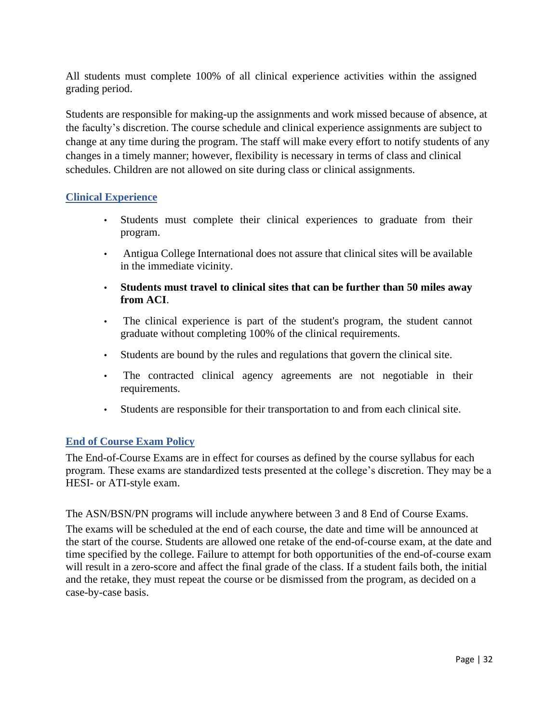All students must complete 100% of all clinical experience activities within the assigned grading period.

Students are responsible for making-up the assignments and work missed because of absence, at the faculty's discretion. The course schedule and clinical experience assignments are subject to change at any time during the program. The staff will make every effort to notify students of any changes in a timely manner; however, flexibility is necessary in terms of class and clinical schedules. Children are not allowed on site during class or clinical assignments.

#### **Clinical Experience**

- Students must complete their clinical experiences to graduate from their program.
- Antigua College International does not assure that clinical sites will be available in the immediate vicinity.
- **Students must travel to clinical sites that can be further than 50 miles away from ACI**.
- The clinical experience is part of the student's program, the student cannot graduate without completing 100% of the clinical requirements.
- Students are bound by the rules and regulations that govern the clinical site.
- The contracted clinical agency agreements are not negotiable in their requirements.
- Students are responsible for their transportation to and from each clinical site.

# **End of Course Exam Policy**

The End-of-Course Exams are in effect for courses as defined by the course syllabus for each program. These exams are standardized tests presented at the college's discretion. They may be a HESI- or ATI-style exam.

The ASN/BSN/PN programs will include anywhere between 3 and 8 End of Course Exams. The exams will be scheduled at the end of each course, the date and time will be announced at the start of the course. Students are allowed one retake of the end-of-course exam, at the date and time specified by the college. Failure to attempt for both opportunities of the end-of-course exam will result in a zero-score and affect the final grade of the class. If a student fails both, the initial and the retake, they must repeat the course or be dismissed from the program, as decided on a case-by-case basis.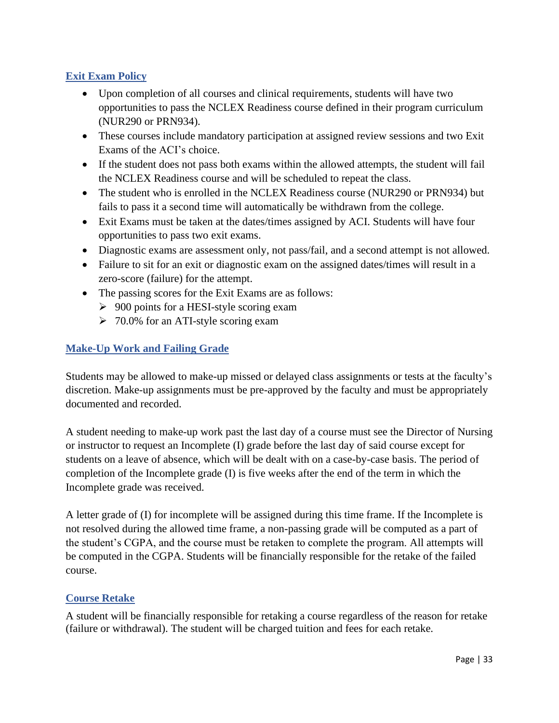# **Exit Exam Policy**

- Upon completion of all courses and clinical requirements, students will have two opportunities to pass the NCLEX Readiness course defined in their program curriculum (NUR290 or PRN934).
- These courses include mandatory participation at assigned review sessions and two Exit Exams of the ACI's choice.
- If the student does not pass both exams within the allowed attempts, the student will fail the NCLEX Readiness course and will be scheduled to repeat the class.
- The student who is enrolled in the NCLEX Readiness course (NUR290 or PRN934) but fails to pass it a second time will automatically be withdrawn from the college.
- Exit Exams must be taken at the dates/times assigned by ACI. Students will have four opportunities to pass two exit exams.
- Diagnostic exams are assessment only, not pass/fail, and a second attempt is not allowed.
- Failure to sit for an exit or diagnostic exam on the assigned dates/times will result in a zero-score (failure) for the attempt.
- The passing scores for the Exit Exams are as follows:
	- $\geq 900$  points for a HESI-style scoring exam
	- $\geq 70.0\%$  for an ATI-style scoring exam

# **Make-Up Work and Failing Grade**

Students may be allowed to make-up missed or delayed class assignments or tests at the faculty's discretion. Make-up assignments must be pre-approved by the faculty and must be appropriately documented and recorded.

A student needing to make-up work past the last day of a course must see the Director of Nursing or instructor to request an Incomplete (I) grade before the last day of said course except for students on a leave of absence, which will be dealt with on a case-by-case basis. The period of completion of the Incomplete grade (I) is five weeks after the end of the term in which the Incomplete grade was received.

A letter grade of (I) for incomplete will be assigned during this time frame. If the Incomplete is not resolved during the allowed time frame, a non-passing grade will be computed as a part of the student's CGPA, and the course must be retaken to complete the program. All attempts will be computed in the CGPA. Students will be financially responsible for the retake of the failed course.

# **Course Retake**

A student will be financially responsible for retaking a course regardless of the reason for retake (failure or withdrawal). The student will be charged tuition and fees for each retake.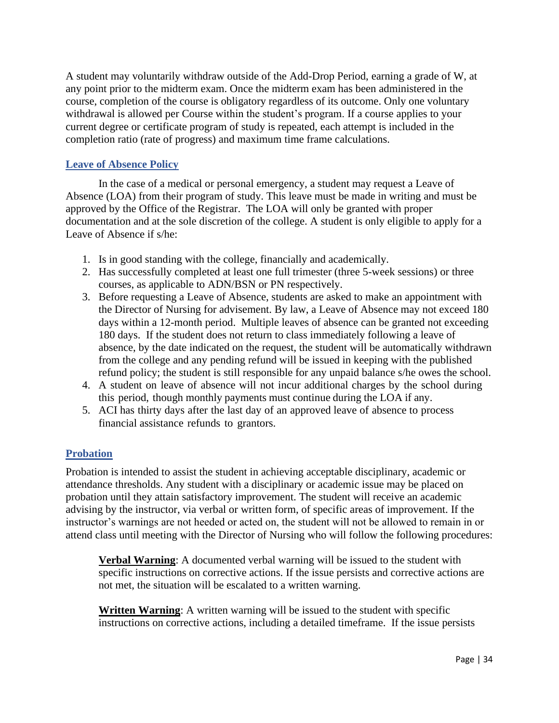A student may voluntarily withdraw outside of the Add-Drop Period, earning a grade of W, at any point prior to the midterm exam. Once the midterm exam has been administered in the course, completion of the course is obligatory regardless of its outcome. Only one voluntary withdrawal is allowed per Course within the student's program. If a course applies to your current degree or certificate program of study is repeated, each attempt is included in the completion ratio (rate of progress) and maximum time frame calculations.

#### **Leave of Absence Policy**

In the case of a medical or personal emergency, a student may request a Leave of Absence (LOA) from their program of study. This leave must be made in writing and must be approved by the Office of the Registrar. The LOA will only be granted with proper documentation and at the sole discretion of the college. A student is only eligible to apply for a Leave of Absence if s/he:

- 1. Is in good standing with the college, financially and academically.
- 2. Has successfully completed at least one full trimester (three 5-week sessions) or three courses, as applicable to ADN/BSN or PN respectively.
- 3. Before requesting a Leave of Absence, students are asked to make an appointment with the Director of Nursing for advisement. By law, a Leave of Absence may not exceed 180 days within a 12-month period. Multiple leaves of absence can be granted not exceeding 180 days. If the student does not return to class immediately following a leave of absence, by the date indicated on the request, the student will be automatically withdrawn from the college and any pending refund will be issued in keeping with the published refund policy; the student is still responsible for any unpaid balance s/he owes the school.
- 4. A student on leave of absence will not incur additional charges by the school during this period, though monthly payments must continue during the LOA if any.
- 5. ACI has thirty days after the last day of an approved leave of absence to process financial assistance refunds to grantors.

#### **Probation**

Probation is intended to assist the student in achieving acceptable disciplinary, academic or attendance thresholds. Any student with a disciplinary or academic issue may be placed on probation until they attain satisfactory improvement. The student will receive an academic advising by the instructor, via verbal or written form, of specific areas of improvement. If the instructor's warnings are not heeded or acted on, the student will not be allowed to remain in or attend class until meeting with the Director of Nursing who will follow the following procedures:

**Verbal Warning**: A documented verbal warning will be issued to the student with specific instructions on corrective actions. If the issue persists and corrective actions are not met, the situation will be escalated to a written warning.

**Written Warning**: A written warning will be issued to the student with specific instructions on corrective actions, including a detailed timeframe. If the issue persists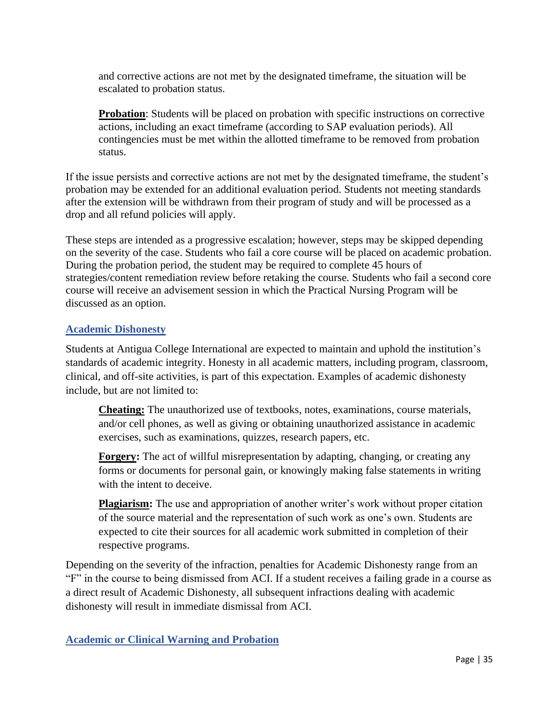and corrective actions are not met by the designated timeframe, the situation will be escalated to probation status.

**Probation**: Students will be placed on probation with specific instructions on corrective actions, including an exact timeframe (according to SAP evaluation periods). All contingencies must be met within the allotted timeframe to be removed from probation status.

If the issue persists and corrective actions are not met by the designated timeframe, the student's probation may be extended for an additional evaluation period. Students not meeting standards after the extension will be withdrawn from their program of study and will be processed as a drop and all refund policies will apply.

These steps are intended as a progressive escalation; however, steps may be skipped depending on the severity of the case. Students who fail a core course will be placed on academic probation. During the probation period, the student may be required to complete 45 hours of strategies/content remediation review before retaking the course. Students who fail a second core course will receive an advisement session in which the Practical Nursing Program will be discussed as an option.

#### **Academic Dishonesty**

Students at Antigua College International are expected to maintain and uphold the institution's standards of academic integrity. Honesty in all academic matters, including program, classroom, clinical, and off-site activities, is part of this expectation. Examples of academic dishonesty include, but are not limited to:

**Cheating:** The unauthorized use of textbooks, notes, examinations, course materials, and/or cell phones, as well as giving or obtaining unauthorized assistance in academic exercises, such as examinations, quizzes, research papers, etc.

**Forgery:** The act of willful misrepresentation by adapting, changing, or creating any forms or documents for personal gain, or knowingly making false statements in writing with the intent to deceive.

**Plagiarism:** The use and appropriation of another writer's work without proper citation of the source material and the representation of such work as one's own. Students are expected to cite their sources for all academic work submitted in completion of their respective programs.

Depending on the severity of the infraction, penalties for Academic Dishonesty range from an "F" in the course to being dismissed from ACI. If a student receives a failing grade in a course as a direct result of Academic Dishonesty, all subsequent infractions dealing with academic dishonesty will result in immediate dismissal from ACI.

**Academic or Clinical Warning and Probation**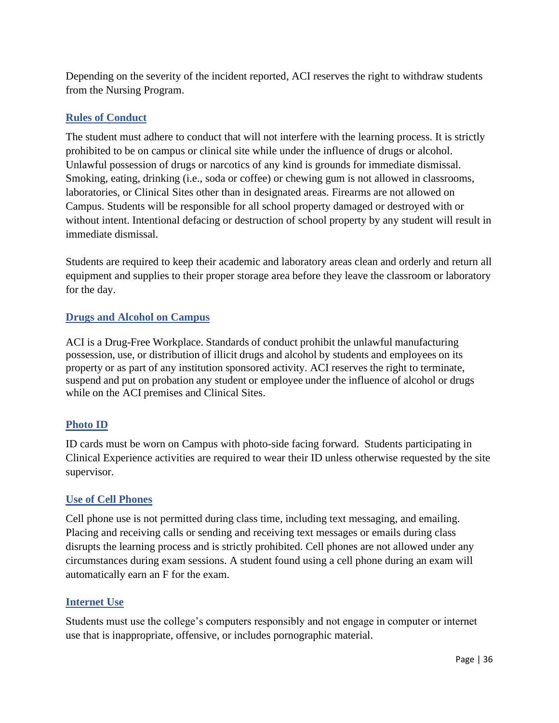Depending on the severity of the incident reported, ACI reserves the right to withdraw students from the Nursing Program.

# **Rules of Conduct**

The student must adhere to conduct that will not interfere with the learning process. It is strictly prohibited to be on campus or clinical site while under the influence of drugs or alcohol. Unlawful possession of drugs or narcotics of any kind is grounds for immediate dismissal. Smoking, eating, drinking (i.e., soda or coffee) or chewing gum is not allowed in classrooms, laboratories, or Clinical Sites other than in designated areas. Firearms are not allowed on Campus. Students will be responsible for all school property damaged or destroyed with or without intent. Intentional defacing or destruction of school property by any student will result in immediate dismissal.

Students are required to keep their academic and laboratory areas clean and orderly and return all equipment and supplies to their proper storage area before they leave the classroom or laboratory for the day.

#### **Drugs and Alcohol on Campus**

ACI is a Drug-Free Workplace. Standards of conduct prohibit the unlawful manufacturing possession, use, or distribution of illicit drugs and alcohol by students and employees on its property or as part of any institution sponsored activity. ACI reserves the right to terminate, suspend and put on probation any student or employee under the influence of alcohol or drugs while on the ACI premises and Clinical Sites.

# **Photo ID**

ID cards must be worn on Campus with photo-side facing forward. Students participating in Clinical Experience activities are required to wear their ID unless otherwise requested by the site supervisor.

#### **Use of Cell Phones**

Cell phone use is not permitted during class time, including text messaging, and emailing. Placing and receiving calls or sending and receiving text messages or emails during class disrupts the learning process and is strictly prohibited. Cell phones are not allowed under any circumstances during exam sessions. A student found using a cell phone during an exam will automatically earn an F for the exam.

#### **Internet Use**

Students must use the college's computers responsibly and not engage in computer or internet use that is inappropriate, offensive, or includes pornographic material.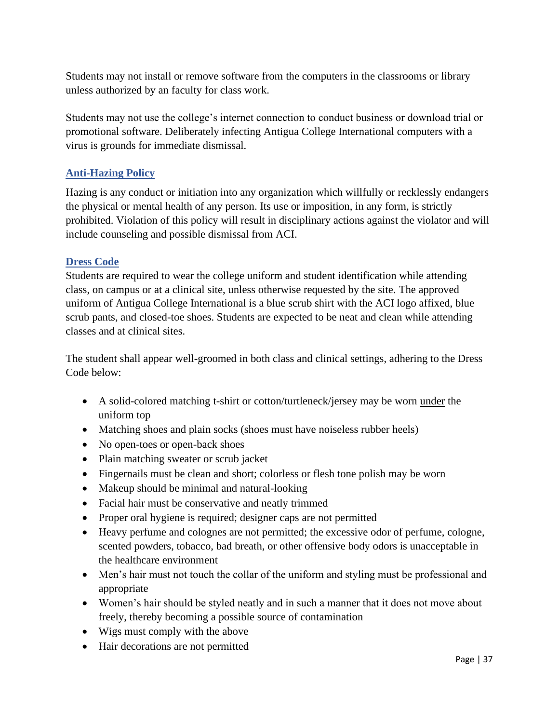Students may not install or remove software from the computers in the classrooms or library unless authorized by an faculty for class work.

Students may not use the college's internet connection to conduct business or download trial or promotional software. Deliberately infecting Antigua College International computers with a virus is grounds for immediate dismissal.

# **Anti-Hazing Policy**

Hazing is any conduct or initiation into any organization which willfully or recklessly endangers the physical or mental health of any person. Its use or imposition, in any form, is strictly prohibited. Violation of this policy will result in disciplinary actions against the violator and will include counseling and possible dismissal from ACI.

#### **Dress Code**

Students are required to wear the college uniform and student identification while attending class, on campus or at a clinical site, unless otherwise requested by the site. The approved uniform of Antigua College International is a blue scrub shirt with the ACI logo affixed, blue scrub pants, and closed-toe shoes. Students are expected to be neat and clean while attending classes and at clinical sites.

The student shall appear well-groomed in both class and clinical settings, adhering to the Dress Code below:

- A solid-colored matching t-shirt or cotton/turtleneck/jersey may be worn under the uniform top
- Matching shoes and plain socks (shoes must have noiseless rubber heels)
- No open-toes or open-back shoes
- Plain matching sweater or scrub jacket
- Fingernails must be clean and short; colorless or flesh tone polish may be worn
- Makeup should be minimal and natural-looking
- Facial hair must be conservative and neatly trimmed
- Proper oral hygiene is required; designer caps are not permitted
- Heavy perfume and colognes are not permitted; the excessive odor of perfume, cologne, scented powders, tobacco, bad breath, or other offensive body odors is unacceptable in the healthcare environment
- Men's hair must not touch the collar of the uniform and styling must be professional and appropriate
- Women's hair should be styled neatly and in such a manner that it does not move about freely, thereby becoming a possible source of contamination
- Wigs must comply with the above
- Hair decorations are not permitted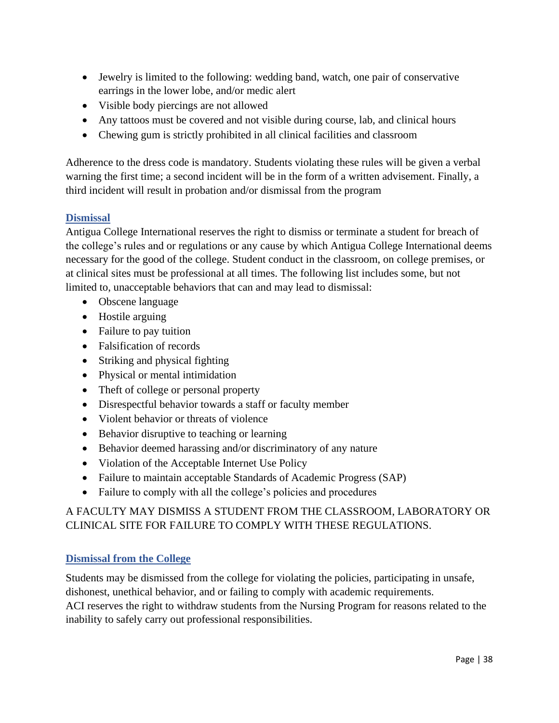- Jewelry is limited to the following: wedding band, watch, one pair of conservative earrings in the lower lobe, and/or medic alert
- Visible body piercings are not allowed
- Any tattoos must be covered and not visible during course, lab, and clinical hours
- Chewing gum is strictly prohibited in all clinical facilities and classroom

Adherence to the dress code is mandatory. Students violating these rules will be given a verbal warning the first time; a second incident will be in the form of a written advisement. Finally, a third incident will result in probation and/or dismissal from the program

#### **Dismissal**

Antigua College International reserves the right to dismiss or terminate a student for breach of the college's rules and or regulations or any cause by which Antigua College International deems necessary for the good of the college. Student conduct in the classroom, on college premises, or at clinical sites must be professional at all times. The following list includes some, but not limited to, unacceptable behaviors that can and may lead to dismissal:

- Obscene language
- Hostile arguing
- Failure to pay tuition
- Falsification of records
- Striking and physical fighting
- Physical or mental intimidation
- Theft of college or personal property
- Disrespectful behavior towards a staff or faculty member
- Violent behavior or threats of violence
- Behavior disruptive to teaching or learning
- Behavior deemed harassing and/or discriminatory of any nature
- Violation of the Acceptable Internet Use Policy
- Failure to maintain acceptable Standards of Academic Progress (SAP)
- Failure to comply with all the college's policies and procedures

# A FACULTY MAY DISMISS A STUDENT FROM THE CLASSROOM, LABORATORY OR CLINICAL SITE FOR FAILURE TO COMPLY WITH THESE REGULATIONS.

# **Dismissal from the College**

Students may be dismissed from the college for violating the policies, participating in unsafe, dishonest, unethical behavior, and or failing to comply with academic requirements. ACI reserves the right to withdraw students from the Nursing Program for reasons related to the inability to safely carry out professional responsibilities.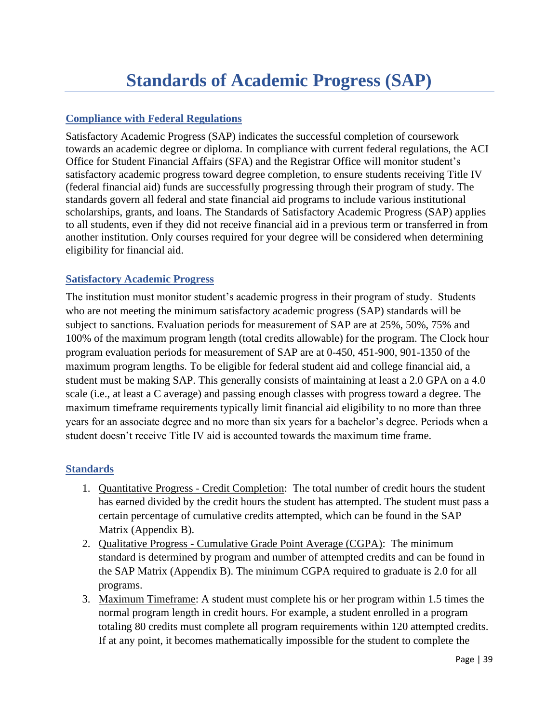# **Compliance with Federal Regulations**

Satisfactory Academic Progress (SAP) indicates the successful completion of coursework towards an academic degree or diploma. In compliance with current federal regulations, the ACI Office for Student Financial Affairs (SFA) and the Registrar Office will monitor student's satisfactory academic progress toward degree completion, to ensure students receiving Title IV (federal financial aid) funds are successfully progressing through their program of study. The standards govern all federal and state financial aid programs to include various institutional scholarships, grants, and loans. The Standards of Satisfactory Academic Progress (SAP) applies to all students, even if they did not receive financial aid in a previous term or transferred in from another institution. Only courses required for your degree will be considered when determining eligibility for financial aid.

# **Satisfactory Academic Progress**

The institution must monitor student's academic progress in their program of study. Students who are not meeting the minimum satisfactory academic progress (SAP) standards will be subject to sanctions. Evaluation periods for measurement of SAP are at 25%, 50%, 75% and 100% of the maximum program length (total credits allowable) for the program. The Clock hour program evaluation periods for measurement of SAP are at 0-450, 451-900, 901-1350 of the maximum program lengths. To be eligible for federal student aid and college financial aid, a student must be making SAP. This generally consists of maintaining at least a 2.0 GPA on a 4.0 scale (i.e., at least a C average) and passing enough classes with progress toward a degree. The maximum timeframe requirements typically limit financial aid eligibility to no more than three years for an associate degree and no more than six years for a bachelor's degree. Periods when a student doesn't receive Title IV aid is accounted towards the maximum time frame.

# **Standards**

- 1. Quantitative Progress Credit Completion: The total number of credit hours the student has earned divided by the credit hours the student has attempted. The student must pass a certain percentage of cumulative credits attempted, which can be found in the SAP Matrix (Appendix B).
- 2. Qualitative Progress Cumulative Grade Point Average (CGPA): The minimum standard is determined by program and number of attempted credits and can be found in the SAP Matrix (Appendix B). The minimum CGPA required to graduate is 2.0 for all programs.
- 3. Maximum Timeframe: A student must complete his or her program within 1.5 times the normal program length in credit hours. For example, a student enrolled in a program totaling 80 credits must complete all program requirements within 120 attempted credits. If at any point, it becomes mathematically impossible for the student to complete the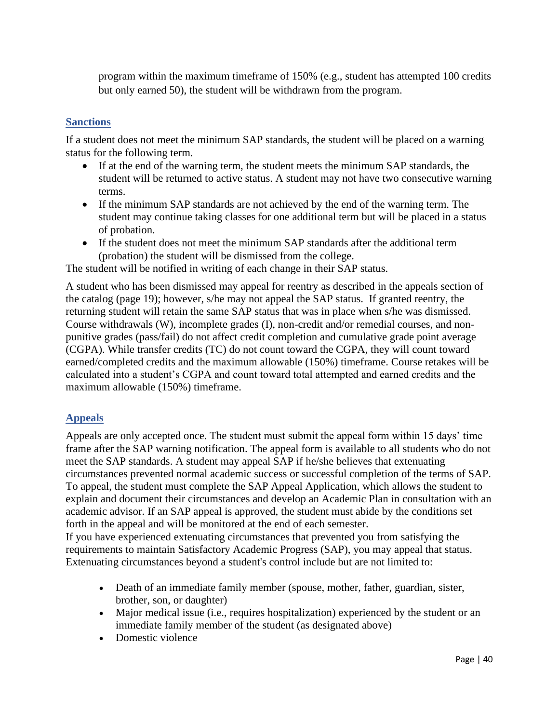program within the maximum timeframe of 150% (e.g., student has attempted 100 credits but only earned 50), the student will be withdrawn from the program.

#### **Sanctions**

If a student does not meet the minimum SAP standards, the student will be placed on a warning status for the following term.

- If at the end of the warning term, the student meets the minimum SAP standards, the student will be returned to active status. A student may not have two consecutive warning terms.
- If the minimum SAP standards are not achieved by the end of the warning term. The student may continue taking classes for one additional term but will be placed in a status of probation.
- If the student does not meet the minimum SAP standards after the additional term (probation) the student will be dismissed from the college.

The student will be notified in writing of each change in their SAP status.

A student who has been dismissed may appeal for reentry as described in the appeals section of the catalog (page 19); however, s/he may not appeal the SAP status. If granted reentry, the returning student will retain the same SAP status that was in place when s/he was dismissed. Course withdrawals (W), incomplete grades (I), non-credit and/or remedial courses, and nonpunitive grades (pass/fail) do not affect credit completion and cumulative grade point average (CGPA). While transfer credits (TC) do not count toward the CGPA, they will count toward earned/completed credits and the maximum allowable (150%) timeframe. Course retakes will be calculated into a student's CGPA and count toward total attempted and earned credits and the maximum allowable (150%) timeframe.

# **Appeals**

Appeals are only accepted once. The student must submit the appeal form within 15 days' time frame after the SAP warning notification. The appeal form is available to all students who do not meet the SAP standards. A student may appeal SAP if he/she believes that extenuating circumstances prevented normal academic success or successful completion of the terms of SAP. To appeal, the student must complete the SAP Appeal Application, which allows the student to explain and document their circumstances and develop an Academic Plan in consultation with an academic advisor. If an SAP appeal is approved, the student must abide by the conditions set forth in the appeal and will be monitored at the end of each semester.

If you have experienced extenuating circumstances that prevented you from satisfying the requirements to maintain Satisfactory Academic Progress (SAP), you may appeal that status. Extenuating circumstances beyond a student's control include but are not limited to:

- Death of an immediate family member (spouse, mother, father, guardian, sister, brother, son, or daughter)
- Major medical issue (i.e., requires hospitalization) experienced by the student or an immediate family member of the student (as designated above)
- Domestic violence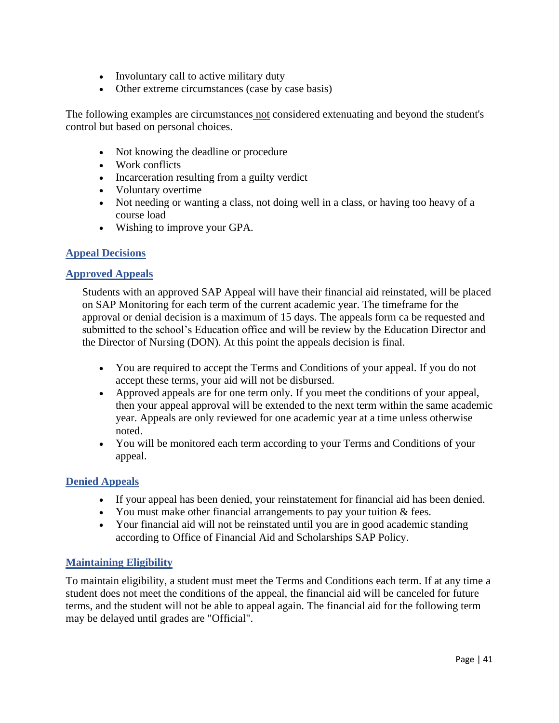- Involuntary call to active military duty
- Other extreme circumstances (case by case basis)

The following examples are circumstances not considered extenuating and beyond the student's control but based on personal choices.

- Not knowing the deadline or procedure
- Work conflicts
- Incarceration resulting from a guilty verdict
- Voluntary overtime
- Not needing or wanting a class, not doing well in a class, or having too heavy of a course load
- Wishing to improve your GPA.

#### **Appeal Decisions**

#### **Approved Appeals**

Students with an approved SAP Appeal will have their financial aid reinstated, will be placed on SAP Monitoring for each term of the current academic year. The timeframe for the approval or denial decision is a maximum of 15 days. The appeals form ca be requested and submitted to the school's Education office and will be review by the Education Director and the Director of Nursing (DON). At this point the appeals decision is final.

- You are required to accept the Terms and Conditions of your appeal. If you do not accept these terms, your aid will not be disbursed.
- Approved appeals are for one term only. If you meet the conditions of your appeal, then your appeal approval will be extended to the next term within the same academic year. Appeals are only reviewed for one academic year at a time unless otherwise noted.
- You will be monitored each term according to your Terms and Conditions of your appeal.

#### **Denied Appeals**

- If your appeal has been denied, your reinstatement for financial aid has been denied.
- You must make other financial arrangements to pay your tuition & fees.
- Your financial aid will not be reinstated until you are in good academic standing according to Office of Financial Aid and Scholarships SAP Policy.

# **Maintaining Eligibility**

To maintain eligibility, a student must meet the Terms and Conditions each term. If at any time a student does not meet the conditions of the appeal, the financial aid will be canceled for future terms, and the student will not be able to appeal again. The financial aid for the following term may be delayed until grades are "Official".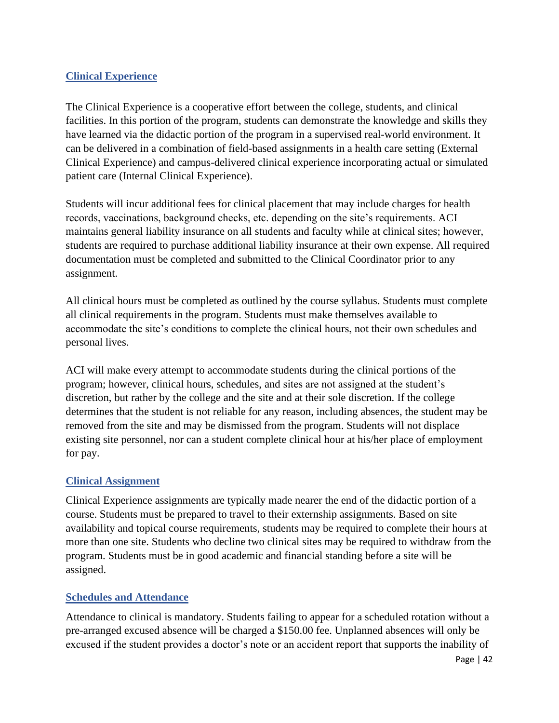# **Clinical Experience**

The Clinical Experience is a cooperative effort between the college, students, and clinical facilities. In this portion of the program, students can demonstrate the knowledge and skills they have learned via the didactic portion of the program in a supervised real-world environment. It can be delivered in a combination of field-based assignments in a health care setting (External Clinical Experience) and campus-delivered clinical experience incorporating actual or simulated patient care (Internal Clinical Experience).

Students will incur additional fees for clinical placement that may include charges for health records, vaccinations, background checks, etc. depending on the site's requirements. ACI maintains general liability insurance on all students and faculty while at clinical sites; however, students are required to purchase additional liability insurance at their own expense. All required documentation must be completed and submitted to the Clinical Coordinator prior to any assignment.

All clinical hours must be completed as outlined by the course syllabus. Students must complete all clinical requirements in the program. Students must make themselves available to accommodate the site's conditions to complete the clinical hours, not their own schedules and personal lives.

ACI will make every attempt to accommodate students during the clinical portions of the program; however, clinical hours, schedules, and sites are not assigned at the student's discretion, but rather by the college and the site and at their sole discretion. If the college determines that the student is not reliable for any reason, including absences, the student may be removed from the site and may be dismissed from the program. Students will not displace existing site personnel, nor can a student complete clinical hour at his/her place of employment for pay.

#### **Clinical Assignment**

Clinical Experience assignments are typically made nearer the end of the didactic portion of a course. Students must be prepared to travel to their externship assignments. Based on site availability and topical course requirements, students may be required to complete their hours at more than one site. Students who decline two clinical sites may be required to withdraw from the program. Students must be in good academic and financial standing before a site will be assigned.

#### **Schedules and Attendance**

Attendance to clinical is mandatory. Students failing to appear for a scheduled rotation without a pre-arranged excused absence will be charged a \$150.00 fee. Unplanned absences will only be excused if the student provides a doctor's note or an accident report that supports the inability of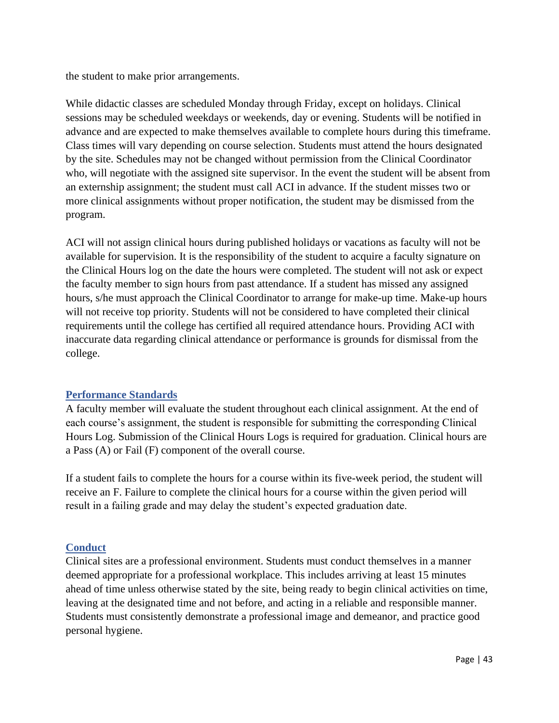the student to make prior arrangements.

While didactic classes are scheduled Monday through Friday, except on holidays. Clinical sessions may be scheduled weekdays or weekends, day or evening. Students will be notified in advance and are expected to make themselves available to complete hours during this timeframe. Class times will vary depending on course selection. Students must attend the hours designated by the site. Schedules may not be changed without permission from the Clinical Coordinator who, will negotiate with the assigned site supervisor. In the event the student will be absent from an externship assignment; the student must call ACI in advance. If the student misses two or more clinical assignments without proper notification, the student may be dismissed from the program.

ACI will not assign clinical hours during published holidays or vacations as faculty will not be available for supervision. It is the responsibility of the student to acquire a faculty signature on the Clinical Hours log on the date the hours were completed. The student will not ask or expect the faculty member to sign hours from past attendance. If a student has missed any assigned hours, s/he must approach the Clinical Coordinator to arrange for make-up time. Make-up hours will not receive top priority. Students will not be considered to have completed their clinical requirements until the college has certified all required attendance hours. Providing ACI with inaccurate data regarding clinical attendance or performance is grounds for dismissal from the college.

#### **Performance Standards**

A faculty member will evaluate the student throughout each clinical assignment. At the end of each course's assignment, the student is responsible for submitting the corresponding Clinical Hours Log. Submission of the Clinical Hours Logs is required for graduation. Clinical hours are a Pass (A) or Fail (F) component of the overall course.

If a student fails to complete the hours for a course within its five-week period, the student will receive an F. Failure to complete the clinical hours for a course within the given period will result in a failing grade and may delay the student's expected graduation date.

#### **Conduct**

Clinical sites are a professional environment. Students must conduct themselves in a manner deemed appropriate for a professional workplace. This includes arriving at least 15 minutes ahead of time unless otherwise stated by the site, being ready to begin clinical activities on time, leaving at the designated time and not before, and acting in a reliable and responsible manner. Students must consistently demonstrate a professional image and demeanor, and practice good personal hygiene.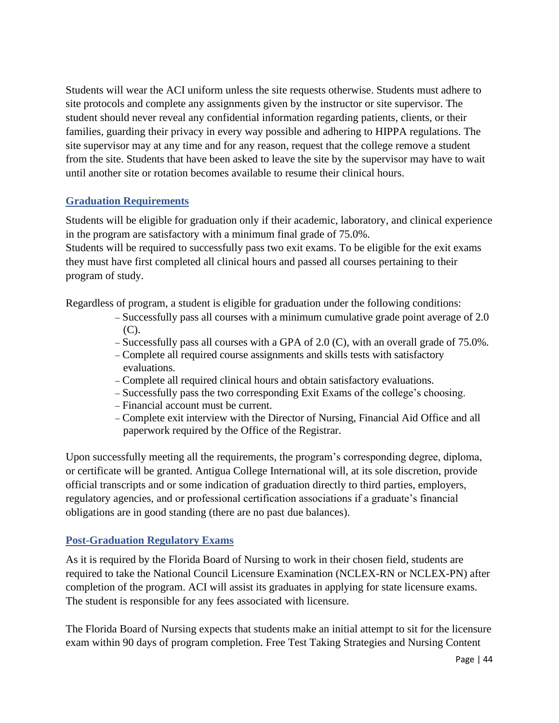Students will wear the ACI uniform unless the site requests otherwise. Students must adhere to site protocols and complete any assignments given by the instructor or site supervisor. The student should never reveal any confidential information regarding patients, clients, or their families, guarding their privacy in every way possible and adhering to HIPPA regulations. The site supervisor may at any time and for any reason, request that the college remove a student from the site. Students that have been asked to leave the site by the supervisor may have to wait until another site or rotation becomes available to resume their clinical hours.

# **Graduation Requirements**

Students will be eligible for graduation only if their academic, laboratory, and clinical experience in the program are satisfactory with a minimum final grade of 75.0%.

Students will be required to successfully pass two exit exams. To be eligible for the exit exams they must have first completed all clinical hours and passed all courses pertaining to their program of study.

Regardless of program, a student is eligible for graduation under the following conditions:

- − Successfully pass all courses with a minimum cumulative grade point average of 2.0 (C).
- − Successfully pass all courses with a GPA of 2.0 (C), with an overall grade of 75.0%.
- − Complete all required course assignments and skills tests with satisfactory evaluations.
- − Complete all required clinical hours and obtain satisfactory evaluations.
- − Successfully pass the two corresponding Exit Exams of the college's choosing.
- − Financial account must be current.
- − Complete exit interview with the Director of Nursing, Financial Aid Office and all paperwork required by the Office of the Registrar.

Upon successfully meeting all the requirements, the program's corresponding degree, diploma, or certificate will be granted. Antigua College International will, at its sole discretion, provide official transcripts and or some indication of graduation directly to third parties, employers, regulatory agencies, and or professional certification associations if a graduate's financial obligations are in good standing (there are no past due balances).

# **Post-Graduation Regulatory Exams**

As it is required by the Florida Board of Nursing to work in their chosen field, students are required to take the National Council Licensure Examination (NCLEX-RN or NCLEX-PN) after completion of the program. ACI will assist its graduates in applying for state licensure exams. The student is responsible for any fees associated with licensure.

The Florida Board of Nursing expects that students make an initial attempt to sit for the licensure exam within 90 days of program completion. Free Test Taking Strategies and Nursing Content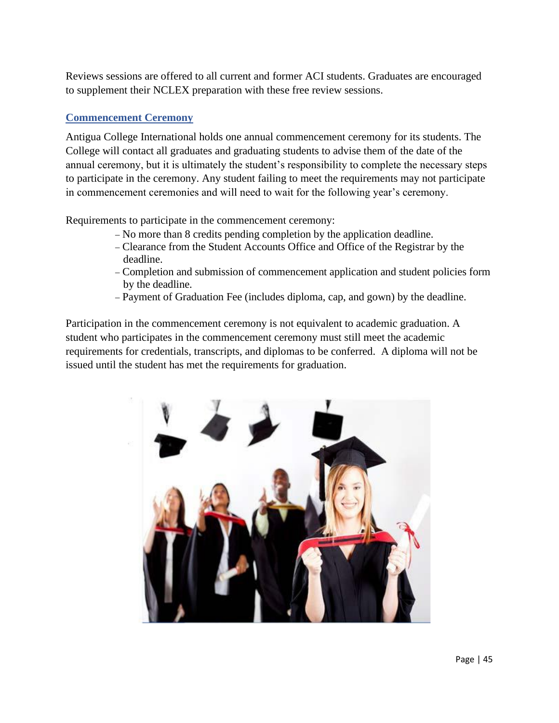Reviews sessions are offered to all current and former ACI students. Graduates are encouraged to supplement their NCLEX preparation with these free review sessions.

# **Commencement Ceremony**

Antigua College International holds one annual commencement ceremony for its students. The College will contact all graduates and graduating students to advise them of the date of the annual ceremony, but it is ultimately the student's responsibility to complete the necessary steps to participate in the ceremony. Any student failing to meet the requirements may not participate in commencement ceremonies and will need to wait for the following year's ceremony.

Requirements to participate in the commencement ceremony:

- − No more than 8 credits pending completion by the application deadline.
- − Clearance from the Student Accounts Office and Office of the Registrar by the deadline.
- − Completion and submission of commencement application and student policies form by the deadline.
- − Payment of Graduation Fee (includes diploma, cap, and gown) by the deadline.

Participation in the commencement ceremony is not equivalent to academic graduation. A student who participates in the commencement ceremony must still meet the academic requirements for credentials, transcripts, and diplomas to be conferred. A diploma will not be issued until the student has met the requirements for graduation.

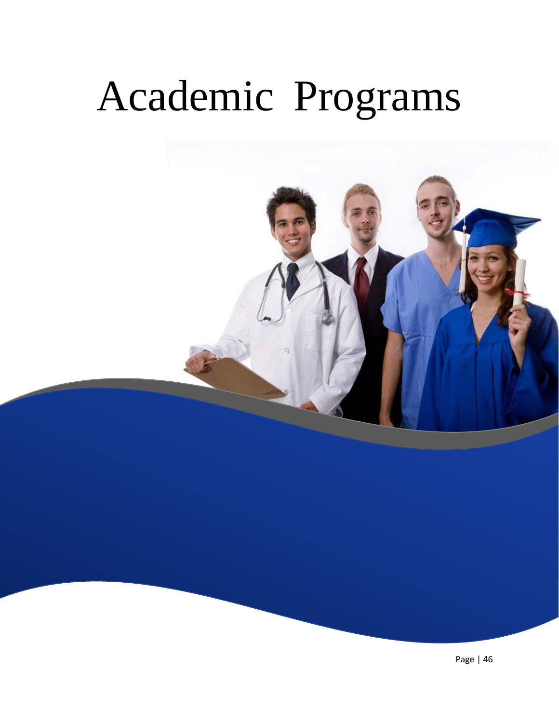# Academic Programs

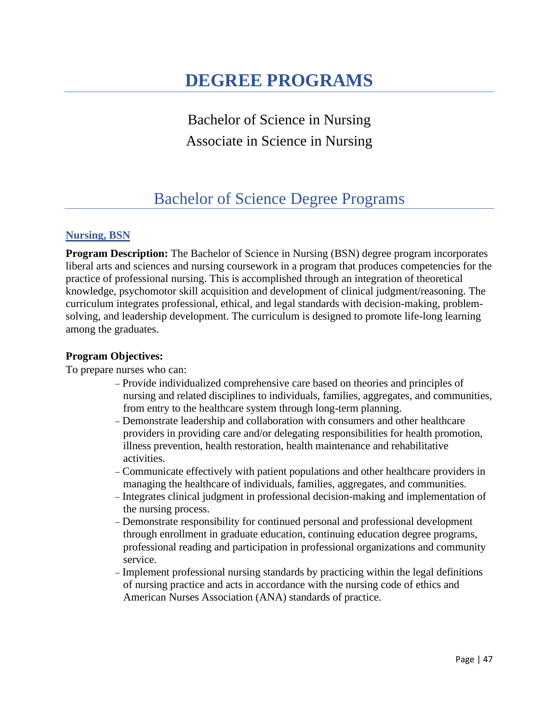# **DEGREE PROGRAMS**

Bachelor of Science in Nursing Associate in Science in Nursing

# Bachelor of Science Degree Programs

#### **Nursing, BSN**

**Program Description:** The Bachelor of Science in Nursing (BSN) degree program incorporates liberal arts and sciences and nursing coursework in a program that produces competencies for the practice of professional nursing. This is accomplished through an integration of theoretical knowledge, psychomotor skill acquisition and development of clinical judgment/reasoning. The curriculum integrates professional, ethical, and legal standards with decision-making, problemsolving, and leadership development. The curriculum is designed to promote life-long learning among the graduates.

#### **Program Objectives:**

To prepare nurses who can:

- − Provide individualized comprehensive care based on theories and principles of nursing and related disciplines to individuals, families, aggregates, and communities, from entry to the healthcare system through long-term planning.
- − Demonstrate leadership and collaboration with consumers and other healthcare providers in providing care and/or delegating responsibilities for health promotion, illness prevention, health restoration, health maintenance and rehabilitative activities.
- − Communicate effectively with patient populations and other healthcare providers in managing the healthcare of individuals, families, aggregates, and communities.
- − Integrates clinical judgment in professional decision-making and implementation of the nursing process.
- − Demonstrate responsibility for continued personal and professional development through enrollment in graduate education, continuing education degree programs, professional reading and participation in professional organizations and community service.
- − Implement professional nursing standards by practicing within the legal definitions of nursing practice and acts in accordance with the nursing code of ethics and American Nurses Association (ANA) standards of practice.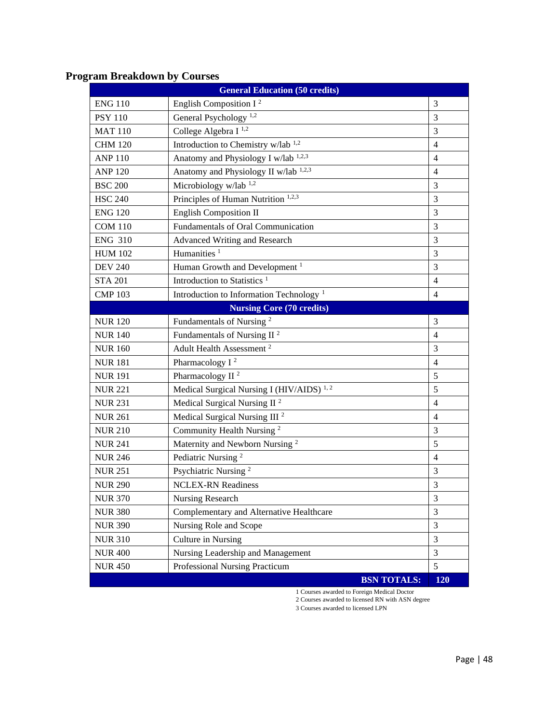| <b>General Education (50 credits)</b> |                                                      |                |  |
|---------------------------------------|------------------------------------------------------|----------------|--|
| <b>ENG 110</b>                        | English Composition I <sup>2</sup>                   | 3              |  |
| <b>PSY 110</b>                        | General Psychology <sup>1,2</sup>                    | 3              |  |
| <b>MAT 110</b>                        | College Algebra I <sup>1,2</sup>                     | 3              |  |
| <b>CHM 120</b>                        | Introduction to Chemistry w/lab <sup>1,2</sup>       | $\overline{4}$ |  |
| <b>ANP 110</b>                        | Anatomy and Physiology I w/lab 1,2,3                 | $\overline{4}$ |  |
| <b>ANP 120</b>                        | Anatomy and Physiology II w/lab 1,2,3                | $\overline{4}$ |  |
| <b>BSC 200</b>                        | Microbiology w/lab $1,2$                             | 3              |  |
| <b>HSC 240</b>                        | Principles of Human Nutrition <sup>1,2,3</sup>       | 3              |  |
| <b>ENG 120</b>                        | <b>English Composition II</b>                        | 3              |  |
| <b>COM 110</b>                        | Fundamentals of Oral Communication                   | 3              |  |
| <b>ENG 310</b>                        | <b>Advanced Writing and Research</b>                 | 3              |  |
| <b>HUM 102</b>                        | Humanities <sup>1</sup>                              | 3              |  |
| <b>DEV 240</b>                        | Human Growth and Development <sup>1</sup>            | 3              |  |
| <b>STA 201</b>                        | Introduction to Statistics <sup>1</sup>              | $\overline{4}$ |  |
| <b>CMP 103</b>                        | Introduction to Information Technology <sup>1</sup>  | $\overline{4}$ |  |
|                                       | <b>Nursing Core (70 credits)</b>                     |                |  |
| <b>NUR120</b>                         | Fundamentals of Nursing <sup>2</sup>                 | 3              |  |
| <b>NUR 140</b>                        | Fundamentals of Nursing II <sup>2</sup>              | $\overline{4}$ |  |
| <b>NUR160</b>                         | Adult Health Assessment <sup>2</sup>                 | 3              |  |
| <b>NUR 181</b>                        | Pharmacology I <sup>2</sup>                          | $\overline{4}$ |  |
| <b>NUR 191</b>                        | Pharmacology II <sup>2</sup>                         | 5              |  |
| <b>NUR 221</b>                        | Medical Surgical Nursing I (HIV/AIDS) <sup>1,2</sup> | 5              |  |
| <b>NUR 231</b>                        | Medical Surgical Nursing II <sup>2</sup>             | $\overline{4}$ |  |
| <b>NUR 261</b>                        | Medical Surgical Nursing III <sup>2</sup>            | $\overline{4}$ |  |
| <b>NUR 210</b>                        | Community Health Nursing <sup>2</sup>                | 3              |  |
| <b>NUR 241</b>                        | Maternity and Newborn Nursing <sup>2</sup>           | $\sqrt{5}$     |  |
| <b>NUR 246</b>                        | Pediatric Nursing <sup>2</sup>                       | $\overline{4}$ |  |
| <b>NUR 251</b>                        | Psychiatric Nursing <sup>2</sup>                     | 3              |  |
| <b>NUR 290</b>                        | <b>NCLEX-RN Readiness</b>                            | 3              |  |
| <b>NUR 370</b>                        | Nursing Research                                     | 3              |  |
| <b>NUR 380</b>                        | Complementary and Alternative Healthcare             | 3              |  |
| <b>NUR 390</b>                        | Nursing Role and Scope                               | 3              |  |
| <b>NUR 310</b>                        | Culture in Nursing                                   | 3              |  |
| <b>NUR 400</b>                        | Nursing Leadership and Management                    | $\mathfrak{Z}$ |  |
| <b>NUR 450</b>                        | Professional Nursing Practicum                       | 5              |  |
|                                       | <b>BSN TOTALS:</b>                                   | 120            |  |

# **Program Breakdown by Courses**

1 Courses awarded to Foreign Medical Doctor

2 Courses awarded to licensed RN with ASN degree

3 Courses awarded to licensed LPN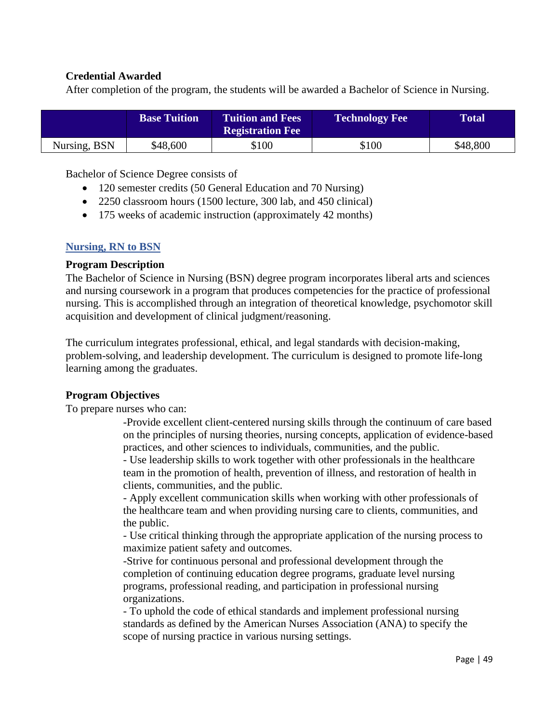### **Credential Awarded**

After completion of the program, the students will be awarded a Bachelor of Science in Nursing.

|              | <b>Base Tuition</b> | <b>Tuition and Fees</b><br><b>Registration Fee</b> | <b>Technology Fee</b> | <b>Total</b> |
|--------------|---------------------|----------------------------------------------------|-----------------------|--------------|
| Nursing, BSN | \$48,600            | \$100                                              | \$100                 | \$48,800     |

Bachelor of Science Degree consists of

- 120 semester credits (50 General Education and 70 Nursing)
- 2250 classroom hours (1500 lecture, 300 lab, and 450 clinical)
- 175 weeks of academic instruction (approximately 42 months)

#### **Nursing, RN to BSN**

#### **Program Description**

The Bachelor of Science in Nursing (BSN) degree program incorporates liberal arts and sciences and nursing coursework in a program that produces competencies for the practice of professional nursing. This is accomplished through an integration of theoretical knowledge, psychomotor skill acquisition and development of clinical judgment/reasoning.

The curriculum integrates professional, ethical, and legal standards with decision-making, problem-solving, and leadership development. The curriculum is designed to promote life-long learning among the graduates.

#### **Program Objectives**

To prepare nurses who can:

-Provide excellent client-centered nursing skills through the continuum of care based on the principles of nursing theories, nursing concepts, application of evidence-based practices, and other sciences to individuals, communities, and the public.

- Use leadership skills to work together with other professionals in the healthcare team in the promotion of health, prevention of illness, and restoration of health in clients, communities, and the public.

- Apply excellent communication skills when working with other professionals of the healthcare team and when providing nursing care to clients, communities, and the public.

- Use critical thinking through the appropriate application of the nursing process to maximize patient safety and outcomes.

-Strive for continuous personal and professional development through the completion of continuing education degree programs, graduate level nursing programs, professional reading, and participation in professional nursing organizations.

- To uphold the code of ethical standards and implement professional nursing standards as defined by the American Nurses Association (ANA) to specify the scope of nursing practice in various nursing settings.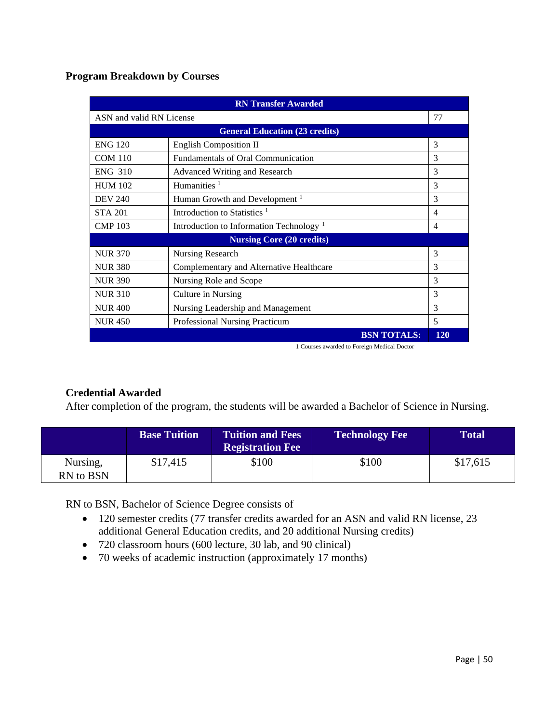**Program Breakdown by Courses**

| <b>RN Transfer Awarded</b>     |                                                     |            |  |
|--------------------------------|-----------------------------------------------------|------------|--|
| 77<br>ASN and valid RN License |                                                     |            |  |
|                                | <b>General Education (23 credits)</b>               |            |  |
| <b>ENG 120</b>                 | <b>English Composition II</b>                       | 3          |  |
| <b>COM 110</b>                 | Fundamentals of Oral Communication                  | 3          |  |
| <b>ENG 310</b>                 | <b>Advanced Writing and Research</b>                | 3          |  |
| <b>HUM 102</b>                 | Humanities $1$                                      | 3          |  |
| <b>DEV 240</b>                 | Human Growth and Development <sup>1</sup>           | 3          |  |
| <b>STA 201</b>                 | Introduction to Statistics <sup>1</sup>             | 4          |  |
| <b>CMP 103</b>                 | Introduction to Information Technology <sup>1</sup> | 4          |  |
|                                | <b>Nursing Core (20 credits)</b>                    |            |  |
| <b>NUR 370</b>                 | Nursing Research                                    | 3          |  |
| <b>NUR 380</b>                 | Complementary and Alternative Healthcare            | 3          |  |
| <b>NUR 390</b>                 | Nursing Role and Scope                              | 3          |  |
| <b>NUR 310</b>                 | Culture in Nursing                                  | 3          |  |
| <b>NUR400</b>                  | Nursing Leadership and Management                   | 3          |  |
| <b>NUR450</b>                  | Professional Nursing Practicum                      | 5          |  |
|                                | <b>BSN TOTALS:</b>                                  | <b>120</b> |  |

1 Courses awarded to Foreign Medical Doctor

# **Credential Awarded**

After completion of the program, the students will be awarded a Bachelor of Science in Nursing.

|                       | <b>Base Tuition</b> | <b>Tuition and Fees</b><br><b>Registration Fee</b> | <b>Technology Fee</b> | <b>Total</b> |
|-----------------------|---------------------|----------------------------------------------------|-----------------------|--------------|
| Nursing,<br>RN to BSN | \$17,415            | \$100                                              | \$100                 | \$17,615     |

RN to BSN, Bachelor of Science Degree consists of

- 120 semester credits (77 transfer credits awarded for an ASN and valid RN license, 23 additional General Education credits, and 20 additional Nursing credits)
- 720 classroom hours (600 lecture, 30 lab, and 90 clinical)
- 70 weeks of academic instruction (approximately 17 months)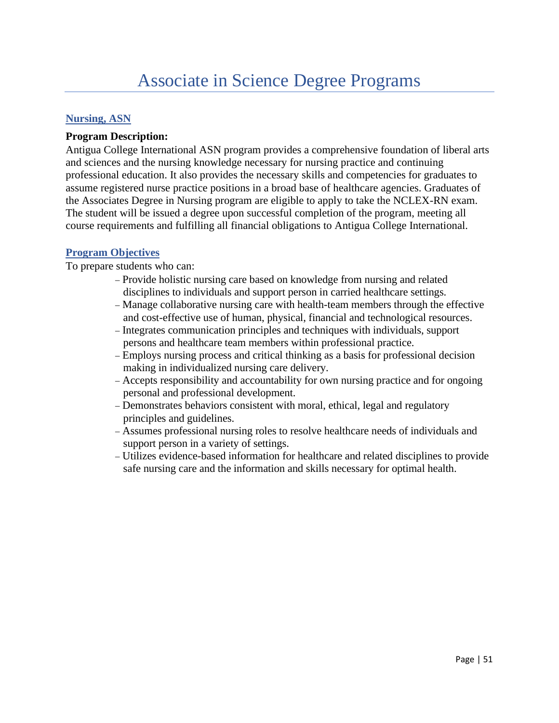#### **Nursing, ASN**

#### **Program Description:**

Antigua College International ASN program provides a comprehensive foundation of liberal arts and sciences and the nursing knowledge necessary for nursing practice and continuing professional education. It also provides the necessary skills and competencies for graduates to assume registered nurse practice positions in a broad base of healthcare agencies. Graduates of the Associates Degree in Nursing program are eligible to apply to take the NCLEX-RN exam. The student will be issued a degree upon successful completion of the program, meeting all course requirements and fulfilling all financial obligations to Antigua College International.

#### **Program Objectives**

To prepare students who can:

- − Provide holistic nursing care based on knowledge from nursing and related disciplines to individuals and support person in carried healthcare settings.
- − Manage collaborative nursing care with health-team members through the effective and cost-effective use of human, physical, financial and technological resources.
- − Integrates communication principles and techniques with individuals, support persons and healthcare team members within professional practice.
- − Employs nursing process and critical thinking as a basis for professional decision making in individualized nursing care delivery.
- − Accepts responsibility and accountability for own nursing practice and for ongoing personal and professional development.
- − Demonstrates behaviors consistent with moral, ethical, legal and regulatory principles and guidelines.
- − Assumes professional nursing roles to resolve healthcare needs of individuals and support person in a variety of settings.
- − Utilizes evidence-based information for healthcare and related disciplines to provide safe nursing care and the information and skills necessary for optimal health.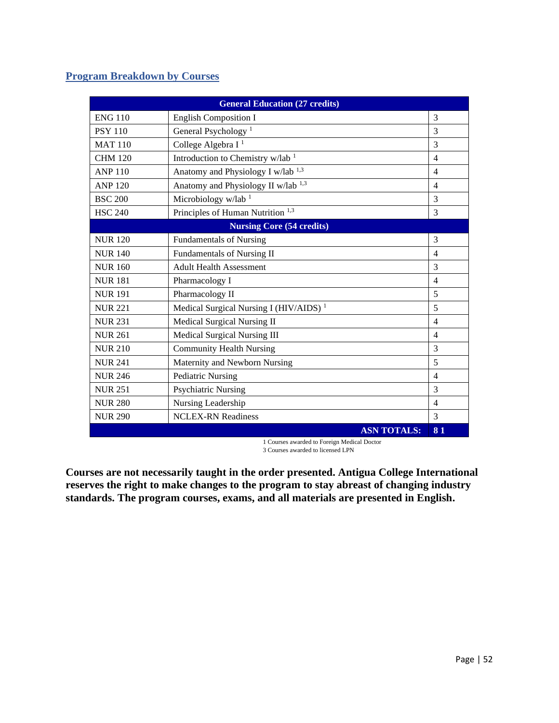# **Program Breakdown by Courses**

| <b>General Education (27 credits)</b> |                                                    |                |  |
|---------------------------------------|----------------------------------------------------|----------------|--|
| <b>ENG 110</b>                        | <b>English Composition I</b>                       | 3              |  |
| <b>PSY 110</b>                        | General Psychology <sup>1</sup>                    | 3              |  |
| <b>MAT110</b>                         | College Algebra I <sup>1</sup>                     | 3              |  |
| <b>CHM 120</b>                        | Introduction to Chemistry w/lab <sup>1</sup>       | $\overline{4}$ |  |
| <b>ANP 110</b>                        | Anatomy and Physiology I w/lab <sup>1,3</sup>      | $\overline{4}$ |  |
| <b>ANP 120</b>                        | Anatomy and Physiology II w/lab <sup>1,3</sup>     | $\overline{4}$ |  |
| <b>BSC 200</b>                        | Microbiology w/lab <sup>1</sup>                    | 3              |  |
| <b>HSC 240</b>                        | Principles of Human Nutrition <sup>1,3</sup>       | 3              |  |
|                                       | <b>Nursing Core (54 credits)</b>                   |                |  |
| <b>NUR 120</b>                        | <b>Fundamentals of Nursing</b>                     | $\overline{3}$ |  |
| <b>NUR 140</b>                        | Fundamentals of Nursing II                         | $\overline{4}$ |  |
| <b>NUR160</b>                         | <b>Adult Health Assessment</b>                     | 3              |  |
| <b>NUR 181</b>                        | Pharmacology I                                     | $\overline{4}$ |  |
| <b>NUR191</b>                         | Pharmacology II                                    | 5              |  |
| <b>NUR 221</b>                        | Medical Surgical Nursing I (HIV/AIDS) <sup>1</sup> | 5              |  |
| <b>NUR 231</b>                        | Medical Surgical Nursing II                        | $\overline{4}$ |  |
| <b>NUR 261</b>                        | Medical Surgical Nursing III                       | $\overline{4}$ |  |
| <b>NUR 210</b>                        | <b>Community Health Nursing</b>                    | 3              |  |
| <b>NUR 241</b>                        | Maternity and Newborn Nursing                      | 5              |  |
| <b>NUR 246</b>                        | <b>Pediatric Nursing</b>                           | $\overline{4}$ |  |
| <b>NUR 251</b>                        | <b>Psychiatric Nursing</b>                         | 3              |  |
| <b>NUR 280</b>                        | Nursing Leadership                                 | 4              |  |
| <b>NUR 290</b>                        | <b>NCLEX-RN Readiness</b>                          | 3              |  |
|                                       | <b>ASN TOTALS:</b>                                 | 81             |  |

1 Courses awarded to Foreign Medical Doctor 3 Courses awarded to licensed LPN

**Courses are not necessarily taught in the order presented. Antigua College International reserves the right to make changes to the program to stay abreast of changing industry standards. The program courses, exams, and all materials are presented in English.**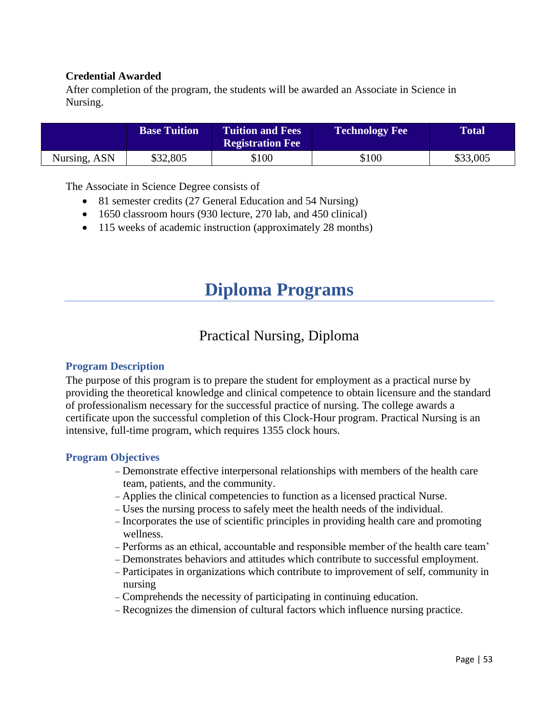#### **Credential Awarded**

After completion of the program, the students will be awarded an Associate in Science in Nursing.

|              | <b>Base Tuition</b> | <b>Tuition and Fees</b><br><b>Registration Fee</b> | <b>Technology Fee</b> | <b>Total</b> |
|--------------|---------------------|----------------------------------------------------|-----------------------|--------------|
| Nursing, ASN | \$32,805            | \$100                                              | \$100                 | \$33,005     |

The Associate in Science Degree consists of

- 81 semester credits (27 General Education and 54 Nursing)
- 1650 classroom hours (930 lecture, 270 lab, and 450 clinical)
- 115 weeks of academic instruction (approximately 28 months)

# **Diploma Programs**

# Practical Nursing, Diploma

#### **Program Description**

The purpose of this program is to prepare the student for employment as a practical nurse by providing the theoretical knowledge and clinical competence to obtain licensure and the standard of professionalism necessary for the successful practice of nursing. The college awards a certificate upon the successful completion of this Clock-Hour program. Practical Nursing is an intensive, full-time program, which requires 1355 clock hours.

#### **Program Objectives**

- − Demonstrate effective interpersonal relationships with members of the health care team, patients, and the community.
- − Applies the clinical competencies to function as a licensed practical Nurse.
- − Uses the nursing process to safely meet the health needs of the individual.
- − Incorporates the use of scientific principles in providing health care and promoting wellness.
- − Performs as an ethical, accountable and responsible member of the health care team'
- − Demonstrates behaviors and attitudes which contribute to successful employment.
- − Participates in organizations which contribute to improvement of self, community in nursing
- − Comprehends the necessity of participating in continuing education.
- − Recognizes the dimension of cultural factors which influence nursing practice.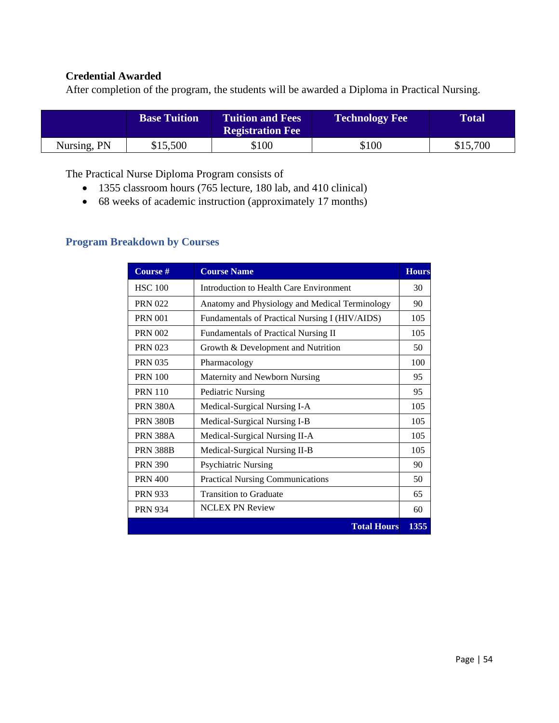#### **Credential Awarded**

After completion of the program, the students will be awarded a Diploma in Practical Nursing.

|             | <b>Base Tuition</b> | <b>Tuition and Fees</b><br><b>Registration Fee</b> | <b>Technology Fee</b> | <b>Total</b> ' |
|-------------|---------------------|----------------------------------------------------|-----------------------|----------------|
| Nursing, PN | \$15,500            | \$100                                              | \$100                 | \$15,700       |

The Practical Nurse Diploma Program consists of

- 1355 classroom hours (765 lecture, 180 lab, and 410 clinical)
- 68 weeks of academic instruction (approximately 17 months)

# **Program Breakdown by Courses**

| Course #        | <b>Course Name</b>                             | <b>Hours</b> |
|-----------------|------------------------------------------------|--------------|
| <b>HSC 100</b>  | Introduction to Health Care Environment        | 30           |
| <b>PRN 022</b>  | Anatomy and Physiology and Medical Terminology | 90           |
| <b>PRN 001</b>  | Fundamentals of Practical Nursing I (HIV/AIDS) | 105          |
| <b>PRN 002</b>  | Fundamentals of Practical Nursing II           | 105          |
| <b>PRN 023</b>  | Growth & Development and Nutrition             | 50           |
| <b>PRN 035</b>  | Pharmacology                                   | 100          |
| <b>PRN 100</b>  | Maternity and Newborn Nursing                  | 95           |
| <b>PRN 110</b>  | <b>Pediatric Nursing</b>                       | 95           |
| <b>PRN 380A</b> | Medical-Surgical Nursing I-A                   | 105          |
| <b>PRN 380B</b> | Medical-Surgical Nursing I-B                   | 105          |
| <b>PRN 388A</b> | Medical-Surgical Nursing II-A                  | 105          |
| <b>PRN 388B</b> | Medical-Surgical Nursing II-B                  | 105          |
| <b>PRN 390</b>  | <b>Psychiatric Nursing</b>                     | 90           |
| <b>PRN 400</b>  | <b>Practical Nursing Communications</b>        | 50           |
| <b>PRN 933</b>  | <b>Transition to Graduate</b>                  | 65           |
| <b>PRN 934</b>  | <b>NCLEX PN Review</b>                         | 60           |
|                 | <b>Total Hours</b>                             | 1355         |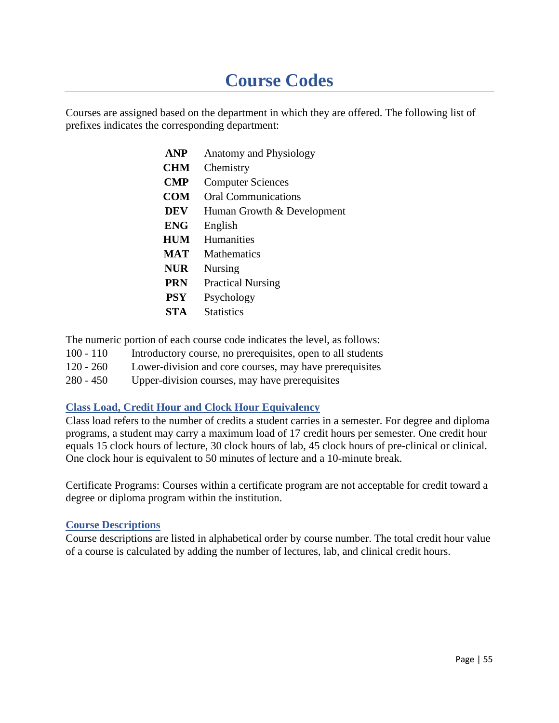# **Course Codes**

Courses are assigned based on the department in which they are offered. The following list of prefixes indicates the corresponding department:

| <b>ANP</b> | <b>Anatomy and Physiology</b> |
|------------|-------------------------------|
| <b>CHM</b> | Chemistry                     |
| <b>CMP</b> | <b>Computer Sciences</b>      |
| COM        | <b>Oral Communications</b>    |
| <b>DEV</b> | Human Growth & Development    |
| <b>ENG</b> | English                       |
| <b>HUM</b> | <b>Humanities</b>             |
| MAT        | <b>Mathematics</b>            |
| <b>NUR</b> | Nursing                       |
| <b>PRN</b> | <b>Practical Nursing</b>      |
| <b>PSY</b> | Psychology                    |
| <b>STA</b> | <b>Statistics</b>             |
|            |                               |

The numeric portion of each course code indicates the level, as follows:

- 100 110 Introductory course, no prerequisites, open to all students
- 120 260 Lower-division and core courses, may have prerequisites
- 280 450 Upper-division courses, may have prerequisites

# **Class Load, Credit Hour and Clock Hour Equivalency**

Class load refers to the number of credits a student carries in a semester. For degree and diploma programs, a student may carry a maximum load of 17 credit hours per semester. One credit hour equals 15 clock hours of lecture, 30 clock hours of lab, 45 clock hours of pre-clinical or clinical. One clock hour is equivalent to 50 minutes of lecture and a 10-minute break.

Certificate Programs: Courses within a certificate program are not acceptable for credit toward a degree or diploma program within the institution.

#### **Course Descriptions**

Course descriptions are listed in alphabetical order by course number. The total credit hour value of a course is calculated by adding the number of lectures, lab, and clinical credit hours.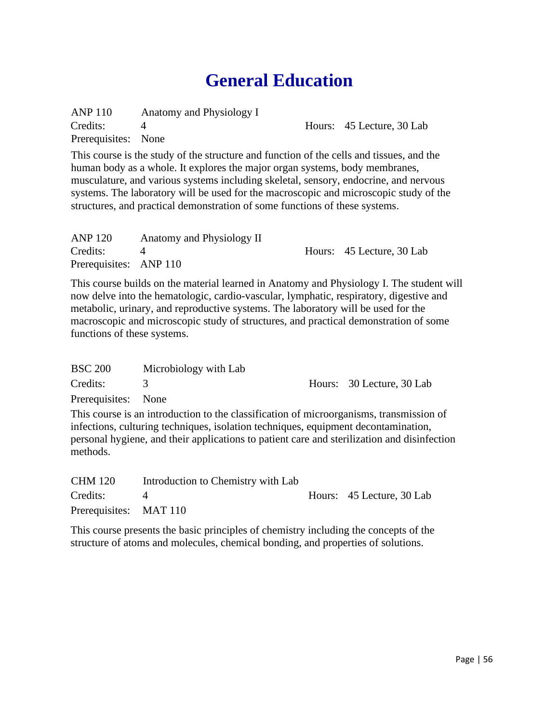# **General Education**

ANP 110 Anatomy and Physiology I  $\overline{4}$ Prerequisites: None Credits: 4 Hours: 45 Lecture, 30 Lab

This course is the study of the structure and function of the cells and tissues, and the human body as a whole. It explores the major organ systems, body membranes, musculature, and various systems including skeletal, sensory, endocrine, and nervous systems. The laboratory will be used for the macroscopic and microscopic study of the structures, and practical demonstration of some functions of these systems.

| <b>ANP 120</b>         | Anatomy and Physiology II |                           |
|------------------------|---------------------------|---------------------------|
| Credits:               |                           | Hours: 45 Lecture, 30 Lab |
| Prerequisites: ANP 110 |                           |                           |

This course builds on the material learned in Anatomy and Physiology I. The student will now delve into the hematologic, cardio-vascular, lymphatic, respiratory, digestive and metabolic, urinary, and reproductive systems. The laboratory will be used for the macroscopic and microscopic study of structures, and practical demonstration of some functions of these systems.

| <b>BSC 200</b>      | Microbiology with Lab |                           |
|---------------------|-----------------------|---------------------------|
| Credits:            |                       | Hours: 30 Lecture, 30 Lab |
| Prerequisites: None |                       |                           |

This course is an introduction to the classification of microorganisms, transmission of infections, culturing techniques, isolation techniques, equipment decontamination, personal hygiene, and their applications to patient care and sterilization and disinfection methods.

| <b>CHM 120</b>         | Introduction to Chemistry with Lab |                           |
|------------------------|------------------------------------|---------------------------|
| Credits:               |                                    | Hours: 45 Lecture, 30 Lab |
| Prerequisites: MAT 110 |                                    |                           |

This course presents the basic principles of chemistry including the concepts of the structure of atoms and molecules, chemical bonding, and properties of solutions.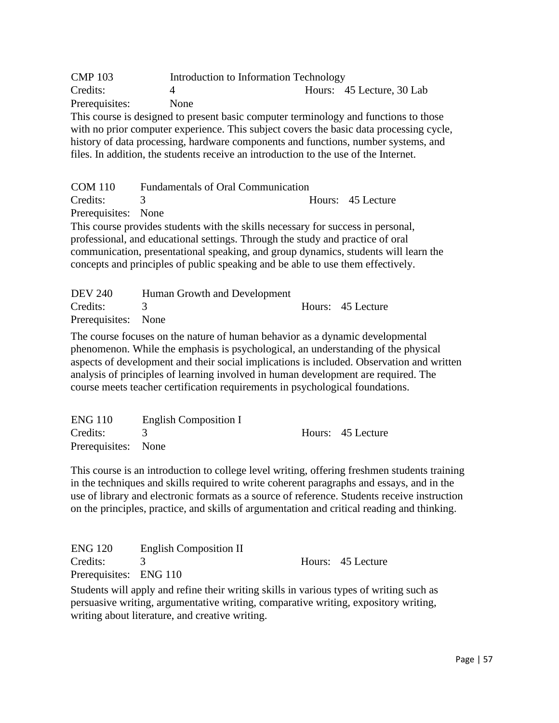CMP 103 Introduction to Information Technology Credits: 4 Hours: 45 Lecture, 30 Lab Prerequisites: None This course is designed to present basic computer terminology and functions to those with no prior computer experience. This subject covers the basic data processing cycle, history of data processing, hardware components and functions, number systems, and files. In addition, the students receive an introduction to the use of the Internet.

COM 110 Fundamentals of Oral Communication Credits: 3 Hours: 45 Lecture Prerequisites: None This course provides students with the skills necessary for success in personal, professional, and educational settings. Through the study and practice of oral communication, presentational speaking, and group dynamics, students will learn the concepts and principles of public speaking and be able to use them effectively.

| <b>DEV 240</b>      | Human Growth and Development |                   |
|---------------------|------------------------------|-------------------|
| Credits: 3          |                              | Hours: 45 Lecture |
| Prerequisites: None |                              |                   |

The course focuses on the nature of human behavior as a dynamic developmental phenomenon. While the emphasis is psychological, an understanding of the physical aspects of development and their social implications is included. Observation and written analysis of principles of learning involved in human development are required. The course meets teacher certification requirements in psychological foundations.

| <b>ENG 110</b>      | English Composition I |                   |
|---------------------|-----------------------|-------------------|
| Credits:            |                       | Hours: 45 Lecture |
| Prerequisites: None |                       |                   |

This course is an introduction to college level writing, offering freshmen students training in the techniques and skills required to write coherent paragraphs and essays, and in the use of library and electronic formats as a source of reference. Students receive instruction on the principles, practice, and skills of argumentation and critical reading and thinking.

| <b>ENG 120</b>         | <b>English Composition II</b> |                   |
|------------------------|-------------------------------|-------------------|
| Credits:               |                               | Hours: 45 Lecture |
| Prerequisites: ENG 110 |                               |                   |

Students will apply and refine their writing skills in various types of writing such as persuasive writing, argumentative writing, comparative writing, expository writing, writing about literature, and creative writing.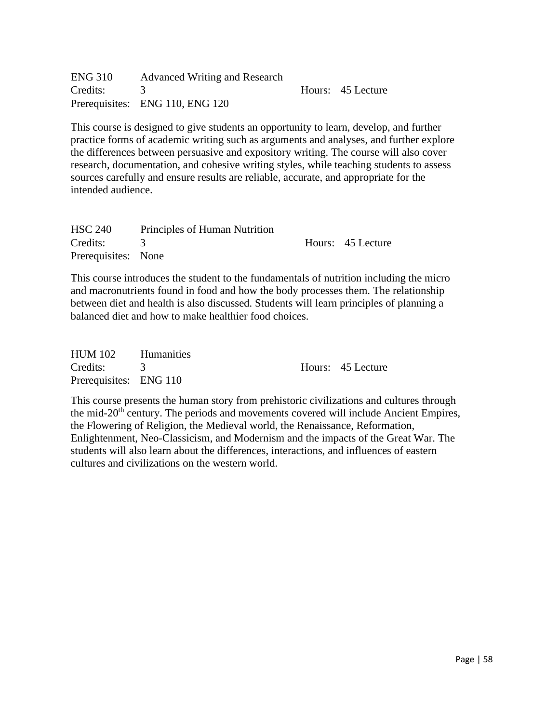| <b>ENG 310</b> | <b>Advanced Writing and Research</b> |                   |
|----------------|--------------------------------------|-------------------|
| Credits: 3     |                                      | Hours: 45 Lecture |
|                | Prerequisites: ENG 110, ENG 120      |                   |

This course is designed to give students an opportunity to learn, develop, and further practice forms of academic writing such as arguments and analyses, and further explore the differences between persuasive and expository writing. The course will also cover research, documentation, and cohesive writing styles, while teaching students to assess sources carefully and ensure results are reliable, accurate, and appropriate for the intended audience.

| <b>HSC 240</b>      | Principles of Human Nutrition |                   |
|---------------------|-------------------------------|-------------------|
| Credits: 3          |                               | Hours: 45 Lecture |
| Prerequisites: None |                               |                   |

This course introduces the student to the fundamentals of nutrition including the micro and macronutrients found in food and how the body processes them. The relationship between diet and health is also discussed. Students will learn principles of planning a balanced diet and how to make healthier food choices.

| HUM 102 Humanities     |  |                   |
|------------------------|--|-------------------|
| Credits: 3             |  | Hours: 45 Lecture |
| Prerequisites: ENG 110 |  |                   |

This course presents the human story from prehistoric civilizations and cultures through the mid-20<sup>th</sup> century. The periods and movements covered will include Ancient Empires, the Flowering of Religion, the Medieval world, the Renaissance, Reformation, Enlightenment, Neo-Classicism, and Modernism and the impacts of the Great War. The students will also learn about the differences, interactions, and influences of eastern cultures and civilizations on the western world.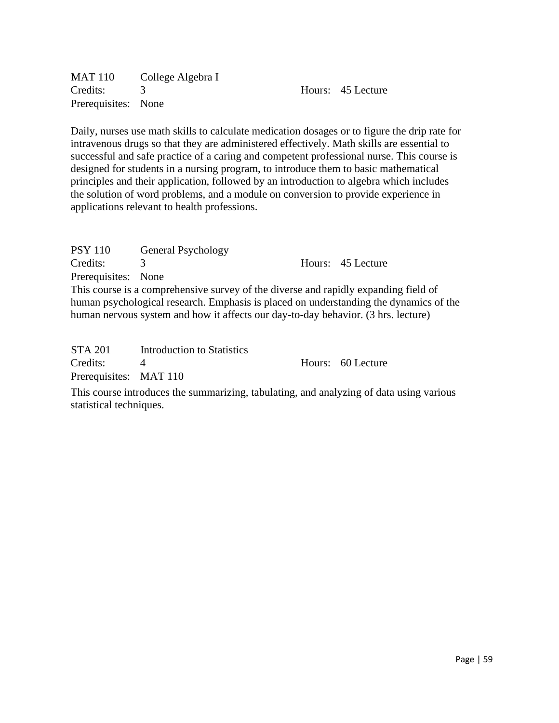MAT 110 College Algebra I Credits: 3 Hours: 45 Lecture Prerequisites: None

Daily, nurses use math skills to calculate medication dosages or to figure the drip rate for intravenous drugs so that they are administered effectively. Math skills are essential to successful and safe practice of a caring and competent professional nurse. This course is designed for students in a nursing program, to introduce them to basic mathematical principles and their application, followed by an introduction to algebra which includes the solution of word problems, and a module on conversion to provide experience in applications relevant to health professions.

| <b>PSY 110</b>      | General Psychology                                                                  |                                                                                       |
|---------------------|-------------------------------------------------------------------------------------|---------------------------------------------------------------------------------------|
| Credits:            | 3                                                                                   | Hours: 45 Lecture                                                                     |
| Prerequisites: None |                                                                                     |                                                                                       |
|                     | This course is a comprehensive survey of the diverse and rapidly expanding field of |                                                                                       |
|                     |                                                                                     | human psychological research. Emphasis is placed on understanding the dynamics of the |
|                     | human nervous system and how it affects our day-to-day behavior. (3 hrs. lecture)   |                                                                                       |
|                     |                                                                                     |                                                                                       |
| $STA$ 201           | Introduction to Ctatistics                                                          |                                                                                       |

| 51A201                 | - INTOQUULION TO MATISTICS |                   |
|------------------------|----------------------------|-------------------|
| Credits:               |                            | Hours: 60 Lecture |
| Prerequisites: MAT 110 |                            |                   |

This course introduces the summarizing, tabulating, and analyzing of data using various statistical techniques.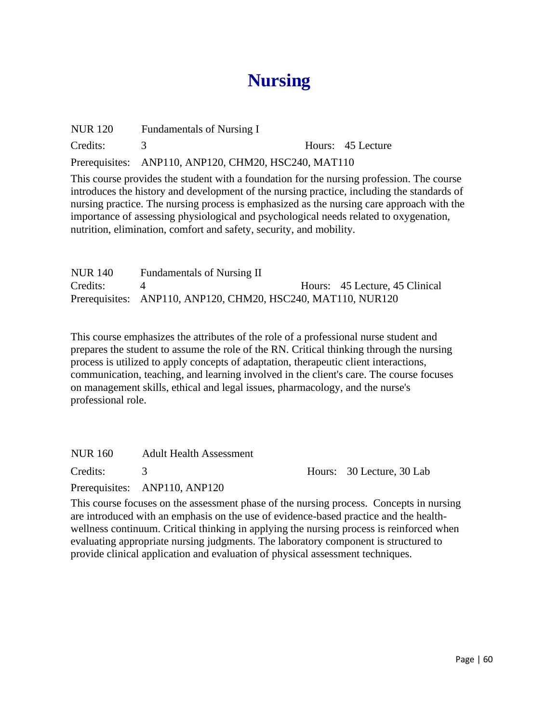# **Nursing**

| <b>NUR 120</b> | Fundamentals of Nursing I                            |                   |
|----------------|------------------------------------------------------|-------------------|
| Credits:       |                                                      | Hours: 45 Lecture |
|                | Prerequisites: ANP110, ANP120, CHM20, HSC240, MAT110 |                   |

This course provides the student with a foundation for the nursing profession. The course introduces the history and development of the nursing practice, including the standards of nursing practice. The nursing process is emphasized as the nursing care approach with the importance of assessing physiological and psychological needs related to oxygenation, nutrition, elimination, comfort and safety, security, and mobility.

| <b>NUR 140</b> | <b>Fundamentals of Nursing II</b>                            |                                |
|----------------|--------------------------------------------------------------|--------------------------------|
| Credits:       |                                                              | Hours: 45 Lecture, 45 Clinical |
|                | Prerequisites: ANP110, ANP120, CHM20, HSC240, MAT110, NUR120 |                                |

This course emphasizes the attributes of the role of a professional nurse student and prepares the student to assume the role of the RN. Critical thinking through the nursing process is utilized to apply concepts of adaptation, therapeutic client interactions, communication, teaching, and learning involved in the client's care. The course focuses on management skills, ethical and legal issues, pharmacology, and the nurse's professional role.

| NUR 160    | <b>Adult Health Assessment</b> |                           |
|------------|--------------------------------|---------------------------|
| Credits: 3 |                                | Hours: 30 Lecture, 30 Lab |
|            | Prerequisites: ANP110, ANP120  |                           |

This course focuses on the assessment phase of the nursing process. Concepts in nursing are introduced with an emphasis on the use of evidence-based practice and the healthwellness continuum. Critical thinking in applying the nursing process is reinforced when evaluating appropriate nursing judgments. The laboratory component is structured to provide clinical application and evaluation of physical assessment techniques.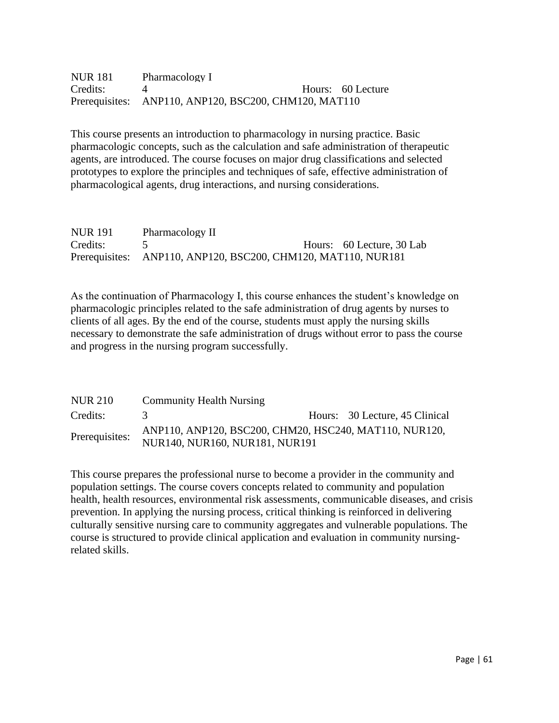| <b>NUR 181</b> | Pharmacology I                                        |                   |
|----------------|-------------------------------------------------------|-------------------|
| Credits:       |                                                       | Hours: 60 Lecture |
|                | Prerequisites: ANP110, ANP120, BSC200, CHM120, MAT110 |                   |

This course presents an introduction to pharmacology in nursing practice. Basic pharmacologic concepts, such as the calculation and safe administration of therapeutic agents, are introduced. The course focuses on major drug classifications and selected prototypes to explore the principles and techniques of safe, effective administration of pharmacological agents, drug interactions, and nursing considerations.

| <b>NUR 191</b> | Pharmacology II                                               |                           |
|----------------|---------------------------------------------------------------|---------------------------|
| Credits:       |                                                               | Hours: 60 Lecture, 30 Lab |
|                | Prerequisites: ANP110, ANP120, BSC200, CHM120, MAT110, NUR181 |                           |

As the continuation of Pharmacology I, this course enhances the student's knowledge on pharmacologic principles related to the safe administration of drug agents by nurses to clients of all ages. By the end of the course, students must apply the nursing skills necessary to demonstrate the safe administration of drugs without error to pass the course and progress in the nursing program successfully.

| NUR 210        | <b>Community Health Nursing</b>                                                          |
|----------------|------------------------------------------------------------------------------------------|
| Credits:       | Hours: 30 Lecture, 45 Clinical                                                           |
| Prerequisites: | ANP110, ANP120, BSC200, CHM20, HSC240, MAT110, NUR120,<br>NUR140, NUR160, NUR181, NUR191 |

This course prepares the professional nurse to become a provider in the community and population settings. The course covers concepts related to community and population health, health resources, environmental risk assessments, communicable diseases, and crisis prevention. In applying the nursing process, critical thinking is reinforced in delivering culturally sensitive nursing care to community aggregates and vulnerable populations. The course is structured to provide clinical application and evaluation in community nursingrelated skills.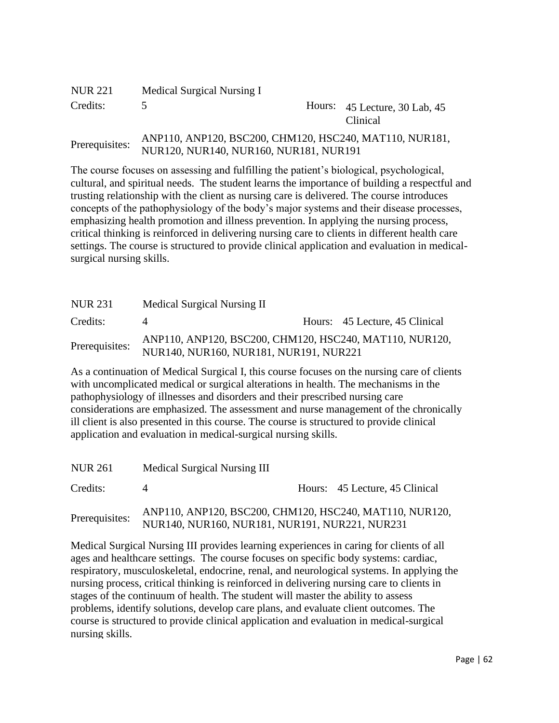| <b>NUR 221</b> | Medical Surgical Nursing I                                                                        |                                                  |
|----------------|---------------------------------------------------------------------------------------------------|--------------------------------------------------|
| Credits:       |                                                                                                   | Hours: 45 Lecture, 30 Lab, 45<br><b>Clinical</b> |
| Prerequisites: | ANP110, ANP120, BSC200, CHM120, HSC240, MAT110, NUR181,<br>NUR120, NUR140, NUR160, NUR181, NUR191 |                                                  |

The course focuses on assessing and fulfilling the patient's biological, psychological, cultural, and spiritual needs. The student learns the importance of building a respectful and trusting relationship with the client as nursing care is delivered. The course introduces concepts of the pathophysiology of the body's major systems and their disease processes, emphasizing health promotion and illness prevention. In applying the nursing process, critical thinking is reinforced in delivering nursing care to clients in different health care settings. The course is structured to provide clinical application and evaluation in medicalsurgical nursing skills.

| NUR 231        | Medical Surgical Nursing II                                                                       |                                |
|----------------|---------------------------------------------------------------------------------------------------|--------------------------------|
| Credits:       |                                                                                                   | Hours: 45 Lecture, 45 Clinical |
| Prerequisites: | ANP110, ANP120, BSC200, CHM120, HSC240, MAT110, NUR120,<br>NUR140, NUR160, NUR181, NUR191, NUR221 |                                |

As a continuation of Medical Surgical I, this course focuses on the nursing care of clients with uncomplicated medical or surgical alterations in health. The mechanisms in the pathophysiology of illnesses and disorders and their prescribed nursing care considerations are emphasized. The assessment and nurse management of the chronically ill client is also presented in this course. The course is structured to provide clinical application and evaluation in medical-surgical nursing skills.

| <b>NUR 261</b> | Medical Surgical Nursing III                                                                              |                                |
|----------------|-----------------------------------------------------------------------------------------------------------|--------------------------------|
| Credits:       |                                                                                                           | Hours: 45 Lecture, 45 Clinical |
| Prerequisites: | ANP110, ANP120, BSC200, CHM120, HSC240, MAT110, NUR120,<br>NUR140, NUR160, NUR181, NUR191, NUR221, NUR231 |                                |

Medical Surgical Nursing III provides learning experiences in caring for clients of all ages and healthcare settings. The course focuses on specific body systems: cardiac, respiratory, musculoskeletal, endocrine, renal, and neurological systems. In applying the nursing process, critical thinking is reinforced in delivering nursing care to clients in stages of the continuum of health. The student will master the ability to assess problems, identify solutions, develop care plans, and evaluate client outcomes. The course is structured to provide clinical application and evaluation in medical-surgical nursing skills.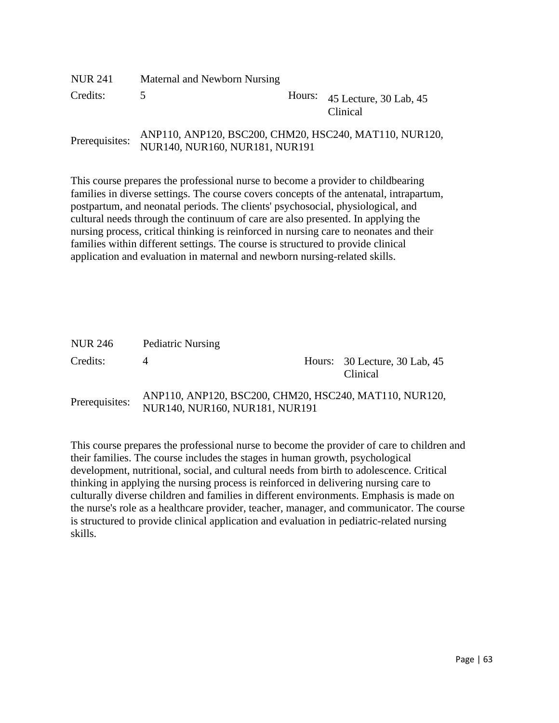| NUR 241        | Maternal and Newborn Nursing                                                             |                                             |
|----------------|------------------------------------------------------------------------------------------|---------------------------------------------|
| Credits:       | $\rightarrow$                                                                            | Hours: $45$ Lecture, 30 Lab, 45<br>Clinical |
| Prerequisites: | ANP110, ANP120, BSC200, CHM20, HSC240, MAT110, NUR120,<br>NUR140, NUR160, NUR181, NUR191 |                                             |

This course prepares the professional nurse to become a provider to childbearing families in diverse settings. The course covers concepts of the antenatal, intrapartum, postpartum, and neonatal periods. The clients' psychosocial, physiological, and cultural needs through the continuum of care are also presented. In applying the nursing process, critical thinking is reinforced in nursing care to neonates and their families within different settings. The course is structured to provide clinical application and evaluation in maternal and newborn nursing-related skills.

| NUR 246        | <b>Pediatric Nursing</b>                                                                 |                                                  |
|----------------|------------------------------------------------------------------------------------------|--------------------------------------------------|
| Credits:       |                                                                                          | Hours: 30 Lecture, 30 Lab, 45<br><b>Clinical</b> |
| Prerequisites: | ANP110, ANP120, BSC200, CHM20, HSC240, MAT110, NUR120,<br>NUR140, NUR160, NUR181, NUR191 |                                                  |

This course prepares the professional nurse to become the provider of care to children and their families. The course includes the stages in human growth, psychological development, nutritional, social, and cultural needs from birth to adolescence. Critical thinking in applying the nursing process is reinforced in delivering nursing care to culturally diverse children and families in different environments. Emphasis is made on the nurse's role as a healthcare provider, teacher, manager, and communicator. The course is structured to provide clinical application and evaluation in pediatric-related nursing skills.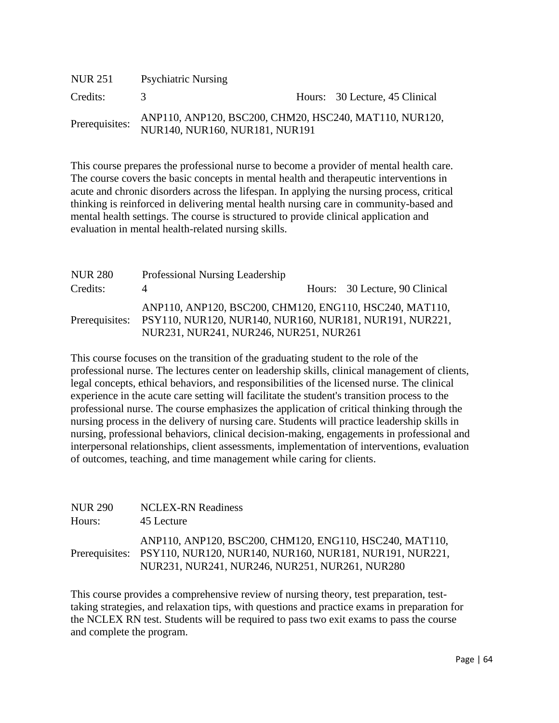| NUR 251        | <b>Psychiatric Nursing</b>                                                               |                                |
|----------------|------------------------------------------------------------------------------------------|--------------------------------|
| Credits:       | $\prec$                                                                                  | Hours: 30 Lecture, 45 Clinical |
| Prerequisites: | ANP110, ANP120, BSC200, CHM20, HSC240, MAT110, NUR120,<br>NUR140, NUR160, NUR181, NUR191 |                                |

This course prepares the professional nurse to become a provider of mental health care. The course covers the basic concepts in mental health and therapeutic interventions in acute and chronic disorders across the lifespan. In applying the nursing process, critical thinking is reinforced in delivering mental health nursing care in community-based and mental health settings. The course is structured to provide clinical application and evaluation in mental health-related nursing skills.

| <b>NUR 280</b> | Professional Nursing Leadership                                                                                                                                             |                                |
|----------------|-----------------------------------------------------------------------------------------------------------------------------------------------------------------------------|--------------------------------|
| Credits:       |                                                                                                                                                                             | Hours: 30 Lecture, 90 Clinical |
|                | ANP110, ANP120, BSC200, CHM120, ENG110, HSC240, MAT110,<br>Prerequisites: PSY110, NUR120, NUR140, NUR160, NUR181, NUR191, NUR221,<br>NUR231, NUR241, NUR246, NUR251, NUR261 |                                |

This course focuses on the transition of the graduating student to the role of the professional nurse. The lectures center on leadership skills, clinical management of clients, legal concepts, ethical behaviors, and responsibilities of the licensed nurse. The clinical experience in the acute care setting will facilitate the student's transition process to the professional nurse. The course emphasizes the application of critical thinking through the nursing process in the delivery of nursing care. Students will practice leadership skills in nursing, professional behaviors, clinical decision-making, engagements in professional and interpersonal relationships, client assessments, implementation of interventions, evaluation of outcomes, teaching, and time management while caring for clients.

| <b>NUR 290</b> | <b>NCLEX-RN Readiness</b>                                                                                                                                                           |
|----------------|-------------------------------------------------------------------------------------------------------------------------------------------------------------------------------------|
| Hours:         | 45 Lecture                                                                                                                                                                          |
|                | ANP110, ANP120, BSC200, CHM120, ENG110, HSC240, MAT110,<br>Prerequisites: PSY110, NUR120, NUR140, NUR160, NUR181, NUR191, NUR221,<br>NUR231, NUR241, NUR246, NUR251, NUR261, NUR280 |

This course provides a comprehensive review of nursing theory, test preparation, testtaking strategies, and relaxation tips, with questions and practice exams in preparation for the NCLEX RN test. Students will be required to pass two exit exams to pass the course and complete the program.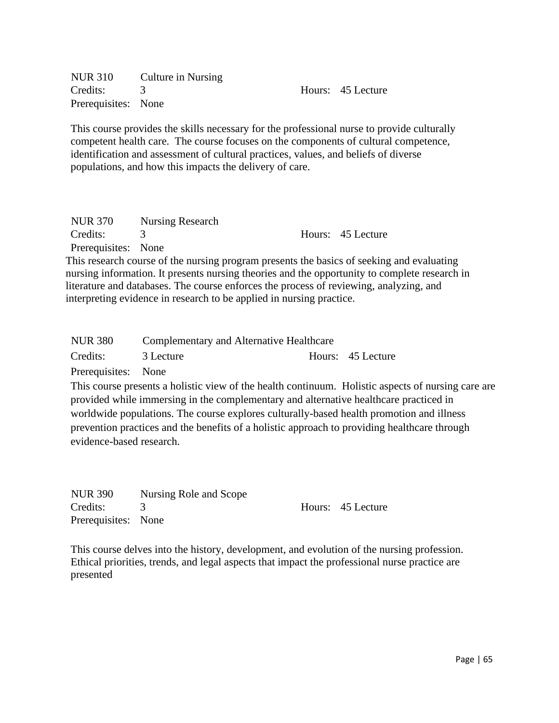NUR 310 Culture in Nursing Credits: 3 Hours: 45 Lecture Prerequisites: None

This course provides the skills necessary for the professional nurse to provide culturally competent health care. The course focuses on the components of cultural competence, identification and assessment of cultural practices, values, and beliefs of diverse populations, and how this impacts the delivery of care.

| NUR 370             | Nursing Research |                   |
|---------------------|------------------|-------------------|
| Credits:            |                  | Hours: 45 Lecture |
| Prerequisites: None |                  |                   |

This research course of the nursing program presents the basics of seeking and evaluating nursing information. It presents nursing theories and the opportunity to complete research in literature and databases. The course enforces the process of reviewing, analyzing, and interpreting evidence in research to be applied in nursing practice.

| <b>NUR 380</b>      | Complementary and Alternative Healthcare |  |                   |
|---------------------|------------------------------------------|--|-------------------|
| Credits:            | 3 Lecture                                |  | Hours: 45 Lecture |
| Prerequisites: None |                                          |  |                   |

This course presents a holistic view of the health continuum. Holistic aspects of nursing care are provided while immersing in the complementary and alternative healthcare practiced in worldwide populations. The course explores culturally-based health promotion and illness prevention practices and the benefits of a holistic approach to providing healthcare through evidence-based research.

| <b>NUR 390</b>      | Nursing Role and Scope |                   |
|---------------------|------------------------|-------------------|
| Credits:            |                        | Hours: 45 Lecture |
| Prerequisites: None |                        |                   |

This course delves into the history, development, and evolution of the nursing profession. Ethical priorities, trends, and legal aspects that impact the professional nurse practice are presented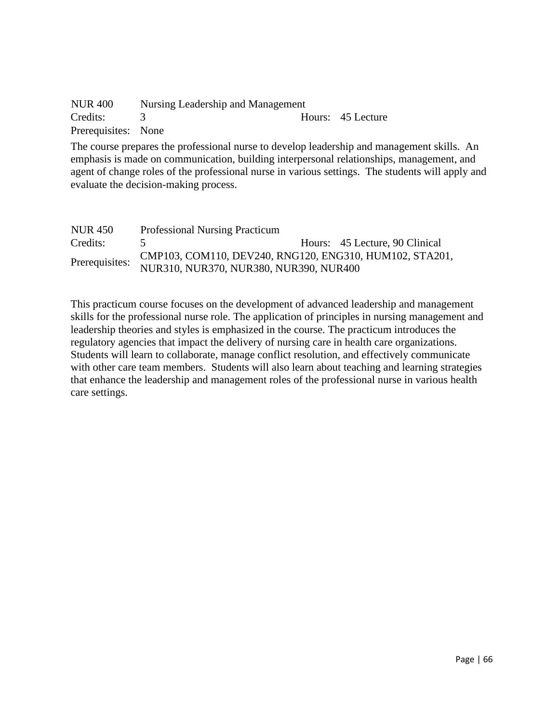| <b>NUR 400</b>      | Nursing Leadership and Management |                   |
|---------------------|-----------------------------------|-------------------|
| Credits:            |                                   | Hours: 45 Lecture |
| Prerequisites: None |                                   |                   |

The course prepares the professional nurse to develop leadership and management skills. An emphasis is made on communication, building interpersonal relationships, management, and agent of change roles of the professional nurse in various settings. The students will apply and evaluate the decision-making process.

| NUR 450        | <b>Professional Nursing Practicum</b>                   |                                |
|----------------|---------------------------------------------------------|--------------------------------|
| Credits:       |                                                         | Hours: 45 Lecture, 90 Clinical |
| Prerequisites: | CMP103, COM110, DEV240, RNG120, ENG310, HUM102, STA201, |                                |
|                | NUR310, NUR370, NUR380, NUR390, NUR400                  |                                |

This practicum course focuses on the development of advanced leadership and management skills for the professional nurse role. The application of principles in nursing management and leadership theories and styles is emphasized in the course. The practicum introduces the regulatory agencies that impact the delivery of nursing care in health care organizations. Students will learn to collaborate, manage conflict resolution, and effectively communicate with other care team members. Students will also learn about teaching and learning strategies that enhance the leadership and management roles of the professional nurse in various health care settings.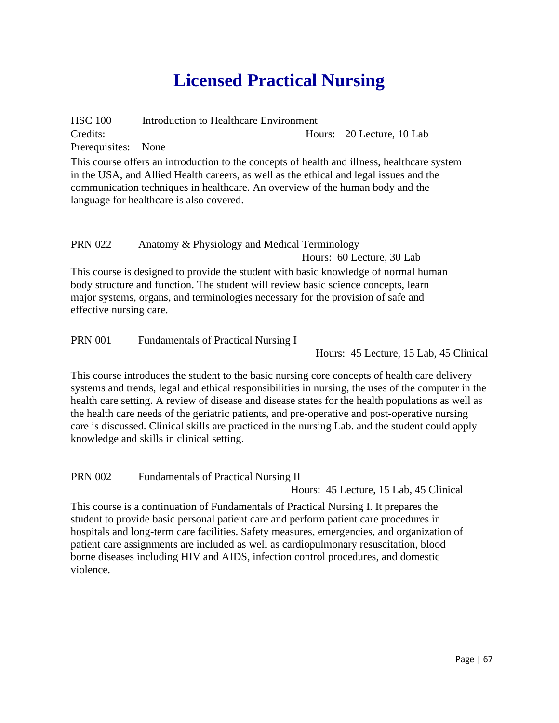# **Licensed Practical Nursing**

HSC 100 Introduction to Healthcare Environment Credits: Hours: 20 Lecture, 10 Lab Prerequisites: None

This course offers an introduction to the concepts of health and illness, healthcare system in the USA, and Allied Health careers, as well as the ethical and legal issues and the communication techniques in healthcare. An overview of the human body and the language for healthcare is also covered.

# PRN 022 Anatomy & Physiology and Medical Terminology

Hours: 60 Lecture, 30 Lab

This course is designed to provide the student with basic knowledge of normal human body structure and function. The student will review basic science concepts, learn major systems, organs, and terminologies necessary for the provision of safe and effective nursing care.

PRN 001 Fundamentals of Practical Nursing I

Hours: 45 Lecture, 15 Lab, 45 Clinical

This course introduces the student to the basic nursing core concepts of health care delivery systems and trends, legal and ethical responsibilities in nursing, the uses of the computer in the health care setting. A review of disease and disease states for the health populations as well as the health care needs of the geriatric patients, and pre-operative and post-operative nursing care is discussed. Clinical skills are practiced in the nursing Lab. and the student could apply knowledge and skills in clinical setting.

PRN 002 Fundamentals of Practical Nursing II

Hours: 45 Lecture, 15 Lab, 45 Clinical

This course is a continuation of Fundamentals of Practical Nursing I. It prepares the student to provide basic personal patient care and perform patient care procedures in hospitals and long-term care facilities. Safety measures, emergencies, and organization of patient care assignments are included as well as cardiopulmonary resuscitation, blood borne diseases including HIV and AIDS, infection control procedures, and domestic violence.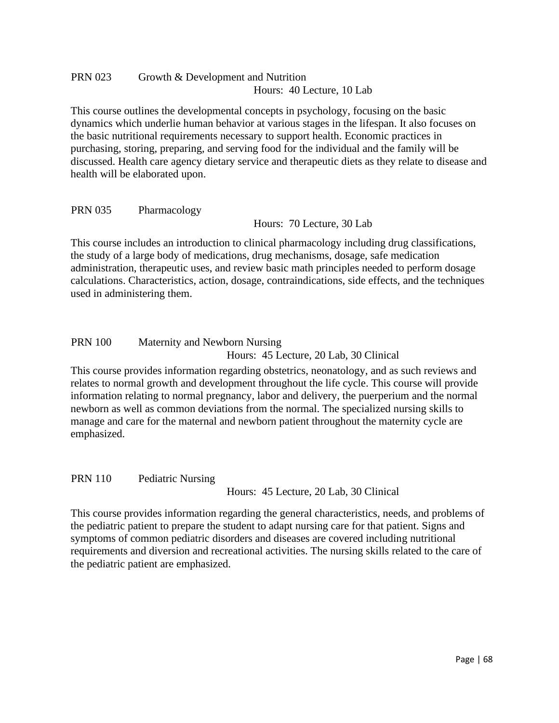# PRN 023 Growth & Development and Nutrition Hours: 40 Lecture, 10 Lab

This course outlines the developmental concepts in psychology, focusing on the basic dynamics which underlie human behavior at various stages in the lifespan. It also focuses on the basic nutritional requirements necessary to support health. Economic practices in purchasing, storing, preparing, and serving food for the individual and the family will be discussed. Health care agency dietary service and therapeutic diets as they relate to disease and health will be elaborated upon.

#### PRN 035 Pharmacology

Hours: 70 Lecture, 30 Lab

This course includes an introduction to clinical pharmacology including drug classifications, the study of a large body of medications, drug mechanisms, dosage, safe medication administration, therapeutic uses, and review basic math principles needed to perform dosage calculations. Characteristics, action, dosage, contraindications, side effects, and the techniques used in administering them.

#### PRN 100 Maternity and Newborn Nursing Hours: 45 Lecture, 20 Lab, 30 Clinical

This course provides information regarding obstetrics, neonatology, and as such reviews and relates to normal growth and development throughout the life cycle. This course will provide information relating to normal pregnancy, labor and delivery, the puerperium and the normal newborn as well as common deviations from the normal. The specialized nursing skills to manage and care for the maternal and newborn patient throughout the maternity cycle are emphasized.

# PRN 110 Pediatric Nursing

Hours: 45 Lecture, 20 Lab, 30 Clinical

This course provides information regarding the general characteristics, needs, and problems of the pediatric patient to prepare the student to adapt nursing care for that patient. Signs and symptoms of common pediatric disorders and diseases are covered including nutritional requirements and diversion and recreational activities. The nursing skills related to the care of the pediatric patient are emphasized.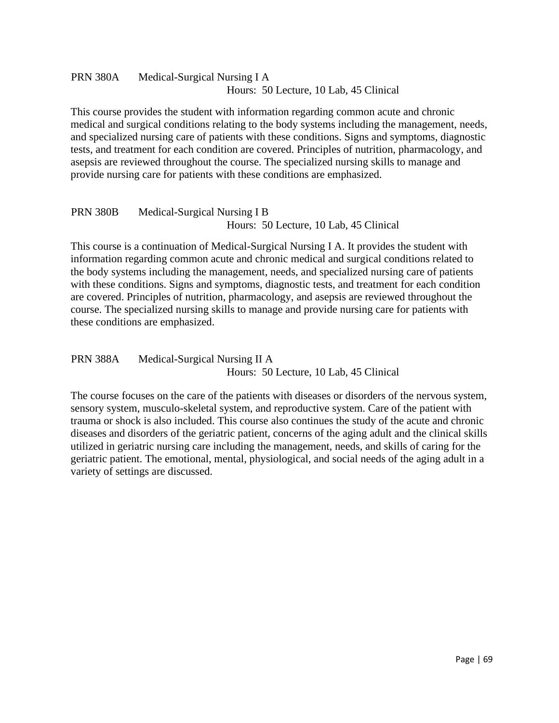# PRN 380A Medical-Surgical Nursing I A Hours: 50 Lecture, 10 Lab, 45 Clinical

This course provides the student with information regarding common acute and chronic medical and surgical conditions relating to the body systems including the management, needs, and specialized nursing care of patients with these conditions. Signs and symptoms, diagnostic tests, and treatment for each condition are covered. Principles of nutrition, pharmacology, and asepsis are reviewed throughout the course. The specialized nursing skills to manage and provide nursing care for patients with these conditions are emphasized.

# PRN 380B Medical-Surgical Nursing I B Hours: 50 Lecture, 10 Lab, 45 Clinical

This course is a continuation of Medical-Surgical Nursing I A. It provides the student with information regarding common acute and chronic medical and surgical conditions related to the body systems including the management, needs, and specialized nursing care of patients with these conditions. Signs and symptoms, diagnostic tests, and treatment for each condition are covered. Principles of nutrition, pharmacology, and asepsis are reviewed throughout the course. The specialized nursing skills to manage and provide nursing care for patients with these conditions are emphasized.

# PRN 388A Medical-Surgical Nursing II A Hours: 50 Lecture, 10 Lab, 45 Clinical

The course focuses on the care of the patients with diseases or disorders of the nervous system, sensory system, musculo-skeletal system, and reproductive system. Care of the patient with trauma or shock is also included. This course also continues the study of the acute and chronic diseases and disorders of the geriatric patient, concerns of the aging adult and the clinical skills utilized in geriatric nursing care including the management, needs, and skills of caring for the geriatric patient. The emotional, mental, physiological, and social needs of the aging adult in a variety of settings are discussed.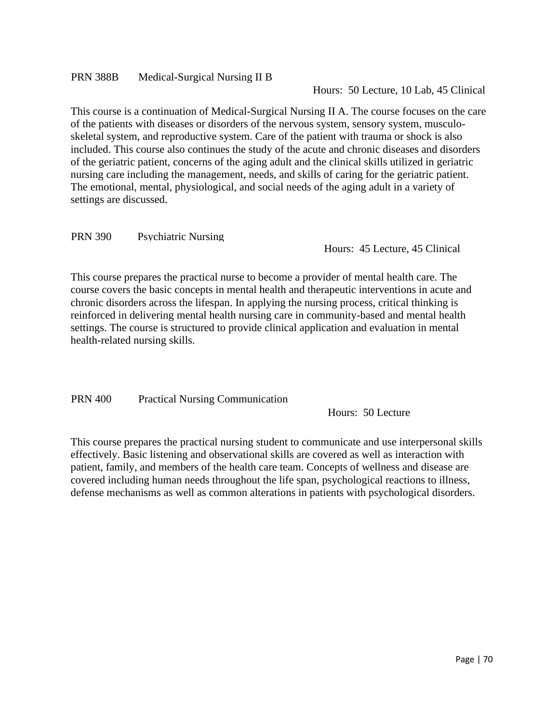#### PRN 388B Medical-Surgical Nursing II B

Hours: 50 Lecture, 10 Lab, 45 Clinical

This course is a continuation of Medical-Surgical Nursing II A. The course focuses on the care of the patients with diseases or disorders of the nervous system, sensory system, musculoskeletal system, and reproductive system. Care of the patient with trauma or shock is also included. This course also continues the study of the acute and chronic diseases and disorders of the geriatric patient, concerns of the aging adult and the clinical skills utilized in geriatric nursing care including the management, needs, and skills of caring for the geriatric patient. The emotional, mental, physiological, and social needs of the aging adult in a variety of settings are discussed.

PRN 390 Psychiatric Nursing

Hours: 45 Lecture, 45 Clinical

This course prepares the practical nurse to become a provider of mental health care. The course covers the basic concepts in mental health and therapeutic interventions in acute and chronic disorders across the lifespan. In applying the nursing process, critical thinking is reinforced in delivering mental health nursing care in community-based and mental health settings. The course is structured to provide clinical application and evaluation in mental health-related nursing skills.

PRN 400 Practical Nursing Communication

Hours: 50 Lecture

This course prepares the practical nursing student to communicate and use interpersonal skills effectively. Basic listening and observational skills are covered as well as interaction with patient, family, and members of the health care team. Concepts of wellness and disease are covered including human needs throughout the life span, psychological reactions to illness, defense mechanisms as well as common alterations in patients with psychological disorders.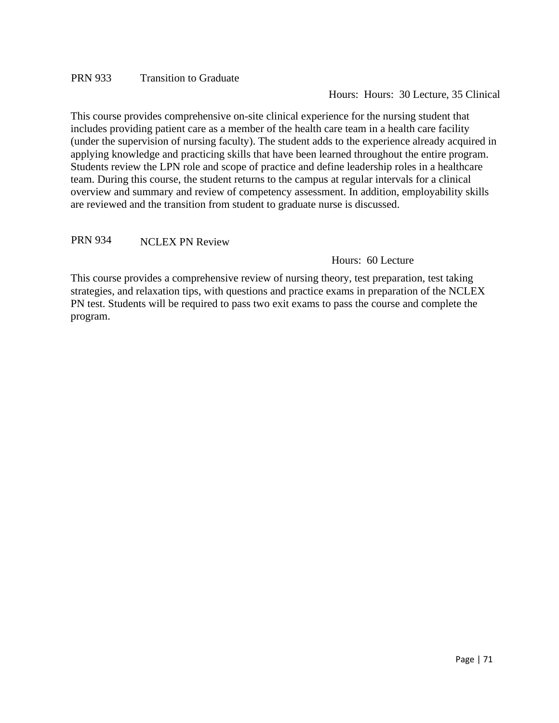#### PRN 933 Transition to Graduate

Hours: Hours: 30 Lecture, 35 Clinical

This course provides comprehensive on-site clinical experience for the nursing student that includes providing patient care as a member of the health care team in a health care facility (under the supervision of nursing faculty). The student adds to the experience already acquired in applying knowledge and practicing skills that have been learned throughout the entire program. Students review the LPN role and scope of practice and define leadership roles in a healthcare team. During this course, the student returns to the campus at regular intervals for a clinical overview and summary and review of competency assessment. In addition, employability skills are reviewed and the transition from student to graduate nurse is discussed.

PRN 934 NCLEX PN Review

Hours: 60 Lecture

This course provides a comprehensive review of nursing theory, test preparation, test taking strategies, and relaxation tips, with questions and practice exams in preparation of the NCLEX PN test. Students will be required to pass two exit exams to pass the course and complete the program.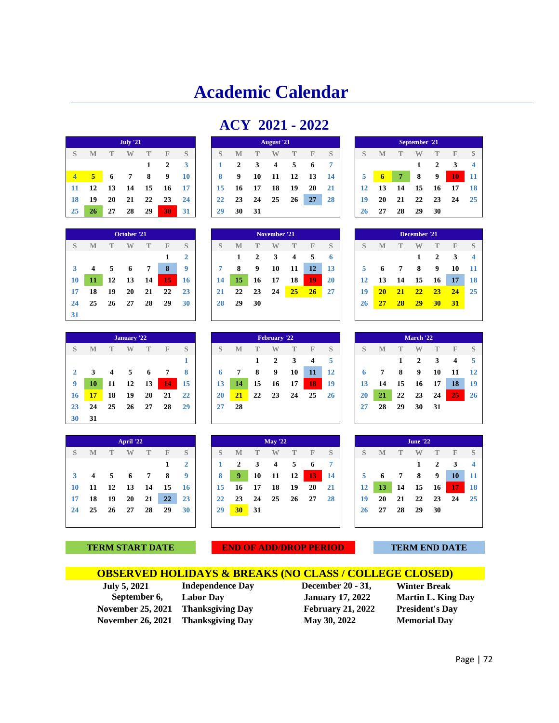# **Academic Calendar**

| ACY 2021 - 2022 |  |  |
|-----------------|--|--|
|-----------------|--|--|

|     |    |    | <b>July '21</b> |              |              |     |    |    |              | <b>August</b> '21 |    |    |     |    |                |    | September '21 |              |
|-----|----|----|-----------------|--------------|--------------|-----|----|----|--------------|-------------------|----|----|-----|----|----------------|----|---------------|--------------|
|     | M  |    | W               |              | F            | S   | S  | M  | $\mathbb{T}$ | W                 |    | F  | S   | S  | М              |    | W             | T            |
|     |    |    |                 | $\mathbf{1}$ | $\mathbf{2}$ | 3   |    | 2  | 3            | 4                 | 5  | 6  |     |    |                |    |               | $\mathbf{2}$ |
|     | 5  | 6  | 7               | 8            | 9            | 10  | 8  | 9  | 10           | 11                | 12 | 13 | -14 | 5  | $\overline{6}$ |    | 8             | 9            |
| -11 | 12 | 13 | 14              | 15           | 16           | -17 | 15 | 16 | 17           | 18                | 19 | 20 | 21  | 12 | 13             | 14 | 15            | - 16         |
| -18 | 19 | 20 | 21              | 22           | 23           | 24  | 22 | 23 | 24           | 25                | 26 | 27 | 28  | 19 | 20             | 21 | 22            | - 23         |
| 25  | 26 | 27 | 28              | 29           | 30           | -31 | 29 | 30 | 31           |                   |    |    |     | 26 | 27             | 28 | 29            | 30           |

|    |    |    | October <sup>'21</sup> |    |    |                |
|----|----|----|------------------------|----|----|----------------|
| S  | M  | T  |                        | T  | F  | S              |
|    |    |    |                        |    | 1  | $\overline{2}$ |
| 3  | 4  | 5  | 6                      | 7  | 8  | 9              |
| 10 | 11 | 12 | 13                     | 14 | 15 | 16             |
| 17 | 18 | 19 | 20                     | 21 | 22 | 23             |
| 24 | 25 | 26 | 27                     | 28 | 29 | 30             |
| 31 |    |    |                        |    |    |                |

| 43           | 40 | 41 | 40          | 47 | .JU | эт          | 49 | ЭV. | м  |              |           |    |           | 40 | 41 | 40 | 47           | ЭV |       |                |
|--------------|----|----|-------------|----|-----|-------------|----|-----|----|--------------|-----------|----|-----------|----|----|----|--------------|----|-------|----------------|
|              |    |    |             |    |     |             |    |     |    |              |           |    |           |    |    |    |              |    |       |                |
|              |    |    | October '21 |    |     |             |    |     |    | November '21 |           |    |           |    |    |    | December '21 |    |       |                |
| S            | M  |    | W           |    | H   | S           | S  | M   |    |              |           | F  | S         | S  | М  |    | W            |    | н     | -S             |
|              |    |    |             |    |     |             |    |     | 2  | 3            | 4         | 5  | 6         |    |    |    |              | 2  | 3     | $\overline{4}$ |
| $\mathbf{3}$ | 4  | 5  | 6           | 7  | 8   | $\mathbf o$ |    | 8   | 9  | 10           | 11        | 12 | 13        |    | o  | 7  | 8            | 9  | 10    | -11            |
| 10           | 11 | 12 | 13          | 14 | 15  | 16          | 14 | 15  | 16 | 17           | 18        | 19 | <b>20</b> | 12 | 13 | 14 | 15           | 16 | 17    | 18             |
| 17           | 18 | 19 | 20          | 21 | 22  | 23          | 21 | 22  | 23 | 24           | <b>25</b> | 26 | 27        | 19 | 20 | 21 | 22           | 23 | 24    | 25             |
| 24           | 25 | 26 | 27          | 28 | 29  | 30          | 28 | 29  | 30 |              |           |    |           | 26 |    | 28 | 29           | 30 | $-31$ |                |
|              |    |    |             |    |     |             |    |     |    |              |           |    |           |    |    |    |              |    |       |                |



|    |    |    | December '21 |              |              |    |
|----|----|----|--------------|--------------|--------------|----|
| S  | M  | T  |              | T            | $\mathbb{F}$ | S  |
|    |    |    | 1            | $\mathbf{2}$ | 3            | 4  |
| 5  | 6  | 7  | 8            | 9            | 10           | 11 |
| 12 | 13 | 14 | 15           | 16           | 17           | 18 |
| 19 | 20 | 21 | 22           | 23           | 24           | 25 |
| 26 | 27 | 28 | 29           | 30           | 31           |    |
|    |    |    |              |              |              |    |

|                |    |    | <b>January</b> '22 |    |              |    |
|----------------|----|----|--------------------|----|--------------|----|
| S              | M  | T  | W                  | T  | $\mathbb{F}$ | S  |
|                |    |    |                    |    |              | 1  |
| $\overline{2}$ | 3  | 4  | 5                  | 6  | 7            | 8  |
| 9              | 10 | 11 | 12                 | 13 | 14           | 15 |
| 16             | 17 | 18 | 19                 | 20 | 21           | 22 |
| 23             | 24 | 25 | 26                 | 27 | 28           | 29 |
| 30             | 31 |    |                    |    |              |    |

|    |                         |    | April '22 |    |              |                |
|----|-------------------------|----|-----------|----|--------------|----------------|
| S  | M                       | T  |           | T  | $\mathbb{F}$ | S              |
|    |                         |    |           |    | 1            | $\overline{2}$ |
| 3  | $\overline{\mathbf{4}}$ | 5  | 6         | 7  | 8            | 9              |
| 10 | 11                      | 12 | 13        | 14 | 15           | 16             |
| 17 | 18                      | 19 | 20        | 21 | 22           | 23             |
| 24 | 25                      | 26 | 27        | 28 | 29           | 30             |
|    |                         |    |           |    |              |                |

|                |           |    | January '22 |    |    |           |           |     |    | February '22 |    |    |           |           |    |    | March '22 |    |    |
|----------------|-----------|----|-------------|----|----|-----------|-----------|-----|----|--------------|----|----|-----------|-----------|----|----|-----------|----|----|
| S              | M         |    |             | Т  | Е  | S         | S         | M   |    |              |    | F  | S         | S         | M  |    |           | Т  | F  |
|                |           |    |             |    |    |           |           |     |    | 2            |    | 4  | 5         |           |    |    | 2         | 3  |    |
| $\overline{2}$ |           | 4  | 5           | 6  | 7  | 8         | 6         | 7   | 8  | 9            | 10 | 11 | 12        |           |    | 8  | 9         | 10 | 11 |
| 9              | 10        | 11 | 12          | 13 | 14 | 15        | 13        | -14 | 15 | 16           | 17 | 18 | 19        | 13        | 14 | 15 | 16        | 17 | 18 |
| 16             | <b>17</b> | 18 | 19          | 20 | 21 | 22        | <b>20</b> | 21  | 22 | 23           | 24 | 25 | <b>26</b> | <b>20</b> | 21 | 22 | 23        | 24 | 25 |
| 23             | 24        | 25 | 26          | 27 | 28 | <b>29</b> | 27        | 28  |    |              |    |    |           | 27        | 28 | 29 | 30        | 31 |    |
| 30             | 31        |    |             |    |    |           |           |     |    |              |    |    |           |           |    |    |           |    |    |

|              |    |           | April '22 |    |      |           |
|--------------|----|-----------|-----------|----|------|-----------|
| S            | M  | т         | W         | Т  | F    | S         |
|              |    |           |           |    |      |           |
| $\mathbf{3}$ | 4  | 5         | -6        | 7  | 8    | 9         |
| 10           | 11 | 12        | - 13      | 14 | - 15 | -16       |
| 17           | 18 | 19        | 20        | 21 | 22   | 23        |
| 24           | 25 | <b>26</b> | - 27      | 28 | 29   | <b>30</b> |
|              |    |           |           |    |      |           |
|              |    |           |           |    |      |           |

| March '22 |    |    |                |    |             |    |  |  |  |  |
|-----------|----|----|----------------|----|-------------|----|--|--|--|--|
| S         | M  | Т  |                | Т  | $\mathbb F$ | S  |  |  |  |  |
|           |    | 1  | $\overline{2}$ | 3  | 4           | 5  |  |  |  |  |
| 6         |    | 8  | 9              | 10 | 11          | 12 |  |  |  |  |
| 13        | 14 | 15 | 16             | 17 | 18          | 19 |  |  |  |  |
| 20        | 21 | 22 | 23             | 24 | 25          | 26 |  |  |  |  |
| 27        | 28 | 29 | 30             | 31 |             |    |  |  |  |  |
|           |    |    |                |    |             |    |  |  |  |  |

| <b>June '22</b> |    |    |    |    |              |    |  |  |  |  |
|-----------------|----|----|----|----|--------------|----|--|--|--|--|
| S               | M  | Т  |    | Т  | $\mathbb{F}$ | S  |  |  |  |  |
|                 |    |    | 1  | 2  | 3            | 4  |  |  |  |  |
| 5               | 6  | 7  | 8  | 9  | 10           | 11 |  |  |  |  |
| 12              | 13 | 14 | 15 | 16 | 17           | 18 |  |  |  |  |
| 19              | 20 | 21 | 22 | 23 | 24           | 25 |  |  |  |  |
| 26              | 27 | 28 | 29 | 30 |              |    |  |  |  |  |
|                 |    |    |    |    |              |    |  |  |  |  |

**EXPLORE TERM START DATE END OF ADD/DROP PERIOD TERM END DATE** 

# **OBSERVED HOLIDAYS & BREAKS (NO CLASS / COLLEGE CLOSED)**

 **September 6,**  November 25, 2021

 **July 5, 2021 Independence Day Labor Day Thanksgiving Day** February 21, 2022 President's Day **November 26, 2021 • Thanksgiving Day May 30, 2022 • Memorial Day** 

 **December 20 - 31,**  January 17, 2022

**Winter Break Martin L. King Day**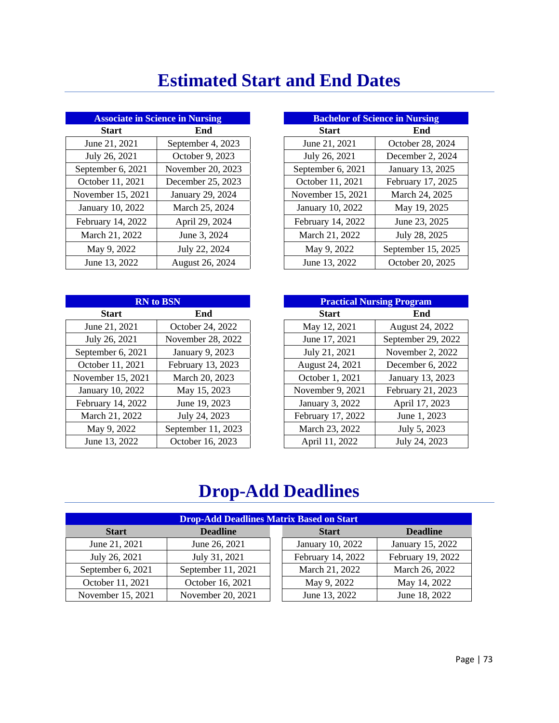## **Estimated Start and End Dates**

| <b>Associate in Science in Nursing</b> |                   | <b>Bachelor of Science in Nursing</b> |                    |
|----------------------------------------|-------------------|---------------------------------------|--------------------|
| <b>Start</b>                           | End               | <b>Start</b>                          | End                |
| June 21, 2021                          | September 4, 2023 | June 21, 2021                         | October 28, 2024   |
| July 26, 2021                          | October 9, 2023   | July 26, 2021                         | December 2, 2024   |
| September 6, 2021                      | November 20, 2023 | September 6, 2021                     | January 13, 2025   |
| October 11, 2021                       | December 25, 2023 | October 11, 2021                      | February 17, 2025  |
| November 15, 2021                      | January 29, 2024  | November 15, 2021                     | March 24, 2025     |
| January 10, 2022                       | March 25, 2024    | January 10, 2022                      | May 19, 2025       |
| February 14, 2022                      | April 29, 2024    | February 14, 2022                     | June 23, 2025      |
| March 21, 2022                         | June 3, 2024      | March 21, 2022                        | July 28, 2025      |
| May 9, 2022                            | July 22, 2024     | May 9, 2022                           | September 15, 202: |
| June 13, 2022                          | August 26, 2024   | June 13, 2022                         | October 20, 2025   |

| <b>Associate in Science in Nursing</b> |                   | <b>Bachelor of Science in Nursing</b> |                    |
|----------------------------------------|-------------------|---------------------------------------|--------------------|
| <b>Start</b>                           | End               | <b>Start</b><br>End                   |                    |
| June 21, 2021                          | September 4, 2023 | June 21, 2021                         | October 28, 2024   |
| July 26, 2021                          | October 9, 2023   | July 26, 2021                         | December 2, 2024   |
| ptember 6, 2021                        | November 20, 2023 | September 6, 2021                     | January 13, 2025   |
| ctober 11, 2021                        | December 25, 2023 | October 11, 2021                      | February 17, 2025  |
| vember 15, 2021                        | January 29, 2024  | November 15, 2021                     | March 24, 2025     |
| unuary 10, 2022                        | March 25, 2024    | January 10, 2022                      | May 19, 2025       |
| bruary 14, 2022                        | April 29, 2024    | February 14, 2022                     | June 23, 2025      |
| Aarch 21, 2022                         | June 3, 2024      | March 21, 2022                        | July 28, 2025      |
| May 9, 2022                            | July 22, 2024     | May 9, 2022                           | September 15, 2025 |
| June 13, 2022                          | August 26, 2024   | June 13, 2022                         | October 20, 2025   |

| <b>RN</b> to BSN  |                    | <b>Practical Nursing Program</b> |                    |
|-------------------|--------------------|----------------------------------|--------------------|
| <b>Start</b>      | End                | <b>Start</b><br>End              |                    |
| June 21, 2021     | October 24, 2022   | May 12, 2021                     | August 24, 2022    |
| July 26, 2021     | November 28, 2022  | June 17, 2021                    | September 29, 2022 |
| September 6, 2021 | January 9, 2023    | July 21, 2021                    | November 2, 2022   |
| October 11, 2021  | February 13, 2023  | August 24, 2021                  | December 6, 2022   |
| November 15, 2021 | March 20, 2023     | October 1, 2021                  | January 13, 2023   |
| January 10, 2022  | May 15, 2023       | November 9, 2021                 | February 21, 2023  |
| February 14, 2022 | June 19, 2023      | January 3, 2022                  | April 17, 2023     |
| March 21, 2022    | July 24, 2023      | February 17, 2022                | June 1, 2023       |
| May 9, 2022       | September 11, 2023 | March 23, 2022                   | July 5, 2023       |
| June 13, 2022     | October 16, 2023   | April 11, 2022                   | July 24, 2023      |

| <b>RN</b> to BSN |                    | <b>Practical Nursing Program</b> |                    |
|------------------|--------------------|----------------------------------|--------------------|
| <b>Start</b>     | End                | <b>Start</b><br>End              |                    |
| June 21, 2021    | October 24, 2022   | May 12, 2021                     | August 24, 2022    |
| July 26, 2021    | November 28, 2022  | June 17, 2021                    | September 29, 2022 |
| ptember 6, 2021  | January 9, 2023    | July 21, 2021                    | November 2, 2022   |
| ctober 11, 2021  | February 13, 2023  | August 24, 2021                  | December 6, 2022   |
| vember 15, 2021  | March 20, 2023     | October 1, 2021                  | January 13, 2023   |
| unuary 10, 2022  | May 15, 2023       | November 9, 2021                 | February 21, 2023  |
| bruary 14, 2022  | June 19, 2023      | January 3, 2022                  | April 17, 2023     |
| Aarch 21, 2022   | July 24, 2023      | February 17, 2022                | June 1, 2023       |
| May 9, 2022      | September 11, 2023 | March 23, 2022                   | July 5, 2023       |
| June 13, 2022    | October 16, 2023   | April 11, 2022                   | July 24, 2023      |

## **Drop-Add Deadlines**

| <b>Drop-Add Deadlines Matrix Based on Start</b> |                    |  |                   |                   |  |
|-------------------------------------------------|--------------------|--|-------------------|-------------------|--|
| <b>Deadline</b><br><b>Start</b>                 |                    |  | <b>Start</b>      | <b>Deadline</b>   |  |
| June 21, 2021                                   | June 26, 2021      |  | January 10, 2022  | January 15, 2022  |  |
| July 26, 2021                                   | July 31, 2021      |  | February 14, 2022 | February 19, 2022 |  |
| September 6, 2021                               | September 11, 2021 |  | March 21, 2022    | March 26, 2022    |  |
| October 11, 2021                                | October 16, 2021   |  | May 9, 2022       | May 14, 2022      |  |
| November 15, 2021                               | November 20, 2021  |  | June 13, 2022     | June 18, 2022     |  |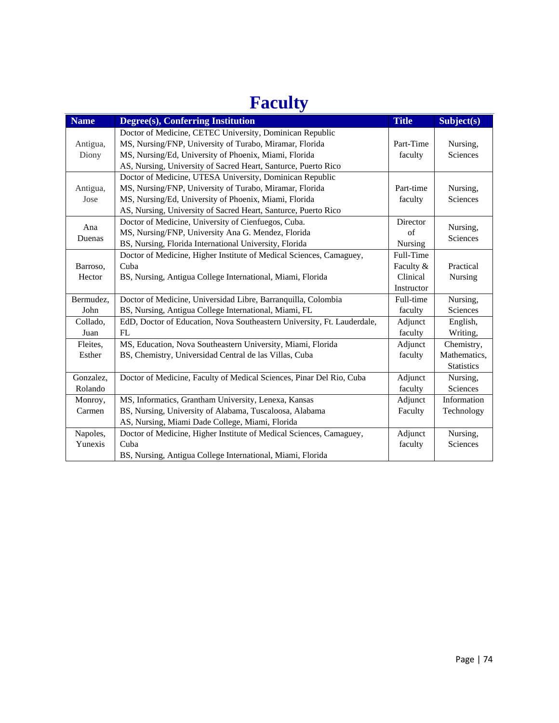## **Faculty**

|             | ັ                                                                       |              |                   |
|-------------|-------------------------------------------------------------------------|--------------|-------------------|
| <b>Name</b> | Degree(s), Conferring Institution                                       | <b>Title</b> | Subject(s)        |
|             | Doctor of Medicine, CETEC University, Dominican Republic                |              |                   |
| Antigua,    | MS, Nursing/FNP, University of Turabo, Miramar, Florida                 | Part-Time    | Nursing,          |
| Diony       | MS, Nursing/Ed, University of Phoenix, Miami, Florida                   | faculty      | Sciences          |
|             | AS, Nursing, University of Sacred Heart, Santurce, Puerto Rico          |              |                   |
|             | Doctor of Medicine, UTESA University, Dominican Republic                |              |                   |
| Antigua,    | MS, Nursing/FNP, University of Turabo, Miramar, Florida                 | Part-time    | Nursing,          |
| Jose        | MS, Nursing/Ed, University of Phoenix, Miami, Florida                   | faculty      | Sciences          |
|             | AS, Nursing, University of Sacred Heart, Santurce, Puerto Rico          |              |                   |
|             | Doctor of Medicine, University of Cienfuegos, Cuba.                     | Director     |                   |
| Ana         | MS, Nursing/FNP, University Ana G. Mendez, Florida                      | of           | Nursing,          |
| Duenas      | BS, Nursing, Florida International University, Florida                  | Nursing      | Sciences          |
|             | Doctor of Medicine, Higher Institute of Medical Sciences, Camaguey,     | Full-Time    |                   |
| Barroso,    | Cuba                                                                    | Faculty &    | Practical         |
| Hector      | BS, Nursing, Antigua College International, Miami, Florida              | Clinical     | Nursing           |
|             |                                                                         | Instructor   |                   |
| Bermudez,   | Doctor of Medicine, Universidad Libre, Barranquilla, Colombia           | Full-time    | Nursing,          |
| John        | BS, Nursing, Antigua College International, Miami, FL                   | faculty      | Sciences          |
| Collado,    | EdD, Doctor of Education, Nova Southeastern University, Ft. Lauderdale, | Adjunct      | English,          |
| Juan        | FL                                                                      | faculty      | Writing,          |
| Fleites,    | MS, Education, Nova Southeastern University, Miami, Florida             | Adjunct      | Chemistry,        |
| Esther      | BS, Chemistry, Universidad Central de las Villas, Cuba                  | faculty      | Mathematics,      |
|             |                                                                         |              | <b>Statistics</b> |
| Gonzalez,   | Doctor of Medicine, Faculty of Medical Sciences, Pinar Del Rio, Cuba    | Adjunct      | Nursing,          |
| Rolando     |                                                                         | faculty      | Sciences          |
| Monroy,     | MS, Informatics, Grantham University, Lenexa, Kansas                    | Adjunct      | Information       |
| Carmen      | BS, Nursing, University of Alabama, Tuscaloosa, Alabama                 | Faculty      | Technology        |
|             | AS, Nursing, Miami Dade College, Miami, Florida                         |              |                   |
| Napoles,    | Doctor of Medicine, Higher Institute of Medical Sciences, Camaguey,     | Adjunct      | Nursing,          |
| Yunexis     | Cuba                                                                    | faculty      | Sciences          |
|             | BS, Nursing, Antigua College International, Miami, Florida              |              |                   |